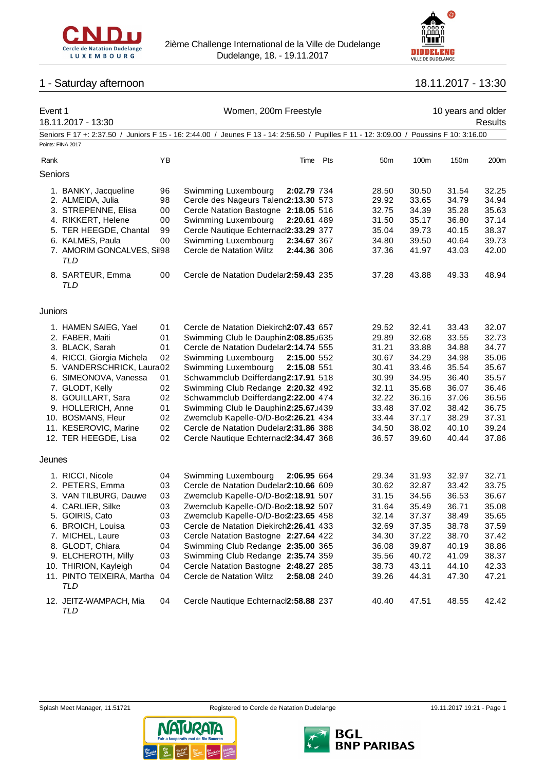



# 1 - Saturday afternoon 18.11.2017 - 13:30

| Event 1 |                                                |    | Women, 200m Freestyle                                                                                         |                 |       | 10 years and older |         |
|---------|------------------------------------------------|----|---------------------------------------------------------------------------------------------------------------|-----------------|-------|--------------------|---------|
|         | 18.11.2017 - 13:30                             |    |                                                                                                               |                 |       |                    | Results |
|         | Seniors F 17 +: 2:37.50 /<br>Points: FINA 2017 |    | Juniors F 15 - 16: 2:44.00 / Jeunes F 13 - 14: 2:56.50 / Pupilles F 11 - 12: 3:09.00 / Poussins F 10: 3:16.00 |                 |       |                    |         |
| Rank    |                                                | YB | Pts<br>Time                                                                                                   | 50 <sub>m</sub> | 100m  | 150m               | 200m    |
| Seniors |                                                |    |                                                                                                               |                 |       |                    |         |
|         | 1. BANKY, Jacqueline                           | 96 | Swimming Luxembourg<br>2:02.79 734                                                                            | 28.50           | 30.50 | 31.54              | 32.25   |
|         | 2. ALMEIDA, Julia                              | 98 | Cercle des Nageurs Talenc2:13.30 573                                                                          | 29.92           | 33.65 | 34.79              | 34.94   |
|         | 3. STREPENNE, Elisa                            | 00 | Cercle Natation Bastogne 2:18.05 516                                                                          | 32.75           | 34.39 | 35.28              | 35.63   |
|         | 4. RIKKERT, Helene                             | 00 | Swimming Luxembourg<br>2:20.61 489                                                                            | 31.50           | 35.17 | 36.80              | 37.14   |
|         | 5. TER HEEGDE, Chantal                         | 99 | Cercle Nautique Echternacl2:33.29 377                                                                         | 35.04           | 39.73 | 40.15              | 38.37   |
|         |                                                |    |                                                                                                               |                 |       |                    |         |
|         | 6. KALMES, Paula                               | 00 | Swimming Luxembourg<br>2:34.67 367                                                                            | 34.80           | 39.50 | 40.64              | 39.73   |
|         | 7. AMORIM GONCALVES, Sil98<br>TLD              |    | Cercle de Natation Wiltz<br>2:44.36 306                                                                       | 37.36           | 41.97 | 43.03              | 42.00   |
|         | 8. SARTEUR, Emma<br>TLD                        | 00 | Cercle de Natation Dudelar2:59.43 235                                                                         | 37.28           | 43.88 | 49.33              | 48.94   |
| Juniors |                                                |    |                                                                                                               |                 |       |                    |         |
|         | 1. HAMEN SAIEG, Yael                           | 01 | Cercle de Natation Diekirch2:07.43 657                                                                        | 29.52           | 32.41 | 33.43              | 32.07   |
|         | 2. FABER, Maiti                                | 01 | Swimming Club le Dauphin2:08.85J635                                                                           | 29.89           | 32.68 | 33.55              | 32.73   |
|         | 3. BLACK, Sarah                                | 01 | Cercle de Natation Dudelar2:14.74 555                                                                         | 31.21           | 33.88 | 34.88              | 34.77   |
|         | 4. RICCI, Giorgia Michela                      | 02 | Swimming Luxembourg<br>2:15.00 552                                                                            | 30.67           | 34.29 | 34.98              | 35.06   |
|         | 5. VANDERSCHRICK, Laura02                      |    | Swimming Luxembourg<br>2:15.08 551                                                                            | 30.41           | 33.46 | 35.54              | 35.67   |
|         | 6. SIMEONOVA, Vanessa                          | 01 | Schwammclub Deifferdang2:17.91 518                                                                            | 30.99           | 34.95 | 36.40              | 35.57   |
|         | 7. GLODT, Kelly                                | 02 | Swimming Club Redange 2:20.32 492                                                                             | 32.11           | 35.68 | 36.07              | 36.46   |
|         | 8. GOUILLART, Sara                             | 02 | Schwammclub Deifferdang2:22.00 474                                                                            | 32.22           | 36.16 | 37.06              | 36.56   |
|         | 9. HOLLERICH, Anne                             | 01 | Swimming Club le Dauphin2:25.67J439                                                                           | 33.48           | 37.02 | 38.42              | 36.75   |
|         | 10. BOSMANS, Fleur                             | 02 | Zwemclub Kapelle-O/D-Bos2:26.21 434                                                                           | 33.44           | 37.17 | 38.29              | 37.31   |
|         | 11. KESEROVIC, Marine                          | 02 | Cercle de Natation Dudelar2:31.86 388                                                                         | 34.50           | 38.02 | 40.10              | 39.24   |
|         | 12. TER HEEGDE, Lisa                           | 02 | Cercle Nautique Echternacl2:34.47 368                                                                         | 36.57           | 39.60 | 40.44              | 37.86   |
| Jeunes  |                                                |    |                                                                                                               |                 |       |                    |         |
|         | 1. RICCI, Nicole                               | 04 | Swimming Luxembourg<br>2:06.95 664                                                                            | 29.34           | 31.93 | 32.97              | 32.71   |
|         | 2. PETERS, Emma                                | 03 | Cercle de Natation Dudelar2:10.66 609                                                                         | 30.62           | 32.87 | 33.42              | 33.75   |
|         | 3. VAN TILBURG, Dauwe                          | 03 | Zwemclub Kapelle-O/D-Bo:2:18.91 507                                                                           | 31.15           | 34.56 | 36.53              | 36.67   |
|         | 4. CARLIER, Silke                              | 03 | Zwemclub Kapelle-O/D-Bo:2:18.92 507                                                                           | 31.64           | 35.49 | 36.71              | 35.08   |
|         | 5. GOIRIS, Cato                                | 03 | Zwemclub Kapelle-O/D-Bo:2:23.65 458                                                                           | 32.14           | 37.37 | 38.49              | 35.65   |
|         | 6. BROICH, Louisa                              | 03 | Cercle de Natation Diekirch2:26.41 433                                                                        | 32.69           | 37.35 | 38.78              | 37.59   |
|         | 7. MICHEL, Laure                               | 03 | Cercle Natation Bastogne 2:27.64 422                                                                          | 34.30           | 37.22 | 38.70              | 37.42   |
|         | 8. GLODT, Chiara                               | 04 | Swimming Club Redange 2:35.00 365                                                                             | 36.08           | 39.87 | 40.19              | 38.86   |
|         | 9. ELCHEROTH, Milly                            | 03 | Swimming Club Redange 2:35.74 359                                                                             | 35.56           | 40.72 | 41.09              | 38.37   |
|         | 10. THIRION, Kayleigh                          | 04 | Cercle Natation Bastogne 2:48.27 285                                                                          | 38.73           | 43.11 | 44.10              | 42.33   |
|         | 11. PINTO TEIXEIRA, Martha 04<br>TLD           |    | Cercle de Natation Wiltz<br>2:58.08 240                                                                       | 39.26           | 44.31 | 47.30              | 47.21   |
|         | 12. JEITZ-WAMPACH, Mia<br>TLD                  | 04 | Cercle Nautique Echternacl2:58.88 237                                                                         | 40.40           | 47.51 | 48.55              | 42.42   |





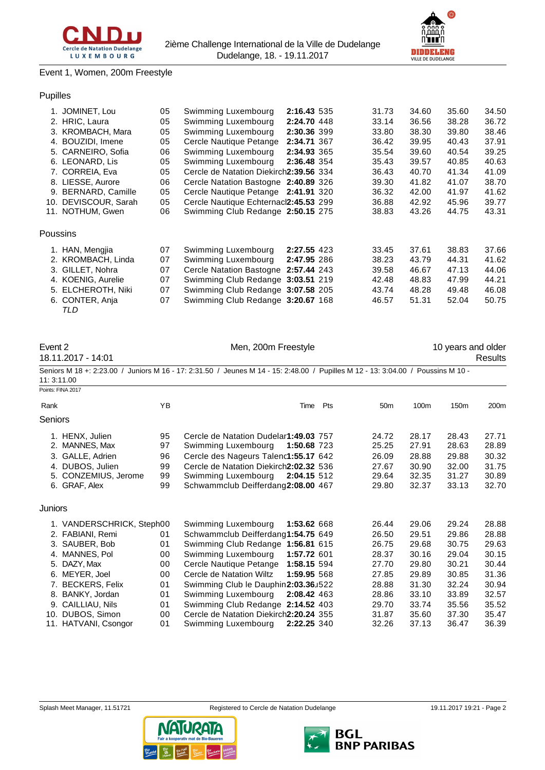

# Event 1, Women, 200m Freestyle

# Pupilles

| 1. JOMINET, Lou      | 05 | Swimming Luxembourg                    | 2:16.43 535 | 31.73 | 34.60 | 35.60 | 34.50 |
|----------------------|----|----------------------------------------|-------------|-------|-------|-------|-------|
| 2. HRIC, Laura       | 05 | Swimming Luxembourg                    | 2:24.70 448 | 33.14 | 36.56 | 38.28 | 36.72 |
| 3. KROMBACH, Mara    | 05 | Swimming Luxembourg                    | 2:30.36 399 | 33.80 | 38.30 | 39.80 | 38.46 |
| 4. BOUZIDI, Imene    | 05 | Cercle Nautique Petange                | 2:34.71 367 | 36.42 | 39.95 | 40.43 | 37.91 |
| 5. CARNEIRO, Sofia   | 06 | Swimming Luxembourg                    | 2:34.93 365 | 35.54 | 39.60 | 40.54 | 39.25 |
| 6. LEONARD, Lis      | 05 | Swimming Luxembourg                    | 2:36.48 354 | 35.43 | 39.57 | 40.85 | 40.63 |
| 7. CORREIA, Eva      | 05 | Cercle de Natation Diekirch2:39.56 334 |             | 36.43 | 40.70 | 41.34 | 41.09 |
| 8. LIESSE, Aurore    | 06 | Cercle Natation Bastogne 2:40.89 326   |             | 39.30 | 41.82 | 41.07 | 38.70 |
| 9. BERNARD, Camille  | 05 | Cercle Nautique Petange 2:41.91 320    |             | 36.32 | 42.00 | 41.97 | 41.62 |
| 10. DEVISCOUR, Sarah | 05 | Cercle Nautique Echternacl2:45.53 299  |             | 36.88 | 42.92 | 45.96 | 39.77 |
| 11. NOTHUM, Gwen     | 06 | Swimming Club Redange 2:50.15 275      |             | 38.83 | 43.26 | 44.75 | 43.31 |
| Poussins             |    |                                        |             |       |       |       |       |
| 1. HAN, Mengjia      | 07 | Swimming Luxembourg                    | 2:27.55 423 | 33.45 | 37.61 | 38.83 | 37.66 |
| 2. KROMBACH, Linda   | 07 | Swimming Luxembourg                    | 2:47.95 286 | 38.23 | 43.79 | 44.31 | 41.62 |
| 3. GILLET, Nohra     | 07 | Cercle Natation Bastogne 2:57.44 243   |             | 39.58 | 46.67 | 47.13 | 44.06 |
| 4. KOENIG, Aurelie   | 07 | Swimming Club Redange 3:03.51 219      |             | 42.48 | 48.83 | 47.99 | 44.21 |
| 5. ELCHEROTH, Niki   | 07 | Swimming Club Redange 3:07.58 205      |             | 43.74 | 48.28 | 49.48 | 46.08 |
| 6. CONTER, Anja      | 07 | Swimming Club Redange 3:20.67 168      |             | 46.57 | 51.31 | 52.04 | 50.75 |
|                      |    |                                        |             |       |       |       |       |

*TLD*

| Event 2<br>18.11.2017 - 14:01 | Men, 200m Freestyle |                                                                                                                                  |     |                 | 10 years and older | Results          |                  |
|-------------------------------|---------------------|----------------------------------------------------------------------------------------------------------------------------------|-----|-----------------|--------------------|------------------|------------------|
| 11: 3:11.00                   |                     | Seniors M 18 +: 2:23.00 / Juniors M 16 - 17: 2:31.50 / Jeunes M 14 - 15: 2:48.00 / Pupilles M 12 - 13: 3:04.00 / Poussins M 10 - |     |                 |                    |                  |                  |
| Points: FINA 2017             |                     |                                                                                                                                  |     |                 |                    |                  |                  |
| Rank                          | YB.                 | Time                                                                                                                             | Pts | 50 <sub>m</sub> | 100m               | 150 <sub>m</sub> | 200 <sub>m</sub> |
| <b>Seniors</b>                |                     |                                                                                                                                  |     |                 |                    |                  |                  |
| 1. HENX. Julien               | 95                  | Cercle de Natation Dudelar1:49.03 757                                                                                            |     | 24.72           | 28.17              | 28.43            | 27.71            |
| 2. MANNES, Max                | 97                  | 1:50.68 723<br>Swimming Luxembourg                                                                                               |     | 25.25           | 27.91              | 28.63            | 28.89            |
| 3. GALLE, Adrien              | 96                  | Cercle des Nageurs Talenc1:55.17 642                                                                                             |     | 26.09           | 28.88              | 29.88            | 30.32            |
| 4. DUBOS, Julien              | 99                  | Cercle de Natation Diekirch2:02.32 536                                                                                           |     | 27.67           | 30.90              | 32.00            | 31.75            |
| 5. CONZEMIUS, Jerome          | 99                  | Swimming Luxembourg<br>2:04.15 512                                                                                               |     | 29.64           | 32.35              | 31.27            | 30.89            |
| 6. GRAF, Alex                 | 99                  | Schwammclub Deifferdang2:08.00 467                                                                                               |     | 29.80           | 32.37              | 33.13            | 32.70            |
| Juniors                       |                     |                                                                                                                                  |     |                 |                    |                  |                  |

| 1. VANDERSCHRICK, Steph00 |    | Swimming Luxembourg 1:53.62 668        |             | 26.44 | 29.06 | 29.24 | 28.88 |
|---------------------------|----|----------------------------------------|-------------|-------|-------|-------|-------|
| 2. FABIANI, Remi          | 01 | Schwammclub Deifferdang1:54.75 649     |             | 26.50 | 29.51 | 29.86 | 28.88 |
| 3. SAUBER, Bob            | 01 | Swimming Club Redange 1:56.81 615      |             | 26.75 | 29.68 | 30.75 | 29.63 |
| 4. MANNES, Pol.           | 00 | Swimming Luxembourg                    | 1:57.72 601 | 28.37 | 30.16 | 29.04 | 30.15 |
| 5. DAZY. Max              | 00 | Cercle Nautique Petange 1:58.15 594    |             | 27.70 | 29.80 | 30.21 | 30.44 |
| 6. MEYER, Joel            | 00 | Cercle de Natation Wiltz               | 1:59.95 568 | 27.85 | 29.89 | 30.85 | 31.36 |
| 7. BECKERS, Felix         | 01 | Swimming Club le Dauphin2:03.36J522    |             | 28.88 | 31.30 | 32.24 | 30.94 |
| 8. BANKY, Jordan          | 01 | Swimming Luxembourg 2:08.42 463        |             | 28.86 | 33.10 | 33.89 | 32.57 |
| 9. CAILLIAU, Nils         | 01 | Swimming Club Redange 2:14.52 403      |             | 29.70 | 33.74 | 35.56 | 35.52 |
| 10. DUBOS, Simon          | 00 | Cercle de Natation Diekirch2:20.24 355 |             | 31.87 | 35.60 | 37.30 | 35.47 |
| 11. HATVANI, Csongor      | 01 | Swimming Luxembourg 2:22.25 340        |             | 32.26 | 37.13 | 36.47 | 36.39 |
|                           |    |                                        |             |       |       |       |       |





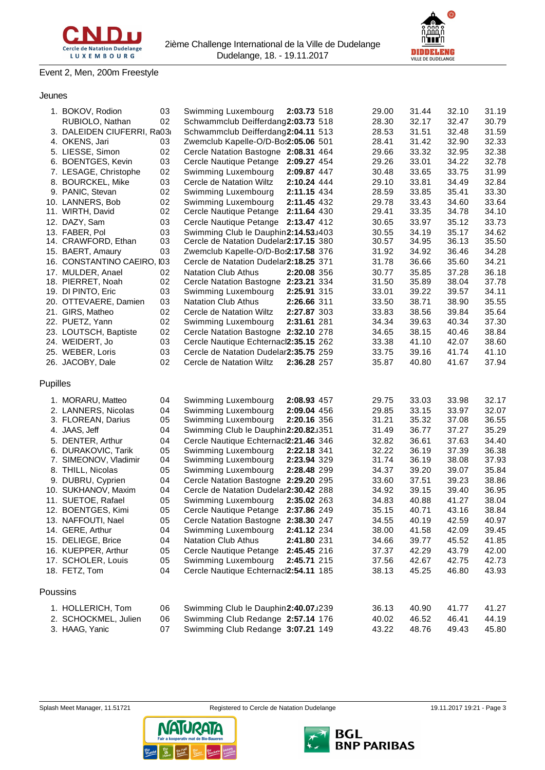

**DIDDELENG**<br>VILLE DE DUDELANGE

# Event 2, Men, 200m Freestyle

## Jeunes

|                 | 1. BOKOV, Rodion            | 03 | Swimming Luxembourg                   | 2:03.73 518 | 29.00 | 31.44 | 32.10 | 31.19 |
|-----------------|-----------------------------|----|---------------------------------------|-------------|-------|-------|-------|-------|
|                 | RUBIOLO, Nathan             | 02 | Schwammclub Deifferdang2:03.73 518    |             | 28.30 | 32.17 | 32.47 | 30.79 |
|                 | 3. DALEIDEN CIUFERRI, Ra03  |    | Schwammclub Deifferdang2:04.11 513    |             | 28.53 | 31.51 | 32.48 | 31.59 |
|                 | 4. OKENS, Jari              | 03 | Zwemclub Kapelle-O/D-Bo:2:05.06 501   |             | 28.41 | 31.42 | 32.90 | 32.33 |
|                 | 5. LIESSE, Simon            | 02 | Cercle Natation Bastogne 2:08.31 464  |             | 29.66 | 33.32 | 32.95 | 32.38 |
|                 | 6. BOENTGES, Kevin          | 03 | Cercle Nautique Petange               | 2:09.27 454 | 29.26 | 33.01 | 34.22 | 32.78 |
|                 | 7. LESAGE, Christophe       | 02 | Swimming Luxembourg                   | 2:09.87 447 | 30.48 | 33.65 | 33.75 | 31.99 |
|                 | 8. BOURCKEL, Mike           | 03 | Cercle de Natation Wiltz              | 2:10.24 444 | 29.10 | 33.81 | 34.49 | 32.84 |
|                 | 9. PANIC, Stevan            | 02 | Swimming Luxembourg                   | 2:11.15 434 | 28.59 | 33.85 | 35.41 | 33.30 |
|                 | 10. LANNERS, Bob            | 02 | Swimming Luxembourg                   | 2:11.45 432 | 29.78 | 33.43 | 34.60 | 33.64 |
|                 | 11. WIRTH, David            | 02 | Cercle Nautique Petange               | 2:11.64 430 | 29.41 | 33.35 | 34.78 | 34.10 |
|                 | 12. DAZY, Sam               | 03 | Cercle Nautique Petange 2:13.47 412   |             | 30.65 | 33.97 | 35.12 | 33.73 |
|                 | 13. FABER, Pol              | 03 | Swimming Club le Dauphin2:14.53u403   |             | 30.55 | 34.19 | 35.17 | 34.62 |
|                 | 14. CRAWFORD, Ethan         | 03 | Cercle de Natation Dudelar2:17.15 380 |             | 30.57 | 34.95 | 36.13 | 35.50 |
|                 | 15. BAERT, Amaury           | 03 | Zwemclub Kapelle-O/D-Bo:2:17.58 376   |             | 31.92 | 34.92 | 36.46 | 34.28 |
|                 | 16. CONSTANTINO CAEIRO, I03 |    | Cercle de Natation Dudelar2:18.25 371 |             | 31.78 | 36.66 | 35.60 | 34.21 |
|                 | 17. MULDER, Anael           | 02 | <b>Natation Club Athus</b>            | 2:20.08 356 | 30.77 | 35.85 | 37.28 | 36.18 |
|                 | 18. PIERRET, Noah           | 02 | Cercle Natation Bastogne 2:23.21 334  |             | 31.50 | 35.89 | 38.04 | 37.78 |
|                 | 19. DI PINTO, Eric          | 03 | Swimming Luxembourg                   | 2:25.91 315 | 33.01 | 39.22 | 39.57 | 34.11 |
|                 | 20. OTTEVAERE, Damien       | 03 | <b>Natation Club Athus</b>            | 2:26.66 311 | 33.50 | 38.71 | 38.90 | 35.55 |
|                 | 21. GIRS, Matheo            | 02 | Cercle de Natation Wiltz              | 2:27.87 303 | 33.83 | 38.56 | 39.84 | 35.64 |
|                 | 22. PUETZ, Yann             | 02 | Swimming Luxembourg                   | 2:31.61 281 | 34.34 | 39.63 | 40.34 | 37.30 |
|                 | 23. LOUTSCH, Baptiste       | 02 | Cercle Natation Bastogne 2:32.10 278  |             | 34.65 | 38.15 | 40.46 | 38.84 |
|                 | 24. WEIDERT, Jo             | 03 | Cercle Nautique Echternacl2:35.15 262 |             | 33.38 | 41.10 | 42.07 | 38.60 |
|                 | 25. WEBER, Loris            | 03 | Cercle de Natation Dudelar2:35.75 259 |             | 33.75 | 39.16 | 41.74 | 41.10 |
|                 | 26. JACOBY, Dale            | 02 | Cercle de Natation Wiltz              | 2:36.28 257 | 35.87 | 40.80 | 41.67 | 37.94 |
| <b>Pupilles</b> | 1. MORARU, Matteo           | 04 | Swimming Luxembourg                   | 2:08.93 457 | 29.75 | 33.03 | 33.98 | 32.17 |
|                 | 2. LANNERS, Nicolas         | 04 | Swimming Luxembourg                   | 2:09.04 456 | 29.85 | 33.15 | 33.97 | 32.07 |
|                 | 3. FLOREAN, Darius          | 05 | Swimming Luxembourg                   | 2:20.16 356 | 31.21 | 35.32 | 37.08 | 36.55 |
|                 | 4. JAAS, Jeff               | 04 | Swimming Club le Dauphin2:20.82J351   |             | 31.49 | 36.77 | 37.27 | 35.29 |
|                 | 5. DENTER, Arthur           | 04 | Cercle Nautique Echternacl2:21.46 346 |             | 32.82 | 36.61 | 37.63 | 34.40 |
|                 | 6. DURAKOVIC, Tarik         | 05 | Swimming Luxembourg                   | 2:22.18 341 | 32.22 | 36.19 | 37.39 | 36.38 |
|                 | 7. SIMEONOV, Vladimir       | 04 | Swimming Luxembourg                   | 2:23.94 329 | 31.74 | 36.19 | 38.08 | 37.93 |
|                 | 8. THILL, Nicolas           | 05 | Swimming Luxembourg                   | 2:28.48 299 | 34.37 | 39.20 | 39.07 | 35.84 |
|                 | 9. DUBRU, Cyprien           | 04 | Cercle Natation Bastogne 2:29.20 295  |             | 33.60 | 37.51 | 39.23 | 38.86 |
|                 | 10. SUKHANOV, Maxim         | 04 | Cercle de Natation Dudelar2:30.42 288 |             | 34.92 | 39.15 | 39.40 | 36.95 |
|                 | 11. SUETOE, Rafael          | 05 | Swimming Luxembourg                   | 2:35.02 263 | 34.83 | 40.88 | 41.27 | 38.04 |
|                 | 12. BOENTGES, Kimi          | 05 | Cercle Nautique Petange               | 2:37.86 249 | 35.15 | 40.71 | 43.16 | 38.84 |
|                 | 13. NAFFOUTI, Nael          | 05 | Cercle Natation Bastogne 2:38.30 247  |             | 34.55 | 40.19 | 42.59 | 40.97 |
|                 | 14. GERE, Arthur            | 04 | Swimming Luxembourg                   | 2:41.12 234 | 38.00 | 41.58 | 42.09 | 39.45 |
|                 | 15. DELIEGE, Brice          | 04 | <b>Natation Club Athus</b>            | 2:41.80 231 | 34.66 | 39.77 | 45.52 | 41.85 |
|                 | 16. KUEPPER, Arthur         | 05 | Cercle Nautique Petange               | 2:45.45 216 | 37.37 | 42.29 | 43.79 | 42.00 |
|                 | 17. SCHOLER, Louis          | 05 | Swimming Luxembourg                   | 2:45.71 215 | 37.56 | 42.67 | 42.75 | 42.73 |
|                 | 18. FETZ, Tom               | 04 | Cercle Nautique Echternacl2:54.11 185 |             | 38.13 | 45.25 | 46.80 | 43.93 |
| Poussins        |                             |    |                                       |             |       |       |       |       |
|                 | 1. HOLLERICH, Tom           | 06 | Swimming Club le Dauphin2:40.07u239   |             | 36.13 | 40.90 | 41.77 | 41.27 |
|                 | 2. SCHOCKMEL, Julien        | 06 | Swimming Club Redange 2:57.14 176     |             | 40.02 | 46.52 | 46.41 | 44.19 |
|                 | 3. HAAG, Yanic              | 07 | Swimming Club Redange 3:07.21 149     |             | 43.22 | 48.76 | 49.43 | 45.80 |
|                 |                             |    |                                       |             |       |       |       |       |





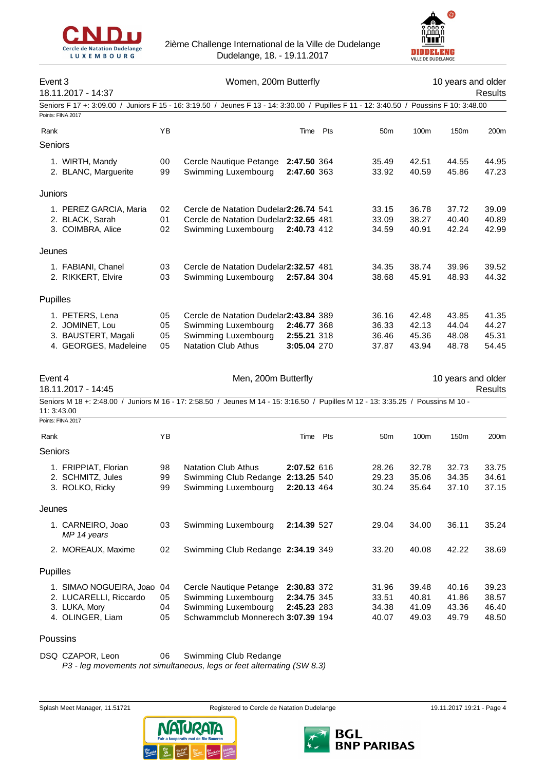



| Event 3           | 18.11.2017 - 14:37                                                                        | Women, 200m Butterfly |                                                                                                                                  |                                           |     |                                  |                                  | 10 years and older<br>Results    |                                  |  |
|-------------------|-------------------------------------------------------------------------------------------|-----------------------|----------------------------------------------------------------------------------------------------------------------------------|-------------------------------------------|-----|----------------------------------|----------------------------------|----------------------------------|----------------------------------|--|
| Points: FINA 2017 | Seniors F 17 +: 3:09.00 /                                                                 |                       | Juniors F 15 - 16: 3:19.50 / Jeunes F 13 - 14: 3:30.00 / Pupilles F 11 - 12: 3:40.50 / Poussins F 10: 3:48.00                    |                                           |     |                                  |                                  |                                  |                                  |  |
| Rank              |                                                                                           | YB                    |                                                                                                                                  | Time                                      | Pts | 50 <sub>m</sub>                  | 100m                             | 150m                             | 200m                             |  |
| Seniors           |                                                                                           |                       |                                                                                                                                  |                                           |     |                                  |                                  |                                  |                                  |  |
|                   | 1. WIRTH, Mandy<br>2. BLANC, Marguerite                                                   | 00<br>99              | Cercle Nautique Petange<br>Swimming Luxembourg                                                                                   | 2:47.50 364<br>2:47.60 363                |     | 35.49<br>33.92                   | 42.51<br>40.59                   | 44.55<br>45.86                   | 44.95<br>47.23                   |  |
| Juniors           |                                                                                           |                       |                                                                                                                                  |                                           |     |                                  |                                  |                                  |                                  |  |
|                   | 1. PEREZ GARCIA, Maria<br>2. BLACK, Sarah<br>3. COIMBRA, Alice                            | 02<br>01<br>02        | Cercle de Natation Dudelar2:26.74 541<br>Cercle de Natation Dudelar2:32.65 481<br>Swimming Luxembourg                            | 2:40.73 412                               |     | 33.15<br>33.09<br>34.59          | 36.78<br>38.27<br>40.91          | 37.72<br>40.40<br>42.24          | 39.09<br>40.89<br>42.99          |  |
| Jeunes            |                                                                                           |                       |                                                                                                                                  |                                           |     |                                  |                                  |                                  |                                  |  |
|                   | 1. FABIANI, Chanel<br>2. RIKKERT, Elvire                                                  | 03<br>03              | Cercle de Natation Dudelar2:32.57 481<br>Swimming Luxembourg                                                                     | 2:57.84 304                               |     | 34.35<br>38.68                   | 38.74<br>45.91                   | 39.96<br>48.93                   | 39.52<br>44.32                   |  |
| Pupilles          |                                                                                           |                       |                                                                                                                                  |                                           |     |                                  |                                  |                                  |                                  |  |
|                   | 1. PETERS, Lena<br>2. JOMINET, Lou<br>3. BAUSTERT, Magali<br>4. GEORGES, Madeleine        | 05<br>05<br>05<br>05  | Cercle de Natation Dudelar2:43.84 389<br>Swimming Luxembourg<br>Swimming Luxembourg<br><b>Natation Club Athus</b>                | 2:46.77 368<br>2:55.21 318<br>3:05.04 270 |     | 36.16<br>36.33<br>36.46<br>37.87 | 42.48<br>42.13<br>45.36<br>43.94 | 43.85<br>44.04<br>48.08<br>48.78 | 41.35<br>44.27<br>45.31<br>54.45 |  |
| Event 4           | 18.11.2017 - 14:45                                                                        |                       | Men, 200m Butterfly                                                                                                              |                                           |     |                                  |                                  | 10 years and older               | <b>Results</b>                   |  |
| 11: 3:43.00       |                                                                                           |                       | Seniors M 18 +: 2:48.00 / Juniors M 16 - 17: 2:58.50 / Jeunes M 14 - 15: 3:16.50 / Pupilles M 12 - 13: 3:35.25 / Poussins M 10 - |                                           |     |                                  |                                  |                                  |                                  |  |
| Points: FINA 2017 |                                                                                           |                       |                                                                                                                                  |                                           |     |                                  |                                  |                                  |                                  |  |
| Rank              |                                                                                           | YB                    |                                                                                                                                  | Time                                      | Pts | 50 <sub>m</sub>                  | 100m                             | 150m                             | 200m                             |  |
| Seniors           |                                                                                           |                       |                                                                                                                                  |                                           |     |                                  |                                  |                                  |                                  |  |
|                   | 1. FRIPPIAT, Florian<br>2. SCHMITZ, Jules<br>3. ROLKO, Ricky                              | 98<br>99<br>99        | <b>Natation Club Athus</b><br>Swimming Club Redange 2:13.25 540<br>Swimming Luxembourg                                           | 2:07.52 616<br>2:20.13 464                |     | 28.26<br>29.23<br>30.24          | 32.78<br>35.06<br>35.64          | 32.73<br>34.35<br>37.10          | 33.75<br>34.61<br>37.15          |  |
| Jeunes            |                                                                                           |                       |                                                                                                                                  |                                           |     |                                  |                                  |                                  |                                  |  |
|                   | 1. CARNEIRO, Joao<br>MP 14 years                                                          | 03                    | Swimming Luxembourg                                                                                                              | 2:14.39 527                               |     | 29.04                            | 34.00                            | 36.11                            | 35.24                            |  |
|                   | 2. MOREAUX, Maxime                                                                        | 02                    | Swimming Club Redange 2:34.19 349                                                                                                |                                           |     | 33.20                            | 40.08                            | 42.22                            | 38.69                            |  |
| Pupilles          |                                                                                           |                       |                                                                                                                                  |                                           |     |                                  |                                  |                                  |                                  |  |
|                   | 1. SIMAO NOGUEIRA, Joao 04<br>2. LUCARELLI, Riccardo<br>3. LUKA, Mory<br>4. OLINGER, Liam | 05<br>04<br>05        | Cercle Nautique Petange<br>Swimming Luxembourg<br>Swimming Luxembourg<br>Schwammclub Monnerech 3:07.39 194                       | 2:30.83 372<br>2:34.75 345<br>2:45.23 283 |     | 31.96<br>33.51<br>34.38<br>40.07 | 39.48<br>40.81<br>41.09<br>49.03 | 40.16<br>41.86<br>43.36<br>49.79 | 39.23<br>38.57<br>46.40<br>48.50 |  |

Poussins

DSQ CZAPOR, Leon 06 Swimming Club Redange

*P3 - leg movements not simultaneous, legs or feet alternating (SW 8.3)*



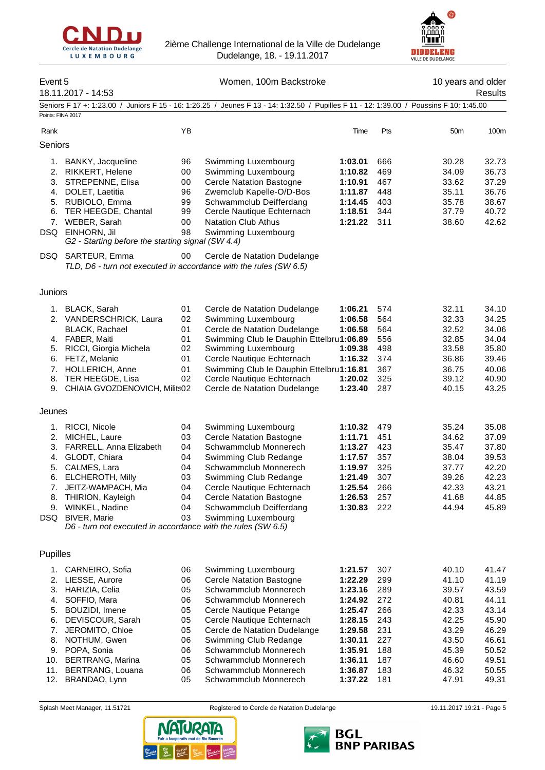



| Event 5                                                          | 18.11.2017 - 14:53                                                                                                                                                                                                                                                          |                                                                      | Women, 100m Backstroke                                                                                                                                                                                                                                                                                                         |                                                                                                                                  |                                                                                  | 10 years and older                                                                                       | Results                                                                                                  |
|------------------------------------------------------------------|-----------------------------------------------------------------------------------------------------------------------------------------------------------------------------------------------------------------------------------------------------------------------------|----------------------------------------------------------------------|--------------------------------------------------------------------------------------------------------------------------------------------------------------------------------------------------------------------------------------------------------------------------------------------------------------------------------|----------------------------------------------------------------------------------------------------------------------------------|----------------------------------------------------------------------------------|----------------------------------------------------------------------------------------------------------|----------------------------------------------------------------------------------------------------------|
| Points: FINA 2017                                                |                                                                                                                                                                                                                                                                             |                                                                      | Seniors F 17 +: 1:23.00 / Juniors F 15 - 16: 1:26.25 / Jeunes F 13 - 14: 1:32.50 / Pupilles F 11 - 12: 1:39.00 / Poussins F 10: 1:45.00                                                                                                                                                                                        |                                                                                                                                  |                                                                                  |                                                                                                          |                                                                                                          |
| Rank                                                             |                                                                                                                                                                                                                                                                             | YB                                                                   |                                                                                                                                                                                                                                                                                                                                | Time                                                                                                                             | Pts                                                                              | 50 <sub>m</sub>                                                                                          | 100m                                                                                                     |
| Seniors                                                          |                                                                                                                                                                                                                                                                             |                                                                      |                                                                                                                                                                                                                                                                                                                                |                                                                                                                                  |                                                                                  |                                                                                                          |                                                                                                          |
| 1.<br>4.<br>6.                                                   | BANKY, Jacqueline<br>2. RIKKERT, Helene<br>3. STREPENNE, Elisa<br>DOLET, Laetitia<br>5. RUBIOLO, Emma<br>TER HEEGDE, Chantal<br>7. WEBER, Sarah<br>DSQ EINHORN, Jil<br>G2 - Starting before the starting signal (SW 4.4)<br>DSQ SARTEUR, Emma                               | 96<br>00<br>00<br>96<br>99<br>99<br>00<br>98<br>00                   | Swimming Luxembourg<br>Swimming Luxembourg<br><b>Cercle Natation Bastogne</b><br>Zwemclub Kapelle-O/D-Bos<br>Schwammclub Deifferdang<br>Cercle Nautique Echternach<br><b>Natation Club Athus</b><br>Swimming Luxembourg<br>Cercle de Natation Dudelange<br>TLD, D6 - turn not executed in accordance with the rules (SW 6.5)   | 1:03.01<br>1:10.82<br>1:10.91<br>1:11.87<br>1:14.45<br>1:18.51<br>1:21.22                                                        | 666<br>469<br>467<br>448<br>403<br>344<br>311                                    | 30.28<br>34.09<br>33.62<br>35.11<br>35.78<br>37.79<br>38.60                                              | 32.73<br>36.73<br>37.29<br>36.76<br>38.67<br>40.72<br>42.62                                              |
| Juniors                                                          |                                                                                                                                                                                                                                                                             |                                                                      |                                                                                                                                                                                                                                                                                                                                |                                                                                                                                  |                                                                                  |                                                                                                          |                                                                                                          |
| 8.                                                               | 1. BLACK, Sarah<br>2. VANDERSCHRICK, Laura<br><b>BLACK, Rachael</b><br>4. FABER, Maiti<br>5. RICCI, Giorgia Michela<br>6. FETZ, Melanie<br>7. HOLLERICH, Anne<br>TER HEEGDE, Lisa<br>9. CHIAIA GVOZDENOVICH, Milits02                                                       | 01<br>02<br>01<br>01<br>02<br>01<br>01<br>02                         | Cercle de Natation Dudelange<br>Swimming Luxembourg<br>Cercle de Natation Dudelange<br>Swimming Club le Dauphin Ettelbru1:06.89<br>Swimming Luxembourg<br>Cercle Nautique Echternach<br>Swimming Club le Dauphin Ettelbru1:16.81<br>Cercle Nautique Echternach<br>Cercle de Natation Dudelange                                 | 1:06.21<br>1:06.58<br>1:06.58<br>1:09.38<br>1:16.32<br>1:20.02<br>1:23.40                                                        | 574<br>564<br>564<br>556<br>498<br>374<br>367<br>325<br>287                      | 32.11<br>32.33<br>32.52<br>32.85<br>33.58<br>36.86<br>36.75<br>39.12<br>40.15                            | 34.10<br>34.25<br>34.06<br>34.04<br>35.80<br>39.46<br>40.06<br>40.90<br>43.25                            |
| Jeunes                                                           |                                                                                                                                                                                                                                                                             |                                                                      |                                                                                                                                                                                                                                                                                                                                |                                                                                                                                  |                                                                                  |                                                                                                          |                                                                                                          |
| 2.<br>3.<br>6.<br>7.<br>8.<br>9.<br>DSQ                          | 1. RICCI, Nicole<br>MICHEL, Laure<br>FARRELL, Anna Elizabeth<br>4. GLODT, Chiara<br>5. CALMES, Lara<br>ELCHEROTH, Milly<br>JEITZ-WAMPACH, Mia<br>THIRION, Kayleigh<br>WINKEL, Nadine<br><b>BIVER, Marie</b><br>D6 - turn not executed in accordance with the rules (SW 6.5) | 04<br>03<br>04<br>04<br>04<br>03<br>04<br>04<br>04<br>03             | Swimming Luxembourg<br><b>Cercle Natation Bastogne</b><br>Schwammclub Monnerech<br>Swimming Club Redange<br>Schwammclub Monnerech<br>Swimming Club Redange<br>Cercle Nautique Echternach<br><b>Cercle Natation Bastogne</b><br>Schwammclub Deifferdang<br>Swimming Luxembourg                                                  | 1:10.32<br>1:11.71<br>1:13.27<br>1:17.57<br>1:19.97<br>1:21.49<br>1:25.54<br>1:26.53<br>1:30.83                                  | 479<br>451<br>423<br>357<br>325<br>307<br>266<br>257<br>222                      | 35.24<br>34.62<br>35.47<br>38.04<br>37.77<br>39.26<br>42.33<br>41.68<br>44.94                            | 35.08<br>37.09<br>37.80<br>39.53<br>42.20<br>42.23<br>43.21<br>44.85<br>45.89                            |
| Pupilles                                                         |                                                                                                                                                                                                                                                                             |                                                                      |                                                                                                                                                                                                                                                                                                                                |                                                                                                                                  |                                                                                  |                                                                                                          |                                                                                                          |
| 1.<br>2.<br>3.<br>4.<br>5.<br>6.<br>7.<br>8.<br>9.<br>10.<br>11. | CARNEIRO, Sofia<br>LIESSE, Aurore<br>HARIZIA, Celia<br>SOFFIO, Mara<br>BOUZIDI, Imene<br>DEVISCOUR, Sarah<br>JEROMITO, Chloe<br>NOTHUM, Gwen<br>POPA, Sonia<br>BERTRANG, Marina<br>BERTRANG, Louana<br>12. BRANDAO, Lynn                                                    | 06<br>06<br>05<br>06<br>05<br>05<br>05<br>06<br>06<br>05<br>06<br>05 | Swimming Luxembourg<br><b>Cercle Natation Bastogne</b><br>Schwammclub Monnerech<br>Schwammclub Monnerech<br>Cercle Nautique Petange<br>Cercle Nautique Echternach<br>Cercle de Natation Dudelange<br>Swimming Club Redange<br>Schwammclub Monnerech<br>Schwammclub Monnerech<br>Schwammclub Monnerech<br>Schwammclub Monnerech | 1:21.57<br>1:22.29<br>1:23.16<br>1:24.92<br>1:25.47<br>1:28.15<br>1:29.58<br>1:30.11<br>1:35.91<br>1:36.11<br>1:36.87<br>1:37.22 | 307<br>299<br>289<br>272<br>266<br>243<br>231<br>227<br>188<br>187<br>183<br>181 | 40.10<br>41.10<br>39.57<br>40.81<br>42.33<br>42.25<br>43.29<br>43.50<br>45.39<br>46.60<br>46.32<br>47.91 | 41.47<br>41.19<br>43.59<br>44.11<br>43.14<br>45.90<br>46.29<br>46.61<br>50.52<br>49.51<br>50.55<br>49.31 |



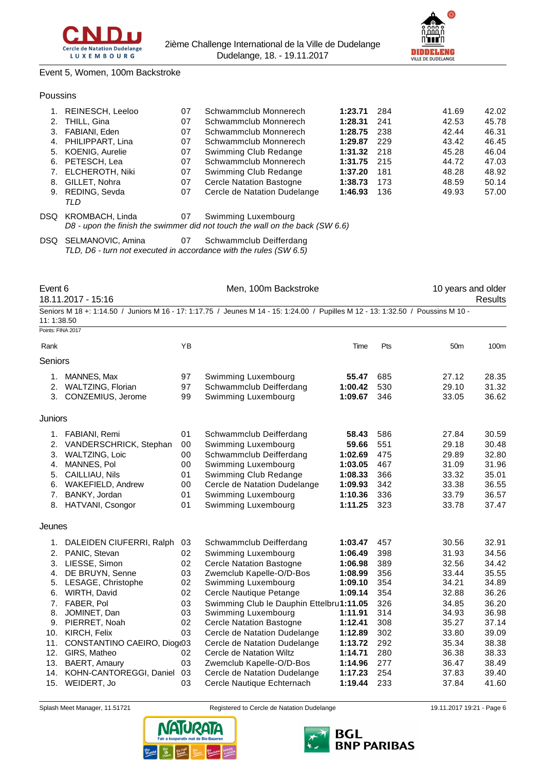



## Event 5, Women, 100m Backstroke

#### Poussins

|    | REINESCH, Leeloo    | 07 | Schwammclub Monnerech           | 1:23.71 | 284 | 41.69 | 42.02 |
|----|---------------------|----|---------------------------------|---------|-----|-------|-------|
| 2. | THILL, Gina         | 07 | Schwammclub Monnerech           | 1:28.31 | 241 | 42.53 | 45.78 |
|    | 3. FABIANI, Eden    | 07 | Schwammclub Monnerech           | 1:28.75 | 238 | 42.44 | 46.31 |
|    | 4. PHILIPPART, Lina | 07 | Schwammclub Monnerech           | 1:29.87 | 229 | 43.42 | 46.45 |
|    | 5. KOENIG, Aurelie  | 07 | Swimming Club Redange           | 1:31.32 | 218 | 45.28 | 46.04 |
|    | 6. PETESCH, Lea     | 07 | Schwammclub Monnerech           | 1:31.75 | 215 | 44.72 | 47.03 |
|    | 7. ELCHEROTH, Niki  | 07 | Swimming Club Redange           | 1:37.20 | 181 | 48.28 | 48.92 |
| 8. | GILLET, Nohra       | 07 | <b>Cercle Natation Bastogne</b> | 1:38.73 | 173 | 48.59 | 50.14 |
|    | 9. REDING, Sevda    | 07 | Cercle de Natation Dudelange    | 1:46.93 | 136 | 49.93 | 57.00 |
|    | TLD                 |    |                                 |         |     |       |       |
|    |                     |    |                                 |         |     |       |       |

DSQ KROMBACH, Linda 07 Swimming Luxembourg *D8 - upon the finish the swimmer did not touch the wall on the back (SW 6.6)*

DSQ SELMANOVIC, Amina 07 Schwammclub Deifferdang *TLD, D6 - turn not executed in accordance with the rules (SW 6.5)*

Points: FINA 2017

Event 6 **Exercise 10** Men, 100m Backstroke **10** years and older

Rank **8** Time Pts 50m 100m

18.11.2017 - 15:16 Results

|             |  | Seniors M 18 +: 1:14.50 / Juniors M 16 - 17: 1:17.75 / Jeunes M 14 - 15: 1:24.00 / Pupilles M 12 - 13: 1:32.50 / Poussins M 10 - |  |
|-------------|--|----------------------------------------------------------------------------------------------------------------------------------|--|
| 11: 1:38.50 |  |                                                                                                                                  |  |

| Seniors |
|---------|
|         |

| uu luu         |                           |    |                         |         |     |       |       |
|----------------|---------------------------|----|-------------------------|---------|-----|-------|-------|
|                | MANNES, Max               | 97 | Swimming Luxembourg     | 55.47   | 685 | 27.12 | 28.35 |
| 2.             | WALTZING, Florian         | 97 | Schwammclub Deifferdang | 1:00.42 | 530 | 29.10 | 31.32 |
|                | 3. CONZEMIUS, Jerome      | 99 | Swimming Luxembourg     | 1:09.67 | 346 | 33.05 | 36.62 |
| <b>Juniors</b> |                           |    |                         |         |     |       |       |
|                | 1. FABIANI, Remi          | 01 | Schwammclub Deifferdang | 58.43   | 586 | 27.84 | 30.59 |
|                | 2. VANDERSCHRICK, Stephan | 00 | Swimming Luxembourg     | 59.66   | 551 | 29.18 | 30.48 |
| 3.             | WALTZING, Loic            | 00 | Schwammclub Deifferdang | 1:02.69 | 475 | 29.89 | 32.80 |

| 3. WALTZING, Loic    | 00 | Schwammclub Deifferdang         | 1:02.69 475   | 29.89 | 32.80 |
|----------------------|----|---------------------------------|---------------|-------|-------|
| 4. MANNES, Pol.      |    | 00 Swimming Luxembourg          | 1:03.05 467   | 31.09 | 31.96 |
| 5. CAILLIAU, Nils    | 01 | Swimming Club Redange           | 1:08.33 366   | 33.32 | 35.01 |
| 6. WAKEFIELD, Andrew |    | 00 Cercle de Natation Dudelange | 1:09.93 342   | 33.38 | 36.55 |
| 7. BANKY, Jordan     | 01 | Swimming Luxembourg             | 1:10.36 336   | 33.79 | 36.57 |
| 8. HATVANI, Csongor  | 01 | Swimming Luxembourg             | $1:11.25$ 323 | 33.78 | 37.47 |

Jeunes

|     | 1. DALEIDEN CIUFERRI, Ralph | 03 | Schwammclub Deifferdang                  | 1:03.47 | 457 | 30.56 | 32.91 |
|-----|-----------------------------|----|------------------------------------------|---------|-----|-------|-------|
|     | 2. PANIC, Stevan            | 02 | Swimming Luxembourg                      | 1:06.49 | 398 | 31.93 | 34.56 |
| 3.  | LIESSE, Simon               | 02 | <b>Cercle Natation Bastogne</b>          | 1:06.98 | 389 | 32.56 | 34.42 |
| 4.  | DE BRUYN, Senne             | 03 | Zwemclub Kapelle-O/D-Bos                 | 1:08.99 | 356 | 33.44 | 35.55 |
| 5.  | LESAGE, Christophe          | 02 | Swimming Luxembourg                      | 1:09.10 | 354 | 34.21 | 34.89 |
| 6.  | WIRTH, David                | 02 | Cercle Nautique Petange                  | 1:09.14 | 354 | 32.88 | 36.26 |
| 7.  | FABER, Pol                  | 03 | Swimming Club le Dauphin Ettelbru1:11.05 |         | 326 | 34.85 | 36.20 |
| 8.  | JOMINET, Dan                | 03 | Swimming Luxembourg                      | 1:11.91 | 314 | 34.93 | 36.98 |
| 9.  | PIERRET, Noah               | 02 | <b>Cercle Natation Bastogne</b>          | 1:12.41 | 308 | 35.27 | 37.14 |
| 10. | KIRCH, Felix                | 03 | Cercle de Natation Dudelange             | 1:12.89 | 302 | 33.80 | 39.09 |
| 11. | CONSTANTINO CAEIRO, Diogr03 |    | Cercle de Natation Dudelange             | 1:13.72 | 292 | 35.34 | 38.38 |
| 12. | GIRS, Matheo                | 02 | Cercle de Natation Wiltz                 | 1:14.71 | 280 | 36.38 | 38.33 |
| 13. | BAERT, Amaury               | 03 | Zwemclub Kapelle-O/D-Bos                 | 1:14.96 | 277 | 36.47 | 38.49 |
| 14. | KOHN-CANTOREGGI, Daniel     | 03 | Cercle de Natation Dudelange             | 1:17.23 | 254 | 37.83 | 39.40 |
| 15. | WEIDERT, Jo                 | 03 | Cercle Nautique Echternach               | 1:19.44 | 233 | 37.84 | 41.60 |
|     |                             |    |                                          |         |     |       |       |



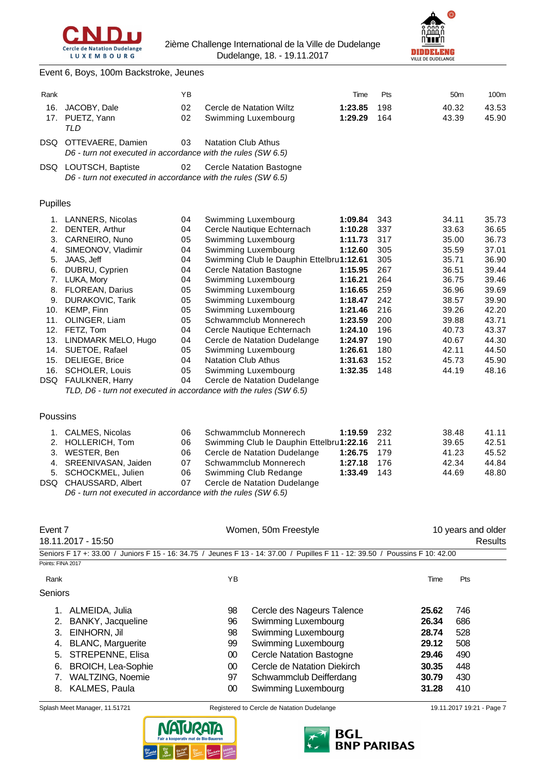



|  |  |  | Event 6, Boys, 100m Backstroke, Jeunes |  |
|--|--|--|----------------------------------------|--|
|--|--|--|----------------------------------------|--|

|          | Lvent 0, DOys, Tourn Dackstroke, Jeanes                                               |    |                                          |         |     |                 |       |
|----------|---------------------------------------------------------------------------------------|----|------------------------------------------|---------|-----|-----------------|-------|
| Rank     |                                                                                       | ΥB |                                          | Time    | Pts | 50 <sub>m</sub> | 100m  |
|          | 16. JACOBY, Dale                                                                      | 02 | Cercle de Natation Wiltz                 | 1:23.85 | 198 | 40.32           | 43.53 |
| 17.      | PUETZ, Yann<br><b>TLD</b>                                                             | 02 | Swimming Luxembourg                      | 1:29.29 | 164 | 43.39           | 45.90 |
|          | DSQ OTTEVAERE, Damien<br>D6 - turn not executed in accordance with the rules (SW 6.5) | 03 | <b>Natation Club Athus</b>               |         |     |                 |       |
|          | DSQ LOUTSCH, Baptiste<br>D6 - turn not executed in accordance with the rules (SW 6.5) | 02 | <b>Cercle Natation Bastogne</b>          |         |     |                 |       |
| Pupilles |                                                                                       |    |                                          |         |     |                 |       |
|          | 1. LANNERS, Nicolas                                                                   | 04 | Swimming Luxembourg                      | 1:09.84 | 343 | 34.11           | 35.73 |
| 2.       | DENTER, Arthur                                                                        | 04 | Cercle Nautique Echternach               | 1:10.28 | 337 | 33.63           | 36.65 |
|          | 3. CARNEIRO, Nuno                                                                     | 05 | Swimming Luxembourg                      | 1:11.73 | 317 | 35.00           | 36.73 |
| 4.       | SIMEONOV, Vladimir                                                                    | 04 | Swimming Luxembourg                      | 1:12.60 | 305 | 35.59           | 37.01 |
| 5.       | JAAS, Jeff                                                                            | 04 | Swimming Club le Dauphin Ettelbru1:12.61 |         | 305 | 35.71           | 36.90 |
| 6.       | DUBRU, Cyprien                                                                        | 04 | <b>Cercle Natation Bastogne</b>          | 1:15.95 | 267 | 36.51           | 39.44 |
|          | 7. LUKA, Mory                                                                         | 04 | Swimming Luxembourg                      | 1:16.21 | 264 | 36.75           | 39.46 |
|          | 8. FLOREAN, Darius                                                                    | 05 | Swimming Luxembourg                      | 1:16.65 | 259 | 36.96           | 39.69 |
| 9.       | DURAKOVIC, Tarik                                                                      | 05 | Swimming Luxembourg                      | 1:18.47 | 242 | 38.57           | 39.90 |
| 10.      | KEMP, Finn                                                                            | 05 | Swimming Luxembourg                      | 1:21.46 | 216 | 39.26           | 42.20 |
| 11.      | OLINGER, Liam                                                                         | 05 | Schwammclub Monnerech                    | 1:23.59 | 200 | 39.88           | 43.71 |
| 12.      | FETZ, Tom                                                                             | 04 | Cercle Nautique Echternach               | 1:24.10 | 196 | 40.73           | 43.37 |
| 13.      | LINDMARK MELO, Hugo                                                                   | 04 | Cercle de Natation Dudelange             | 1:24.97 | 190 | 40.67           | 44.30 |
| 14.      | SUETOE, Rafael                                                                        | 05 | Swimming Luxembourg                      | 1:26.61 | 180 | 42.11           | 44.50 |
| 15.      | DELIEGE, Brice                                                                        | 04 | <b>Natation Club Athus</b>               | 1:31.63 | 152 | 45.73           | 45.90 |
|          | 16. SCHOLER, Louis                                                                    | 05 | Swimming Luxembourg                      | 1:32.35 | 148 | 44.19           | 48.16 |
|          | DSQ FAULKNER, Harry                                                                   | 04 | Cercle de Natation Dudelange             |         |     |                 |       |
|          | TLD, D6 - turn not executed in accordance with the rules (SW 6.5)                     |    |                                          |         |     |                 |       |
| Poussins |                                                                                       |    |                                          |         |     |                 |       |
| 1.       | CALMES, Nicolas                                                                       | 06 | Schwammclub Monnerech                    | 1:19.59 | 232 | 38.48           | 41.11 |
| 2.       | HOLLERICH, Tom                                                                        | 06 | Swimming Club le Dauphin Ettelbru1:22.16 |         | 211 | 39.65           | 42.51 |
|          | 3. WESTER, Ben                                                                        | 06 | Cercle de Natation Dudelange             | 1:26.75 | 179 | 41.23           | 45.52 |
|          | 4. SREENIVASAN, Jaiden                                                                | 07 | Schwammclub Monnerech                    | 1:27.18 | 176 | 42.34           | 44.84 |
|          | 5. SCHOCKMEL, Julien                                                                  | 06 | Swimming Club Redange                    | 1:33.49 | 143 | 44.69           | 48.80 |
|          | DSQ CHAUSSARD, Albert                                                                 | 07 | Cercle de Natation Dudelange             |         |     |                 |       |
|          | D6 - turn not executed in accordance with the rules (SW 6.5)                          |    |                                          |         |     |                 |       |
|          |                                                                                       |    |                                          |         |     |                 |       |

| Event 7<br>18.11.2017 - 15:50 |                           |    | Women, 50m Freestyle                                                                                                          |       | 10 years and older<br><b>Results</b> |  |  |
|-------------------------------|---------------------------|----|-------------------------------------------------------------------------------------------------------------------------------|-------|--------------------------------------|--|--|
|                               |                           |    | Seniors F 17 +: 33.00 / Juniors F 15 - 16: 34.75 / Jeunes F 13 - 14: 37.00 / Pupilles F 11 - 12: 39.50 / Poussins F 10: 42.00 |       |                                      |  |  |
| Points: FINA 2017             |                           |    |                                                                                                                               |       |                                      |  |  |
| Rank                          |                           | YB |                                                                                                                               | Time  | Pts                                  |  |  |
| Seniors                       |                           |    |                                                                                                                               |       |                                      |  |  |
| 1.                            | ALMEIDA, Julia            | 98 | Cercle des Nageurs Talence                                                                                                    | 25.62 | 746                                  |  |  |
|                               | BANKY, Jacqueline         | 96 | Swimming Luxembourg                                                                                                           | 26.34 | 686                                  |  |  |
| 3.                            | EINHORN, Jil              | 98 | Swimming Luxembourg                                                                                                           | 28.74 | 528                                  |  |  |
| 4.                            | <b>BLANC, Marguerite</b>  | 99 | Swimming Luxembourg                                                                                                           | 29.12 | 508                                  |  |  |
| 5.                            | <b>STREPENNE, Elisa</b>   | 00 | <b>Cercle Natation Bastogne</b>                                                                                               | 29.46 | 490                                  |  |  |
| 6.                            | <b>BROICH, Lea-Sophie</b> | 00 | Cercle de Natation Diekirch                                                                                                   | 30.35 | 448                                  |  |  |
|                               | WALTZING, Noemie          | 97 | Schwammclub Deifferdang                                                                                                       | 30.79 | 430                                  |  |  |
| 8.                            | <b>KALMES, Paula</b>      | 00 | Swimming Luxembourg                                                                                                           | 31.28 | 410                                  |  |  |





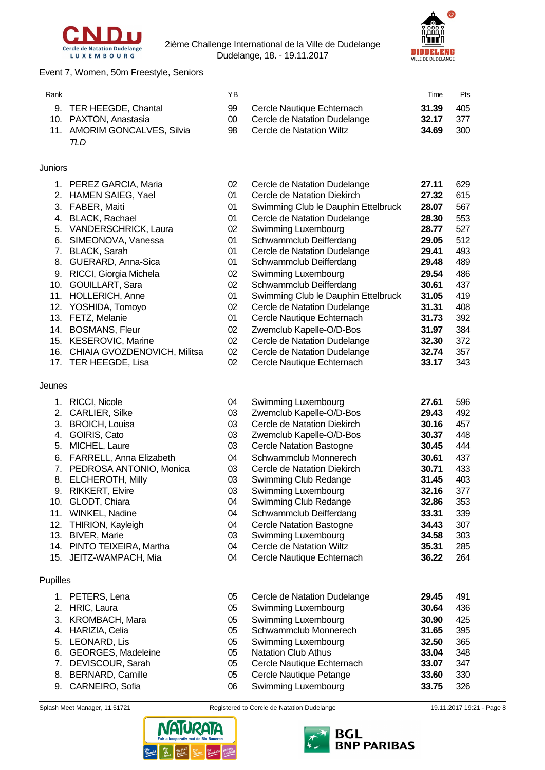



## Event 7, Women, 50m Freestyle, Seniors

| Rank |                              | ΥB  |                              | Time  | Pts |
|------|------------------------------|-----|------------------------------|-------|-----|
|      | 9. TER HEEGDE, Chantal       | 99  | Cercle Nautique Echternach   | 31.39 | 405 |
|      | 10. PAXTON, Anastasia        | 00. | Cercle de Natation Dudelange | 32.17 | 377 |
|      | 11. AMORIM GONCALVES, Silvia | 98. | Cercle de Natation Wiltz     | 34.69 | 300 |
|      | TLD                          |     |                              |       |     |

## Juniors

|        | 1. PEREZ GARCIA, Maria       | 02 | Cercle de Natation Dudelange        | 27.11 | 629 |
|--------|------------------------------|----|-------------------------------------|-------|-----|
|        | 2. HAMEN SAIEG, Yael         | 01 | Cercle de Natation Diekirch         | 27.32 | 615 |
| 3.     | FABER, Maiti                 | 01 | Swimming Club le Dauphin Ettelbruck | 28.07 | 567 |
| 4.     | <b>BLACK, Rachael</b>        | 01 | Cercle de Natation Dudelange        | 28.30 | 553 |
| 5.     | <b>VANDERSCHRICK, Laura</b>  | 02 | Swimming Luxembourg                 | 28.77 | 527 |
| 6.     | SIMEONOVA, Vanessa           | 01 | Schwammclub Deifferdang             | 29.05 | 512 |
| 7.     | BLACK, Sarah                 | 01 | Cercle de Natation Dudelange        | 29.41 | 493 |
| 8.     | GUERARD, Anna-Sica           | 01 | Schwammclub Deifferdang             | 29.48 | 489 |
| 9.     | RICCI, Giorgia Michela       | 02 | Swimming Luxembourg                 | 29.54 | 486 |
| 10.    | <b>GOUILLART, Sara</b>       | 02 | Schwammclub Deifferdang             | 30.61 | 437 |
| 11.    | <b>HOLLERICH, Anne</b>       | 01 | Swimming Club le Dauphin Ettelbruck | 31.05 | 419 |
| 12.    | YOSHIDA, Tomoyo              | 02 | Cercle de Natation Dudelange        | 31.31 | 408 |
| 13.    | FETZ, Melanie                | 01 | Cercle Nautique Echternach          | 31.73 | 392 |
| 14.    | <b>BOSMANS, Fleur</b>        | 02 | Zwemclub Kapelle-O/D-Bos            | 31.97 | 384 |
| 15.    | <b>KESEROVIC, Marine</b>     | 02 | Cercle de Natation Dudelange        | 32.30 | 372 |
| 16.    | CHIAIA GVOZDENOVICH, Militsa | 02 | Cercle de Natation Dudelange        | 32.74 | 357 |
|        | 17. TER HEEGDE, Lisa         | 02 | Cercle Nautique Echternach          | 33.17 | 343 |
|        |                              |    |                                     |       |     |
| Jeunes |                              |    |                                     |       |     |

| 04 | Swimming Luxembourg             | 27.61 | 596 |
|----|---------------------------------|-------|-----|
| 03 | Zwemclub Kapelle-O/D-Bos        | 29.43 | 492 |
| 03 | Cercle de Natation Diekirch     | 30.16 | 457 |
| 03 | Zwemclub Kapelle-O/D-Bos        | 30.37 | 448 |
| 03 | <b>Cercle Natation Bastogne</b> | 30.45 | 444 |
| 04 | Schwammclub Monnerech           | 30.61 | 437 |
| 03 | Cercle de Natation Diekirch     | 30.71 | 433 |
| 03 | Swimming Club Redange           | 31.45 | 403 |
| 03 | Swimming Luxembourg             | 32.16 | 377 |
| 04 | Swimming Club Redange           | 32.86 | 353 |
| 04 | Schwammclub Deifferdang         | 33.31 | 339 |
| 04 | Cercle Natation Bastogne        | 34.43 | 307 |
| 03 | Swimming Luxembourg             | 34.58 | 303 |
| 04 | Cercle de Natation Wiltz        | 35.31 | 285 |
| 04 | Cercle Nautique Echternach      | 36 22 | 264 |

| 05 | Cercle de Natation Dudelange | 29.45 | 491 |
|----|------------------------------|-------|-----|
| 05 | Swimming Luxembourg          | 30.64 | 436 |
| 05 | <b>Swimming Luxembourg</b>   | 30.90 | 425 |
| 05 | Schwammclub Monnerech        | 31.65 | 395 |
| 05 | Swimming Luxembourg          | 32.50 | 365 |
| 05 | <b>Natation Club Athus</b>   | 33.04 | 348 |
| 05 | Cercle Nautique Echternach   | 33.07 | 347 |
| 05 | Cercle Nautique Petange      | 33.60 | 330 |
| 06 | Swimming Luxembourg          | 33.75 | 326 |

1. PETERS, Lena 2. HRIC, Laura

3. KROMBACH, Mara 4. HARIZIA, Celia 5. LEONARD, Lis

6. GEORGES, Madeleine 7. DEVISCOUR, Sarah 8. BERNARD, Camille 9. CARNEIRO, Sofia

Pupilles

1. RICCI, Nicole 2. CARLIER, Silke 3. BROICH, Louisa 4. GOIRIS, Cato 5. MICHEL, Laure

6. FARRELL, Anna Elizabeth 7. PEDROSA ANTONIO, Monica

14. PINTO TEIXEIRA, Martha 15. JEITZ-WAMPACH, Mia

8. ELCHEROTH, Milly 9. RIKKERT, Elvire 10. GLODT, Chiara 11. WINKEL, Nadine 12. THIRION, Kayleigh 13. BIVER, Marie





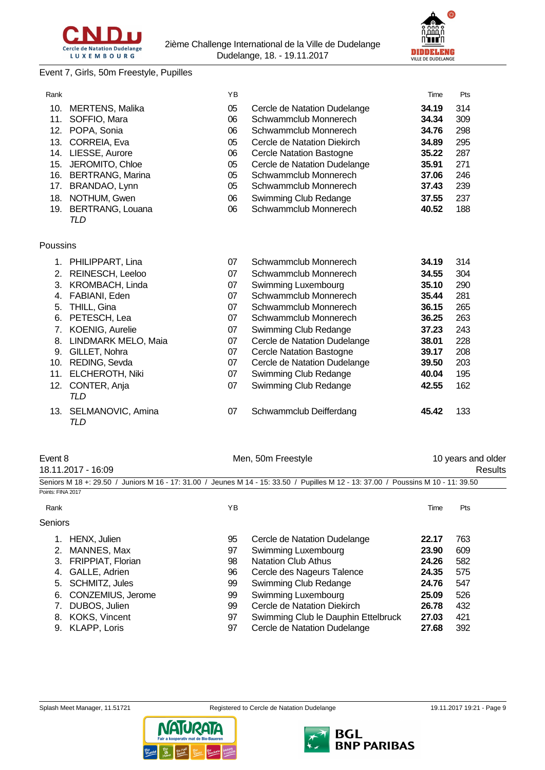

# **DIDDELENG**

# Event 7, Girls, 50m Freestyle, Pupilles

| Rank     |                         | YB |                                 | Time  | Pts |
|----------|-------------------------|----|---------------------------------|-------|-----|
| 10.      | MERTENS, Malika         | 05 | Cercle de Natation Dudelange    | 34.19 | 314 |
| 11.      | SOFFIO, Mara            | 06 | Schwammclub Monnerech           | 34.34 | 309 |
| 12.      | POPA, Sonia             | 06 | Schwammclub Monnerech           | 34.76 | 298 |
| 13.      | CORREIA, Eva            | 05 | Cercle de Natation Diekirch     | 34.89 | 295 |
| 14.      | LIESSE, Aurore          | 06 | <b>Cercle Natation Bastogne</b> | 35.22 | 287 |
| 15.      | JEROMITO, Chloe         | 05 | Cercle de Natation Dudelange    | 35.91 | 271 |
| 16.      | <b>BERTRANG, Marina</b> | 05 | Schwammclub Monnerech           | 37.06 | 246 |
| 17.      | BRANDAO, Lynn           | 05 | Schwammclub Monnerech           | 37.43 | 239 |
| 18.      | NOTHUM, Gwen            | 06 | Swimming Club Redange           | 37.55 | 237 |
| 19.      | <b>BERTRANG, Louana</b> | 06 | Schwammclub Monnerech           | 40.52 | 188 |
|          | TLD                     |    |                                 |       |     |
|          |                         |    |                                 |       |     |
| Poussins |                         |    |                                 |       |     |
| 1.       | PHILIPPART, Lina        | 07 | Schwammclub Monnerech           | 34.19 | 314 |
| 2.       | <b>REINESCH, Leeloo</b> | 07 | Schwammclub Monnerech           | 34.55 | 304 |
| 3.       | KROMBACH, Linda         | 07 | Swimming Luxembourg             | 35.10 | 290 |
| 4.       | FABIANI, Eden           | 07 | Schwammclub Monnerech           | 35.44 | 281 |
| 5.       | THILL, Gina             | 07 | Schwammclub Monnerech           | 36.15 | 265 |
| 6.       | PETESCH, Lea            | 07 | Schwammclub Monnerech           | 36.25 | 263 |
| 7.       | KOENIG, Aurelie         | 07 | Swimming Club Redange           | 37.23 | 243 |
| 8.       | LINDMARK MELO, Maia     | 07 | Cercle de Natation Dudelange    | 38.01 | 228 |

- 
- 
- 
- *TLD*
- *TLD*
- 9. GILLET, Nohra 07 Cercle Natation Bastogne **39.17** 208 07 Cercle de Natation Dudelange **39.50** 203 11. ELCHEROTH, Niki 07 Swimming Club Redange **40.04** 195 12. CONTER, Anja 07 Swimming Club Redange **42.55** 162 13. SELMANOVIC, Amina 07 Schwammclub Deifferdang **45.42** 133

Event 8 **Exercise 2 Menume 10 years and older** Men, 50m Freestyle **10 years and older** 18.11.2017 - 16:09 Results

|                   |                          |    | Seniors M 18 +: 29.50 / Juniors M 16 - 17: 31.00 / Jeunes M 14 - 15: 33.50 / Pupilles M 12 - 13: 37.00 / Poussins M 10 - 11: 39.50 |       |     |
|-------------------|--------------------------|----|------------------------------------------------------------------------------------------------------------------------------------|-------|-----|
| Points: FINA 2017 |                          |    |                                                                                                                                    |       |     |
| Rank              |                          | ΥB |                                                                                                                                    | Time  | Pts |
| <b>Seniors</b>    |                          |    |                                                                                                                                    |       |     |
|                   | HENX, Julien             | 95 | Cercle de Natation Dudelange                                                                                                       | 22.17 | 763 |
| 2.                | MANNES, Max              | 97 | Swimming Luxembourg                                                                                                                | 23.90 | 609 |
| 3.                | <b>FRIPPIAT, Florian</b> | 98 | <b>Natation Club Athus</b>                                                                                                         | 24.26 | 582 |
| 4.                | GALLE, Adrien            | 96 | Cercle des Nageurs Talence                                                                                                         | 24.35 | 575 |
| 5.                | <b>SCHMITZ, Jules</b>    | 99 | Swimming Club Redange                                                                                                              | 24.76 | 547 |
| 6.                | CONZEMIUS, Jerome        | 99 | Swimming Luxembourg                                                                                                                | 25.09 | 526 |
|                   | DUBOS, Julien            | 99 | Cercle de Natation Diekirch                                                                                                        | 26.78 | 432 |
| 8.                | KOKS, Vincent            | 97 | Swimming Club le Dauphin Ettelbruck                                                                                                | 27.03 | 421 |
| 9.                | <b>KLAPP, Loris</b>      | 97 | Cercle de Natation Dudelange                                                                                                       | 27.68 | 392 |

- -



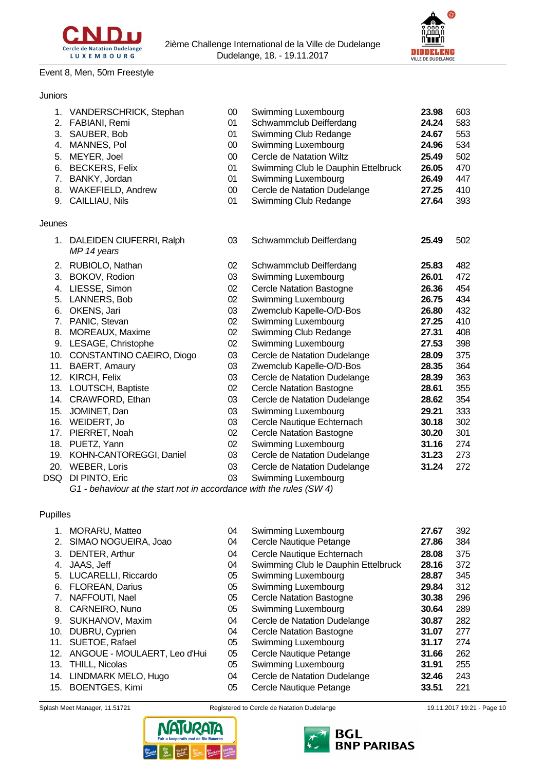

# Event 8, Men, 50m Freestyle

# Juniors

|        | 1. VANDERSCHRICK, Stephan                  | 00     | Swimming Luxembourg                 | 23.98 | 603 |
|--------|--------------------------------------------|--------|-------------------------------------|-------|-----|
|        | 2. FABIANI, Remi                           | 01     | Schwammclub Deifferdang             | 24.24 | 583 |
|        | 3. SAUBER, Bob                             | 01     | Swimming Club Redange               | 24.67 | 553 |
| 4.     | MANNES, Pol                                | $00\,$ | Swimming Luxembourg                 | 24.96 | 534 |
| 5.     | MEYER, Joel                                | $00\,$ | <b>Cercle de Natation Wiltz</b>     | 25.49 | 502 |
| 6.     | <b>BECKERS, Felix</b>                      | 01     | Swimming Club le Dauphin Ettelbruck | 26.05 | 470 |
| 7.     | BANKY, Jordan                              | 01     | Swimming Luxembourg                 | 26.49 | 447 |
| 8.     | <b>WAKEFIELD, Andrew</b>                   | $00\,$ | Cercle de Natation Dudelange        | 27.25 | 410 |
| 9.     | CAILLIAU, Nils                             | 01     | Swimming Club Redange               | 27.64 | 393 |
| Jeunes |                                            |        |                                     |       |     |
|        | 1. DALEIDEN CIUFERRI, Ralph<br>MP 14 years | 03     | Schwammclub Deifferdang             | 25.49 | 502 |
|        | 2. RUBIOLO, Nathan                         | 02     | Schwammclub Deifferdang             | 25.83 | 482 |
| 3.     | BOKOV, Rodion                              | 03     | Swimming Luxembourg                 | 26.01 | 472 |
| 4.     | LIESSE, Simon                              | 02     | <b>Cercle Natation Bastogne</b>     | 26.36 | 454 |
| 5.     | LANNERS, Bob                               | 02     | Swimming Luxembourg                 | 26.75 | 434 |
| 6.     | OKENS, Jari                                | 03     | Zwemclub Kapelle-O/D-Bos            | 26.80 | 432 |
| 7.     | PANIC, Stevan                              | 02     | Swimming Luxembourg                 | 27.25 | 410 |
| 8.     | MOREAUX, Maxime                            | 02     | Swimming Club Redange               | 27.31 | 408 |
|        | 9. LESAGE, Christophe                      | 02     | Swimming Luxembourg                 | 27.53 | 398 |
|        | 10. CONSTANTINO CAEIRO, Diogo              | 03     | Cercle de Natation Dudelange        | 28.09 | 375 |
|        | 11. BAERT, Amaury                          | 03     | Zwemclub Kapelle-O/D-Bos            | 28.35 | 364 |
| 12.    | KIRCH, Felix                               | 03     | Cercle de Natation Dudelange        | 28.39 | 363 |
|        | 13. LOUTSCH, Baptiste                      | 02     | <b>Cercle Natation Bastogne</b>     | 28.61 | 355 |
|        | 14. CRAWFORD, Ethan                        | 03     | Cercle de Natation Dudelange        | 28.62 | 354 |
|        | 15. JOMINET, Dan                           | 03     | <b>Swimming Luxembourg</b>          | 29.21 | 333 |
|        | 16. WEIDERT, Jo                            | 03     | Cercle Nautique Echternach          | 30.18 | 302 |
| 17.    | PIERRET, Noah                              | 02     | <b>Cercle Natation Bastogne</b>     | 30.20 | 301 |
|        | 18. PUETZ, Yann                            | 02     | Swimming Luxembourg                 | 31.16 | 274 |
|        | 19. KOHN-CANTOREGGI, Daniel                | 03     | Cercle de Natation Dudelange        | 31.23 | 273 |
|        | 20. WEBER, Loris                           | 03     | Cercle de Natation Dudelange        | 31.24 | 272 |
|        | DSQ DI PINTO, Eric                         | 03     | Swimming Luxembourg                 |       |     |
|        |                                            |        |                                     |       |     |

*G1 - behaviour at the start not in accordance with the rules (SW 4)*

# Pupilles

|     | 1. MORARU, Matteo            | 04 | Swimming Luxembourg                 | 27.67 | 392 |
|-----|------------------------------|----|-------------------------------------|-------|-----|
|     | 2. SIMAO NOGUEIRA, Joao      | 04 | Cercle Nautique Petange             | 27.86 | 384 |
| 3.  | DENTER, Arthur               | 04 | Cercle Nautique Echternach          | 28.08 | 375 |
| 4.  | JAAS, Jeff                   | 04 | Swimming Club le Dauphin Ettelbruck | 28.16 | 372 |
| 5.  | LUCARELLI, Riccardo          | 05 | Swimming Luxembourg                 | 28.87 | 345 |
| 6.  | FLOREAN, Darius              | 05 | Swimming Luxembourg                 | 29.84 | 312 |
| 7.  | NAFFOUTI, Nael               | 05 | <b>Cercle Natation Bastogne</b>     | 30.38 | 296 |
|     | 8. CARNEIRO, Nuno            | 05 | Swimming Luxembourg                 | 30.64 | 289 |
| 9.  | SUKHANOV, Maxim              | 04 | Cercle de Natation Dudelange        | 30.87 | 282 |
|     | 10. DUBRU, Cyprien           | 04 | <b>Cercle Natation Bastogne</b>     | 31.07 | 277 |
|     | 11. SUETOE, Rafael           | 05 | Swimming Luxembourg                 | 31.17 | 274 |
| 12. | ANGOUE - MOULAERT, Leo d'Hui | 05 | Cercle Nautique Petange             | 31.66 | 262 |
|     | 13. THILL, Nicolas           | 05 | Swimming Luxembourg                 | 31.91 | 255 |
|     | 14. LINDMARK MELO, Hugo      | 04 | Cercle de Natation Dudelange        | 32.46 | 243 |
|     | 15. BOENTGES, Kimi           | 05 | Cercle Nautique Petange             | 33.51 | 221 |
|     |                              |    |                                     |       |     |





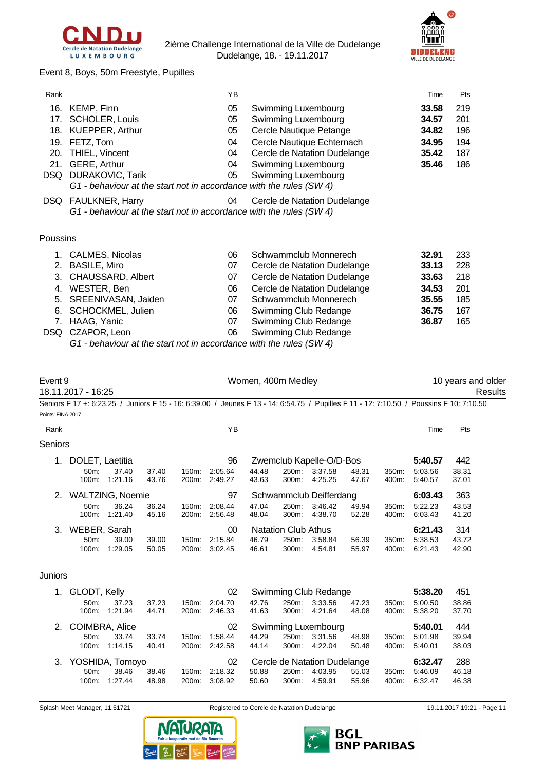



Event 8, Boys, 50m Freestyle, Pupilles

| Rank              |                        |                        |                |       | YB                                                                                                                                      |                    |                            |                              |                |                | Time               | Pts                |         |
|-------------------|------------------------|------------------------|----------------|-------|-----------------------------------------------------------------------------------------------------------------------------------------|--------------------|----------------------------|------------------------------|----------------|----------------|--------------------|--------------------|---------|
|                   | 16. KEMP, Finn         |                        |                |       | 05                                                                                                                                      |                    |                            | Swimming Luxembourg          |                |                | 33.58              | 219                |         |
|                   | 17. SCHOLER, Louis     |                        |                |       | 05                                                                                                                                      |                    |                            | Swimming Luxembourg          |                |                | 34.57              | 201                |         |
|                   | 18. KUEPPER, Arthur    |                        |                |       | 05                                                                                                                                      |                    |                            | Cercle Nautique Petange      |                |                | 34.82              | 196                |         |
|                   | 19. FETZ, Tom          |                        |                |       | 04                                                                                                                                      |                    |                            | Cercle Nautique Echternach   |                |                | 34.95              | 194                |         |
|                   | 20. THIEL, Vincent     |                        |                |       | 04                                                                                                                                      |                    |                            | Cercle de Natation Dudelange |                |                | 35.42              | 187                |         |
|                   | 21. GERE, Arthur       |                        |                |       | 04                                                                                                                                      |                    |                            | Swimming Luxembourg          |                |                | 35.46              | 186                |         |
|                   | DSQ DURAKOVIC, Tarik   |                        |                |       | 05                                                                                                                                      |                    |                            | Swimming Luxembourg          |                |                |                    |                    |         |
|                   |                        |                        |                |       | G1 - behaviour at the start not in accordance with the rules (SW 4)                                                                     |                    |                            |                              |                |                |                    |                    |         |
|                   | DSQ FAULKNER, Harry    |                        |                |       | 04                                                                                                                                      |                    |                            | Cercle de Natation Dudelange |                |                |                    |                    |         |
|                   |                        |                        |                |       | G1 - behaviour at the start not in accordance with the rules (SW 4)                                                                     |                    |                            |                              |                |                |                    |                    |         |
| Poussins          |                        |                        |                |       |                                                                                                                                         |                    |                            |                              |                |                |                    |                    |         |
|                   | 1. CALMES, Nicolas     |                        |                |       | 06                                                                                                                                      |                    |                            | Schwammclub Monnerech        |                |                | 32.91              | 233                |         |
|                   | 2. BASILE, Miro        |                        |                |       | 07                                                                                                                                      |                    |                            | Cercle de Natation Dudelange |                |                | 33.13              | 228                |         |
|                   | 3. CHAUSSARD, Albert   |                        |                |       | 07                                                                                                                                      |                    |                            | Cercle de Natation Dudelange |                |                | 33.63              | 218                |         |
|                   | 4. WESTER, Ben         |                        |                |       | 06                                                                                                                                      |                    |                            | Cercle de Natation Dudelange |                |                | 34.53              | 201                |         |
|                   | 5. SREENIVASAN, Jaiden |                        |                |       | 07                                                                                                                                      |                    |                            | Schwammclub Monnerech        |                |                | 35.55              | 185                |         |
|                   | 6. SCHOCKMEL, Julien   |                        |                |       | 06                                                                                                                                      |                    |                            | Swimming Club Redange        |                |                | 36.75              | 167                |         |
|                   | 7. HAAG, Yanic         |                        |                |       | 07                                                                                                                                      |                    |                            | Swimming Club Redange        |                |                | 36.87              | 165                |         |
|                   | DSQ CZAPOR, Leon       |                        |                |       | 06                                                                                                                                      |                    |                            | Swimming Club Redange        |                |                |                    |                    |         |
|                   |                        |                        |                |       | G1 - behaviour at the start not in accordance with the rules (SW 4)                                                                     |                    |                            |                              |                |                |                    |                    |         |
|                   |                        |                        |                |       |                                                                                                                                         |                    |                            |                              |                |                |                    |                    |         |
| Event 9           |                        |                        |                |       |                                                                                                                                         | Women, 400m Medley |                            |                              |                |                |                    | 10 years and older |         |
|                   | 18.11.2017 - 16:25     |                        |                |       |                                                                                                                                         |                    |                            |                              |                |                |                    |                    | Results |
| Points: FINA 2017 |                        |                        |                |       | Seniors F 17 +: 6:23.25 / Juniors F 15 - 16: 6:39.00 / Jeunes F 13 - 14: 6:54.75 / Pupilles F 11 - 12: 7:10.50 / Poussins F 10: 7:10.50 |                    |                            |                              |                |                |                    |                    |         |
| Rank              |                        |                        |                |       | YB                                                                                                                                      |                    |                            |                              |                |                | Time               | Pts                |         |
| Seniors           |                        |                        |                |       |                                                                                                                                         |                    |                            |                              |                |                |                    |                    |         |
| 1.                | DOLET, Laetitia        |                        |                |       | 96                                                                                                                                      |                    |                            | Zwemclub Kapelle-O/D-Bos     |                |                | 5:40.57            | 442                |         |
|                   | 50m:                   | 37.40<br>100m: 1:21.16 | 37.40<br>43.76 | 150m: | 2:05.64<br>200m: 2:49.27                                                                                                                | 44.48<br>43.63     | 250m:<br>300m:             | 3:37.58<br>4:25.25           | 48.31<br>47.67 | 350m:<br>400m: | 5:03.56<br>5:40.57 | 38.31<br>37.01     |         |
|                   | 2. WALTZING, Noemie    |                        |                |       | 97                                                                                                                                      |                    |                            | Schwammclub Deifferdang      |                |                | 6:03.43            | 363                |         |
|                   | 50m:                   | 36.24                  | 36.24          | 150m: | 2:08.44                                                                                                                                 | 47.04              | 250m:                      | 3:46.42                      | 49.94          | 350m:          | 5:22.23            | 43.53              |         |
|                   | 100m:                  | 1.21.40                | 45.16          | 200m: | 2:56.48                                                                                                                                 | 48.04              | 300m:                      | 4:38.70                      | 52.28          | 400m:          | 6:03.43            | 41.20              |         |
| 3.                | WEBER, Sarah           |                        |                |       | 00                                                                                                                                      |                    | <b>Natation Club Athus</b> |                              |                |                | 6:21.43            | 314                |         |
|                   | 50m:                   | 39.00                  | 39.00          | 150m: | 2:15.84                                                                                                                                 | 46.79              | 250m:                      | 3:58.84                      | 56.39          | 350m:          | 5:38.53            | 43.72              |         |
|                   | 100m:                  | 1:29.05                | 50.05          | 200m: | 3:02.45                                                                                                                                 | 46.61              | 300m:                      | 4:54.81                      | 55.97          | 400m:          | 6:21.43            | 42.90              |         |
|                   |                        |                        |                |       |                                                                                                                                         |                    |                            |                              |                |                |                    |                    |         |

# Juniors

| 1. | GLODT, Kelly       |                  |                |                    | 02                 |                |                | Swimming Club Redange        |                |                | 5:38.20            | 451            |
|----|--------------------|------------------|----------------|--------------------|--------------------|----------------|----------------|------------------------------|----------------|----------------|--------------------|----------------|
|    | $50m$ :<br>100m:   | 37.23<br>1:21.94 | 37.23<br>44.71 | 150m:<br>200m:     | 2:04.70<br>2:46.33 | 42.76<br>41.63 | 250m:<br>300m: | 3:33.56<br>4:21.64           | 47.23<br>48.08 | 350m:<br>400m: | 5:00.50<br>5:38.20 | 38.86<br>37.70 |
|    | 2. COIMBRA, Alice  |                  |                |                    | 02                 |                |                | Swimming Luxembourg          |                |                | 5:40.01            | 444            |
|    | $50m$ :            | 33.74            | 33.74          | $150m$ :           | 1:58.44            | 44.29          | 250m:          | 3:31.56                      | 48.98          | 350m:          | 5:01.98            | 39.94          |
|    | $100m$ :           | 1:14.15          | 40.41          | 200m:              | 2:42.58            | 44.14          | 300m:          | 4:22.04                      | 50.48          | 400m:          | 5:40.01            | 38.03          |
|    | 3. YOSHIDA, Tomoyo |                  |                |                    | 02                 |                |                | Cercle de Natation Dudelange |                |                | 6:32.47            | 288            |
|    | $50m$ :            | 38.46            | 38.46          | 150m:              | 2:18.32            | 50.88          | 250m:          | 4:03.95                      | 55.03          | 350m:          | 5:46.09            | 46.18          |
|    | $100m$ :           | 1:27.44          | 48.98          | 200 <sub>m</sub> : | 3:08.92            | 50.60          | $300m$ :       | 4:59.91                      | 55.96          | 400m:          | 6:32.47            | 46.38          |



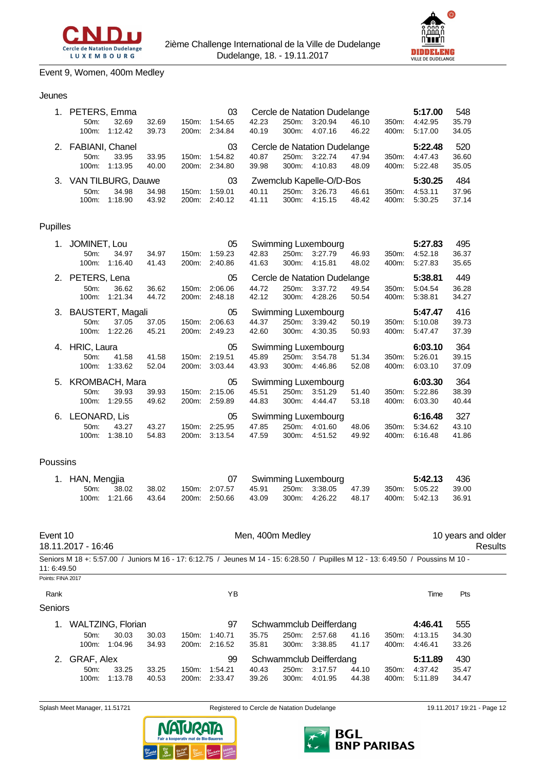



# Event 9, Women, 400m Medley

#### Jeunes

| 1. PETERS, Emma       |         |       |                    | 03      |       |       | Cercle de Natation Dudelange |       |                  | 5:17.00 | 548   |
|-----------------------|---------|-------|--------------------|---------|-------|-------|------------------------------|-------|------------------|---------|-------|
| 50m                   | 32.69   | 32.69 | 150m:              | 1:54.65 | 42.23 | 250m: | 3:20.94                      | 46.10 | 350 <sub>m</sub> | 4:42.95 | 35.79 |
| $100m$ :              | 1:12.42 | 39.73 | 200m:              | 2:34.84 | 40.19 | 300m: | 4:07.16                      | 46.22 | 400m:            | 5:17.00 | 34.05 |
| 2. FABIANI, Chanel    |         |       |                    | 03      |       |       | Cercle de Natation Dudelange |       |                  | 5:22.48 | 520   |
| 50m                   | 33.95   | 33.95 | 150m:              | 1:54.82 | 40.87 | 250m: | 3:22.74                      | 47.94 | 350 <sub>m</sub> | 4:47.43 | 36.60 |
| $100m$ :              | 1:13.95 | 40.00 | 200m:              | 2:34.80 | 39.98 | 300m: | 4:10.83                      | 48.09 | 400m:            | 5:22.48 | 35.05 |
| 3. VAN TILBURG, Dauwe |         |       |                    | 03      |       |       | Zwemclub Kapelle-O/D-Bos     |       |                  | 5:30.25 | 484   |
| $50m$ :               | 34.98   | 34.98 | 150m:              | 1:59.01 | 40.11 | 250m: | 3:26.73                      | 46.61 | 350m:            | 4:53.11 | 37.96 |
| $100m$ :              | 1:18.90 | 43.92 | 200 <sub>m</sub> : | 2:40.12 | 41.11 | 300m: | 4:15.15                      | 48.42 | 400m:            | 5:30.25 | 37.14 |

# Pupilles

| 1. | JOMINET, Lou        |         |       |       | 05      |       |       | Swimming Luxembourg          |       |       | 5:27.83 | 495   |
|----|---------------------|---------|-------|-------|---------|-------|-------|------------------------------|-------|-------|---------|-------|
|    | 50 <sub>m</sub> :   | 34.97   | 34.97 | 150m: | 1:59.23 | 42.83 | 250m: | 3:27.79                      | 46.93 | 350m: | 4:52.18 | 36.37 |
|    | 100m:               | 1:16.40 | 41.43 | 200m: | 2:40.86 | 41.63 | 300m: | 4:15.81                      | 48.02 | 400m: | 5:27.83 | 35.65 |
|    | 2. PETERS, Lena     |         |       |       | 05      |       |       | Cercle de Natation Dudelange |       |       | 5:38.81 | 449   |
|    | 50m:                | 36.62   | 36.62 | 150m: | 2:06.06 | 44.72 | 250m: | 3:37.72                      | 49.54 | 350m: | 5:04.54 | 36.28 |
|    | 100m:               | 1:21.34 | 44.72 | 200m: | 2:48.18 | 42.12 | 300m: | 4:28.26                      | 50.54 | 400m: | 5:38.81 | 34.27 |
|    | 3. BAUSTERT, Magali |         |       |       | 05      |       |       | Swimming Luxembourg          |       |       | 5:47.47 | 416   |
|    | 50m:                | 37.05   | 37.05 | 150m: | 2:06.63 | 44.37 | 250m: | 3:39.42                      | 50.19 | 350m: | 5:10.08 | 39.73 |
|    | 100m:               | 1:22.26 | 45.21 | 200m: | 2:49.23 | 42.60 | 300m: | 4:30.35                      | 50.93 | 400m: | 5:47.47 | 37.39 |
|    |                     |         |       |       |         |       |       |                              |       |       |         |       |
| 4. | HRIC, Laura         |         |       |       | 05      |       |       | Swimming Luxembourg          |       |       | 6:03.10 | 364   |
|    | 50m:                | 41.58   | 41.58 | 150m: | 2:19.51 | 45.89 | 250m: | 3:54.78                      | 51.34 | 350m: | 5:26.01 | 39.15 |
|    | 100m:               | 1:33.62 | 52.04 | 200m: | 3:03.44 | 43.93 | 300m: | 4:46.86                      | 52.08 | 400m: | 6:03.10 | 37.09 |
|    | 5. KROMBACH, Mara   |         |       |       | 05      |       |       | Swimming Luxembourg          |       |       | 6:03.30 | 364   |
|    | 50m:                | 39.93   | 39.93 | 150m: | 2:15.06 | 45.51 | 250m: | 3:51.29                      | 51.40 | 350m: | 5:22.86 | 38.39 |
|    | 100m:               | 1:29.55 | 49.62 | 200m: | 2:59.89 | 44.83 | 300m: | 4:44.47                      | 53.18 | 400m: | 6:03.30 | 40.44 |
| 6. | LEONARD, Lis        |         |       |       | 05      |       |       | Swimming Luxembourg          |       |       | 6:16.48 | 327   |
|    | 50m:                | 43.27   | 43.27 | 150m: | 2:25.95 | 47.85 | 250m: | 4:01.60                      | 48.06 | 350m: | 5:34.62 | 43.10 |

#### Poussins

| 1. HAN, Mengjia |            |       |  |  | 07 Swimming Luxembourg |  | 5:42.13 436                                                                     |  |
|-----------------|------------|-------|--|--|------------------------|--|---------------------------------------------------------------------------------|--|
|                 | 50m. 38.02 | 38.02 |  |  |                        |  | 150m: 2:07.57  45.91  250m: 3:38.05  47.39  350m: 5:05.22  39.00                |  |
|                 |            |       |  |  |                        |  | 100m: 1:21.66 43.64 200m: 2:50.66 43.09 300m: 4:26.22 48.17 400m: 5:42.13 36.91 |  |

| Event 10          | 18.11.2017 - 16:46  |                          |                |                   |                    |                | Men, 400m Medley |                         |                |                |                                                                                                                                  |                | 10 years and older<br>Results |
|-------------------|---------------------|--------------------------|----------------|-------------------|--------------------|----------------|------------------|-------------------------|----------------|----------------|----------------------------------------------------------------------------------------------------------------------------------|----------------|-------------------------------|
| 11: 6:49.50       |                     |                          |                |                   |                    |                |                  |                         |                |                | Seniors M 18 +: 5:57.00 / Juniors M 16 - 17: 6:12.75 / Jeunes M 14 - 15: 6:28.50 / Pupilles M 12 - 13: 6:49.50 / Poussins M 10 - |                |                               |
| Points: FINA 2017 |                     |                          |                |                   |                    |                |                  |                         |                |                |                                                                                                                                  |                |                               |
| Rank              |                     |                          |                |                   | ΥB                 |                |                  |                         |                |                | Time                                                                                                                             | <b>Pts</b>     |                               |
| Seniors           |                     |                          |                |                   |                    |                |                  |                         |                |                |                                                                                                                                  |                |                               |
| 1.                |                     | <b>WALTZING, Florian</b> |                |                   | 97                 |                |                  | Schwammclub Deifferdang |                |                | 4:46.41                                                                                                                          | 555            |                               |
|                   | $50m$ :             | 30.03                    | 30.03          | 150m:             | 1:40.71            | 35.75          | 250m:            | 2:57.68                 | 41.16          | 350m:          | 4:13.15                                                                                                                          | 34.30          |                               |
|                   | $100m$ :            | 1:04.96                  | 34.93          | $200m$ :          | 2:16.52            | 35.81          | $300m$ :         | 3:38.85                 | 41.17          | 400m:          | 4:46.41                                                                                                                          | 33.26          |                               |
| 2.                | GRAF, Alex          |                          |                |                   | 99                 |                |                  | Schwammclub Deifferdang |                |                | 5:11.89                                                                                                                          | 430            |                               |
|                   | $50m$ :<br>$100m$ : | 33.25<br>1:13.78         | 33.25<br>40.53 | $150m$ :<br>200m: | 1:54.21<br>2:33.47 | 40.43<br>39.26 | 250m:<br>300m:   | 3:17.57<br>4:01.95      | 44.10<br>44.38 | 350m:<br>400m: | 4:37.42<br>5:11.89                                                                                                               | 35.47<br>34.47 |                               |





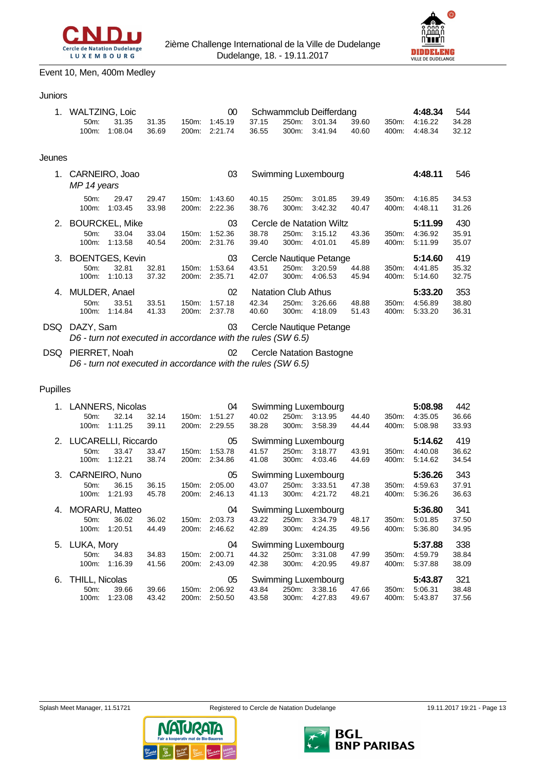



# Event 10, Men, 400m Medley

Juniors

| 1.     | <b>WALTZING, Loic</b>  |                       |       |       | 00      |       |                            | Schwammclub Deifferdang  |       |       | 4:48.34 | 544   |
|--------|------------------------|-----------------------|-------|-------|---------|-------|----------------------------|--------------------------|-------|-------|---------|-------|
|        | 50m:                   | 31.35                 | 31.35 | 150m: | 1:45.19 | 37.15 | 250m:                      | 3:01.34                  | 39.60 | 350m: | 4:16.22 | 34.28 |
|        | 100m:                  | 1:08.04               | 36.69 | 200m: | 2:21.74 | 36.55 | 300m:                      | 3:41.94                  | 40.60 | 400m: | 4:48.34 | 32.12 |
|        |                        |                       |       |       |         |       |                            |                          |       |       |         |       |
| Jeunes |                        |                       |       |       |         |       |                            |                          |       |       |         |       |
| 1.     |                        | CARNEIRO, Joao        |       |       | 03      |       |                            | Swimming Luxembourg      |       |       | 4:48.11 | 546   |
|        | MP 14 years            |                       |       |       |         |       |                            |                          |       |       |         |       |
|        | 50 <sub>m</sub> :      | 29.47                 | 29.47 | 150m: | 1:43.60 | 40.15 | 250m:                      | 3:01.85                  | 39.49 | 350m: | 4:16.85 | 34.53 |
|        | 100m:                  | 1:03.45               | 33.98 | 200m: | 2:22.36 | 38.76 | 300m:                      | 3:42.32                  | 40.47 | 400m: | 4:48.11 | 31.26 |
| 2.     |                        | <b>BOURCKEL, Mike</b> |       |       | 03      |       |                            | Cercle de Natation Wiltz |       |       | 5:11.99 | 430   |
|        | 50 <sub>m</sub> :      | 33.04                 | 33.04 | 150m: | 1:52.36 | 38.78 | 250m:                      | 3:15.12                  | 43.36 | 350m: | 4:36.92 | 35.91 |
|        | 100m:                  | 1:13.58               | 40.54 | 200m: | 2:31.76 | 39.40 | 300m:                      | 4:01.01                  | 45.89 | 400m: | 5.11.99 | 35.07 |
| 3.     | <b>BOENTGES, Kevin</b> |                       |       |       | 03      |       |                            | Cercle Nautique Petange  |       |       | 5:14.60 | 419   |
|        | 50 <sub>m</sub> :      | 32.81                 | 32.81 | 150m: | 1:53.64 | 43.51 | 250m:                      | 3:20.59                  | 44.88 | 350m: | 4:41.85 | 35.32 |
|        | 100m:                  | 1:10.13               | 37.32 | 200m: | 2:35.71 | 42.07 | 300m:                      | 4:06.53                  | 45.94 | 400m: | 5:14.60 | 32.75 |
| 4.     | MULDER, Anael          |                       |       |       | 02      |       | <b>Natation Club Athus</b> |                          |       |       | 5:33.20 | 353   |
|        | 50 <sub>m</sub> :      | 33.51                 | 33.51 | 150m: | 1:57.18 | 42.34 | 250m:                      | 3:26.66                  | 48.88 | 350m: | 4:56.89 | 38.80 |
|        | 100m:                  | 1:14.84               | 41.33 | 200m: | 2:37.78 | 40.60 | 300m:                      | 4:18.09                  | 51.43 | 400m: | 5:33.20 | 36.31 |
| DSQ.   | DAZY, Sam              |                       |       |       | 03      |       |                            | Cercle Nautique Petange  |       |       |         |       |
|        |                        |                       |       |       |         |       |                            |                          |       |       |         |       |

*D6 - turn not executed in accordance with the rules (SW 6.5)*

DSQ PIERRET, Noah 02 Cercle Natation Bastogne *D6 - turn not executed in accordance with the rules (SW 6.5)*

## Pupilles

|    | 1. LANNERS, Nicolas    |                |       |       | 04      |       |       | Swimming Luxembourg            |       |       | 5:08.98 | 442   |
|----|------------------------|----------------|-------|-------|---------|-------|-------|--------------------------------|-------|-------|---------|-------|
|    | 50m:                   | 32.14          | 32.14 | 150m: | 1:51.27 | 40.02 | 250m: | 3:13.95                        | 44.40 | 350m: | 4:35.05 | 36.66 |
|    | 100m:                  | 1:11.25        | 39.11 | 200m: | 2:29.55 | 38.28 | 300m: | 3:58.39                        | 44.44 | 400m: | 5:08.98 | 33.93 |
|    | 2. LUCARELLI, Riccardo |                |       |       | 05      |       |       | Swimming Luxembourg            |       |       | 5:14.62 | 419   |
|    | 50m:                   | 33.47          | 33.47 | 150m: | 1:53.78 | 41.57 | 250m: | 3:18.77                        | 43.91 | 350m: | 4:40.08 | 36.62 |
|    | 100m:                  | 1:12.21        | 38.74 | 200m: | 2:34.86 | 41.08 | 300m: | 4:03.46                        | 44.69 | 400m: | 5.14.62 | 34.54 |
| 3. |                        | CARNEIRO, Nuno |       |       | 05      |       |       | Swimming Luxembourg            |       |       | 5:36.26 | 343   |
|    | 50m:                   | 36.15          | 36.15 | 150m: | 2:05.00 | 43.07 | 250m: | 3:33.51                        | 47.38 | 350m: | 4:59.63 | 37.91 |
|    | 100m:                  | 1:21.93        | 45.78 | 200m: | 2:46.13 | 41.13 | 300m: | 4:21.72                        | 48.21 | 400m: | 5:36.26 | 36.63 |
|    |                        |                |       |       |         |       |       |                                |       |       |         |       |
|    | 4. MORARU, Matteo      |                |       |       | 04      |       |       | Swimming Luxembourg            |       |       | 5:36.80 | 341   |
|    | 50m:                   | 36.02          | 36.02 | 150m: | 2:03.73 | 43.22 | 250m: | 3:34.79                        | 48.17 | 350m: | 5:01.85 | 37.50 |
|    | 100m:                  | 1:20.51        | 44.49 | 200m: | 2:46.62 | 42.89 | 300m: | 4:24.35                        | 49.56 | 400m: | 5:36.80 | 34.95 |
|    | 5. LUKA, Mory          |                |       |       | 04      |       |       |                                |       |       | 5:37.88 | 338   |
|    | $50m$ :                | 34.83          | 34.83 | 150m: | 2:00.71 | 44.32 | 250m: | Swimming Luxembourg<br>3:31.08 | 47.99 | 350m: | 4:59.79 | 38.84 |
|    | 100m:                  | 1:16.39        | 41.56 | 200m: | 2:43.09 | 42.38 | 300m: | 4:20.95                        | 49.87 | 400m: | 5:37.88 | 38.09 |
| 6. | THILL, Nicolas         |                |       |       | 05      |       |       |                                |       |       | 5:43.87 | 321   |
|    | 50m:                   | 39.66          | 39.66 | 150m: | 2:06.92 | 43.84 | 250m: | Swimming Luxembourg<br>3:38.16 | 47.66 | 350m: | 5:06.31 | 38.48 |



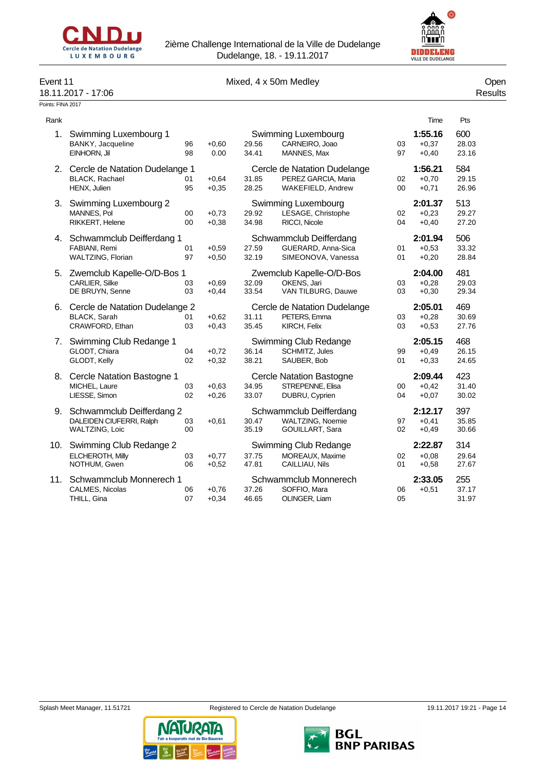



# Event 11 Communication of the Mixed, 4 x 50m Medley Communication of the Open

# 18.11.2017 - 17:06 Results

Points: FINA 2017

| Rank |                                                                          |              |                    |                |                                                                          |          | Time                          | Pts                   |
|------|--------------------------------------------------------------------------|--------------|--------------------|----------------|--------------------------------------------------------------------------|----------|-------------------------------|-----------------------|
|      | 1. Swimming Luxembourg 1<br>BANKY, Jacqueline<br>EINHORN, Jil            | 96<br>98     | $+0.60$<br>0.00    | 29.56<br>34.41 | Swimming Luxembourg<br>CARNEIRO, Joao<br>MANNES, Max                     | 03<br>97 | 1:55.16<br>$+0.37$<br>$+0,40$ | 600<br>28.03<br>23.16 |
| 2.   | Cercle de Natation Dudelange 1<br>BLACK, Rachael<br>HENX, Julien         | 01<br>95     | $+0.64$<br>$+0.35$ | 31.85<br>28.25 | Cercle de Natation Dudelange<br>PEREZ GARCIA, Maria<br>WAKEFIELD, Andrew | 02<br>00 | 1:56.21<br>$+0,70$<br>$+0,71$ | 584<br>29.15<br>26.96 |
| 3.   | Swimming Luxembourg 2<br>MANNES, Pol<br>RIKKERT, Helene                  | 00<br>$00\,$ | $+0.73$<br>$+0.38$ | 29.92<br>34.98 | Swimming Luxembourg<br>LESAGE, Christophe<br><b>RICCI.</b> Nicole        | 02<br>04 | 2:01.37<br>$+0,23$<br>$+0,40$ | 513<br>29.27<br>27.20 |
| 4.   | Schwammclub Deifferdang 1<br>FABIANI, Remi<br>WALTZING, Florian          | 01<br>97     | $+0.59$<br>$+0,50$ | 27.59<br>32.19 | Schwammclub Deifferdang<br>GUERARD, Anna-Sica<br>SIMEONOVA, Vanessa      | 01<br>01 | 2:01.94<br>$+0,53$<br>$+0,20$ | 506<br>33.32<br>28.84 |
| 5.   | Zwemclub Kapelle-O/D-Bos 1<br>CARLIER, Silke<br>DE BRUYN, Senne          | 03<br>03     | $+0.69$<br>$+0,44$ | 32.09<br>33.54 | Zwemclub Kapelle-O/D-Bos<br>OKENS, Jari<br>VAN TILBURG, Dauwe            | 03<br>03 | 2:04.00<br>$+0,28$<br>$+0,30$ | 481<br>29.03<br>29.34 |
| 6.   | Cercle de Natation Dudelange 2<br><b>BLACK, Sarah</b><br>CRAWFORD, Ethan | 01<br>03     | $+0.62$<br>$+0.43$ | 31.11<br>35.45 | Cercle de Natation Dudelange<br>PETERS, Emma<br>KIRCH, Felix             | 03<br>03 | 2:05.01<br>$+0.28$<br>$+0.53$ | 469<br>30.69<br>27.76 |
| 7.   | Swimming Club Redange 1<br>GLODT, Chiara<br>GLODT, Kelly                 | 04<br>02     | $+0,72$<br>$+0.32$ | 36.14<br>38.21 | Swimming Club Redange<br>SCHMITZ, Jules<br>SAUBER, Bob                   | 99<br>01 | 2:05.15<br>$+0.49$<br>$+0,33$ | 468<br>26.15<br>24.65 |
| 8.   | Cercle Natation Bastogne 1<br>MICHEL, Laure<br>LIESSE, Simon             | 03<br>02     | $+0.63$<br>$+0.26$ | 34.95<br>33.07 | <b>Cercle Natation Bastogne</b><br>STREPENNE, Elisa<br>DUBRU, Cyprien    | 00<br>04 | 2:09.44<br>$+0.42$<br>$+0.07$ | 423<br>31.40<br>30.02 |
| 9.   | Schwammclub Deifferdang 2<br>DALEIDEN CIUFERRI, Ralph<br>WALTZING, Loic  | 03<br>00     | $+0,61$            | 30.47<br>35.19 | Schwammclub Deifferdang<br>WALTZING, Noemie<br>GOUILLART, Sara           | 97<br>02 | 2:12.17<br>$+0,41$<br>$+0,49$ | 397<br>35.85<br>30.66 |
| 10.  | Swimming Club Redange 2<br>ELCHEROTH, Milly<br>NOTHUM, Gwen              | 03<br>06     | $+0.77$<br>$+0,52$ | 37.75<br>47.81 | Swimming Club Redange<br>MOREAUX. Maxime<br>CAILLIAU, Nils               | 02<br>01 | 2:22.87<br>$+0.08$<br>$+0,58$ | 314<br>29.64<br>27.67 |
| 11.  | Schwammclub Monnerech 1<br>CALMES, Nicolas<br>THILL, Gina                | 06<br>07     | $+0.76$<br>$+0,34$ | 37.26<br>46.65 | Schwammclub Monnerech<br>SOFFIO, Mara<br>OLINGER, Liam                   | 06<br>05 | 2:33.05<br>$+0,51$            | 255<br>37.17<br>31.97 |

TURATA

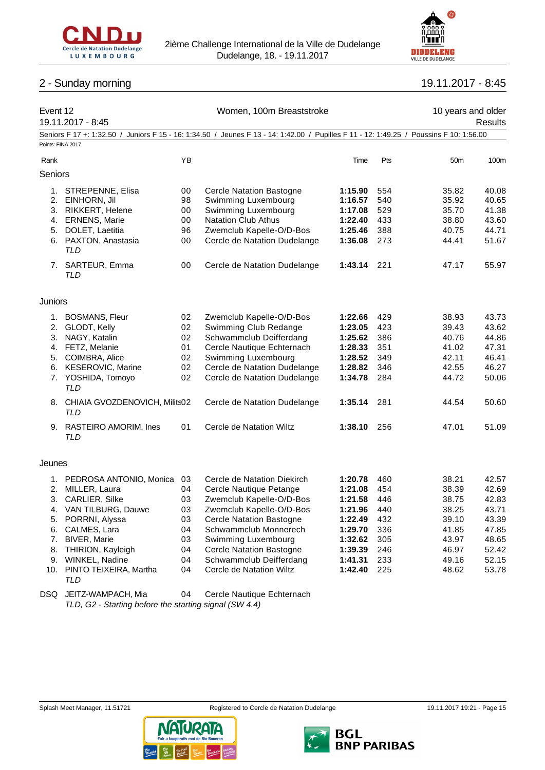



# 2 - Sunday morning 19.11.2017 - 8:45

| Event 12          | 19.11.2017 - 8:45                              |    | Women, 100m Breaststroke                                                                                                                |             |     | 10 years and older | Results |
|-------------------|------------------------------------------------|----|-----------------------------------------------------------------------------------------------------------------------------------------|-------------|-----|--------------------|---------|
| Points: FINA 2017 |                                                |    | Seniors F 17 +: 1:32.50 / Juniors F 15 - 16: 1:34.50 / Jeunes F 13 - 14: 1:42.00 / Pupilles F 11 - 12: 1:49.25 / Poussins F 10: 1:56.00 |             |     |                    |         |
| Rank              |                                                | ΥB |                                                                                                                                         | Time        | Pts | 50 <sub>m</sub>    | 100m    |
|                   |                                                |    |                                                                                                                                         |             |     |                    |         |
| Seniors           |                                                |    |                                                                                                                                         |             |     |                    |         |
| 1.                | STREPENNE, Elisa                               | 00 | <b>Cercle Natation Bastogne</b>                                                                                                         | 1:15.90     | 554 | 35.82              | 40.08   |
| 2.                | EINHORN, Jil                                   | 98 | Swimming Luxembourg                                                                                                                     | 1:16.57     | 540 | 35.92              | 40.65   |
| 3.                | RIKKERT, Helene                                | 00 | Swimming Luxembourg                                                                                                                     | 1:17.08     | 529 | 35.70              | 41.38   |
|                   | 4. ERNENS, Marie                               | 00 | <b>Natation Club Athus</b>                                                                                                              | 1:22.40     | 433 | 38.80              | 43.60   |
| 5.                | DOLET, Laetitia                                | 96 | Zwemclub Kapelle-O/D-Bos                                                                                                                | 1:25.46     | 388 | 40.75              | 44.71   |
|                   | 6. PAXTON, Anastasia<br>TLD                    | 00 | Cercle de Natation Dudelange                                                                                                            | 1:36.08     | 273 | 44.41              | 51.67   |
|                   | 7. SARTEUR, Emma<br>TLD                        | 00 | Cercle de Natation Dudelange                                                                                                            | 1:43.14     | 221 | 47.17              | 55.97   |
| <b>Juniors</b>    |                                                |    |                                                                                                                                         |             |     |                    |         |
| 1.                | <b>BOSMANS, Fleur</b>                          | 02 | Zwemclub Kapelle-O/D-Bos                                                                                                                | 1:22.66     | 429 | 38.93              | 43.73   |
| 2.                | GLODT, Kelly                                   | 02 | Swimming Club Redange                                                                                                                   | 1:23.05     | 423 | 39.43              | 43.62   |
| 3.                | NAGY, Katalin                                  | 02 | Schwammclub Deifferdang                                                                                                                 | 1:25.62     | 386 | 40.76              | 44.86   |
|                   | 4. FETZ, Melanie                               | 01 | Cercle Nautique Echternach                                                                                                              | 1:28.33     | 351 | 41.02              | 47.31   |
|                   | 5. COIMBRA, Alice                              | 02 | Swimming Luxembourg                                                                                                                     | 1:28.52     | 349 | 42.11              | 46.41   |
| 6.                | <b>KESEROVIC, Marine</b>                       | 02 | Cercle de Natation Dudelange                                                                                                            | 1:28.82     | 346 | 42.55              | 46.27   |
|                   | 7. YOSHIDA, Tomoyo<br><b>TLD</b>               | 02 | Cercle de Natation Dudelange                                                                                                            | 1:34.78     | 284 | 44.72              | 50.06   |
|                   | 8. CHIAIA GVOZDENOVICH, Milits02<br><b>TLD</b> |    | Cercle de Natation Dudelange                                                                                                            | 1:35.14     | 281 | 44.54              | 50.60   |
|                   | 9. RASTEIRO AMORIM, Ines<br>TLD                | 01 | Cercle de Natation Wiltz                                                                                                                | 1:38.10     | 256 | 47.01              | 51.09   |
| Jeunes            |                                                |    |                                                                                                                                         |             |     |                    |         |
|                   | 1. PEDROSA ANTONIO, Monica                     | 03 | Cercle de Natation Diekirch                                                                                                             | 1:20.78     | 460 | 38.21              | 42.57   |
|                   | 2. MILLER, Laura                               | 04 | Cercle Nautique Petange                                                                                                                 | 1:21.08     | 454 | 38.39              | 42.69   |
|                   | 3. CARLIER, Silke                              | 03 | Zwemclub Kapelle-O/D-Bos                                                                                                                | 1:21.58     | 446 | 38.75              | 42.83   |
|                   | 4. VAN TILBURG, Dauwe                          | 03 | Zwemclub Kapelle-O/D-Bos                                                                                                                | 1:21.96 440 |     | 38.25              | 43.71   |
| 5.                | PORRNI, Alyssa                                 | 03 | <b>Cercle Natation Bastogne</b>                                                                                                         | 1:22.49     | 432 | 39.10              | 43.39   |
| 6.                | CALMES, Lara                                   | 04 | Schwammclub Monnerech                                                                                                                   | 1:29.70     | 336 | 41.85              | 47.85   |
| 7.                | <b>BIVER, Marie</b>                            | 03 | Swimming Luxembourg                                                                                                                     | 1:32.62     | 305 | 43.97              | 48.65   |
| 8.                | THIRION, Kayleigh                              | 04 | <b>Cercle Natation Bastogne</b>                                                                                                         | 1:39.39     | 246 | 46.97              | 52.42   |
| 9.                | WINKEL, Nadine                                 | 04 | Schwammclub Deifferdang                                                                                                                 | 1:41.31     | 233 | 49.16              | 52.15   |
| 10.               | PINTO TEIXEIRA, Martha<br>TLD                  | 04 | Cercle de Natation Wiltz                                                                                                                | 1:42.40     | 225 | 48.62              | 53.78   |

DSQ JEITZ-WAMPACH, Mia 04 Cercle Nautique Echternach *TLD, G2 - Starting before the starting signal (SW 4.4)*



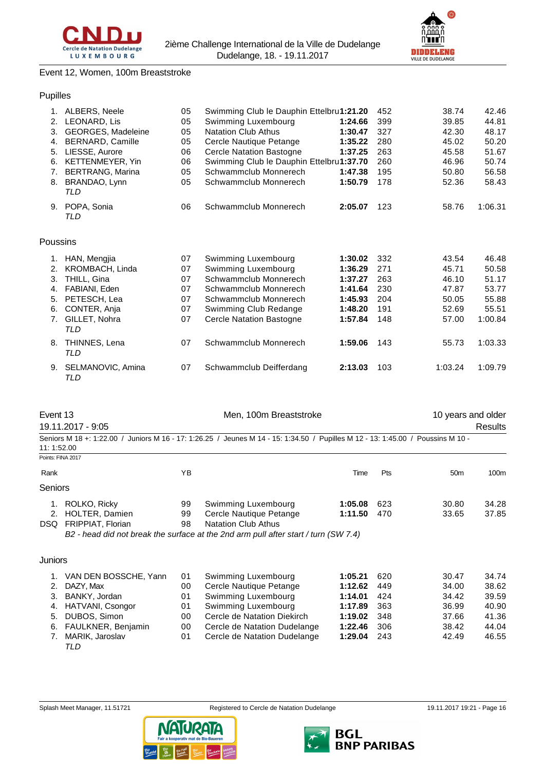



# Event 12, Women, 100m Breaststroke

## Pupilles

| 1.       | ALBERS, Neele           | 05 | Swimming Club le Dauphin Ettelbru1:21.20 |         | 452 | 38.74   | 42.46   |
|----------|-------------------------|----|------------------------------------------|---------|-----|---------|---------|
| 2.       | LEONARD, Lis            | 05 | Swimming Luxembourg                      | 1:24.66 | 399 | 39.85   | 44.81   |
| 3.       | GEORGES, Madeleine      | 05 | <b>Natation Club Athus</b>               | 1:30.47 | 327 | 42.30   | 48.17   |
| 4.       | <b>BERNARD, Camille</b> | 05 | Cercle Nautique Petange                  | 1:35.22 | 280 | 45.02   | 50.20   |
| 5.       | LIESSE, Aurore          | 06 | <b>Cercle Natation Bastogne</b>          | 1:37.25 | 263 | 45.58   | 51.67   |
| 6.       | KETTENMEYER, Yin        | 06 | Swimming Club le Dauphin Ettelbru1:37.70 |         | 260 | 46.96   | 50.74   |
| 7.       | <b>BERTRANG, Marina</b> | 05 | Schwammclub Monnerech                    | 1:47.38 | 195 | 50.80   | 56.58   |
| 8.       | BRANDAO, Lynn<br>TLD    | 05 | Schwammclub Monnerech                    | 1:50.79 | 178 | 52.36   | 58.43   |
| 9.       | POPA, Sonia<br>TLD      | 06 | Schwammclub Monnerech                    | 2:05.07 | 123 | 58.76   | 1:06.31 |
| Poussins |                         |    |                                          |         |     |         |         |
| 1.       | HAN, Mengjia            | 07 | Swimming Luxembourg                      | 1:30.02 | 332 | 43.54   | 46.48   |
| 2.       | KROMBACH, Linda         | 07 | Swimming Luxembourg                      | 1:36.29 | 271 | 45.71   | 50.58   |
| 3.       | THILL, Gina             | 07 | Schwammclub Monnerech                    | 1:37.27 | 263 | 46.10   | 51.17   |
| 4.       | FABIANI, Eden           | 07 | Schwammclub Monnerech                    | 1:41.64 | 230 | 47.87   | 53.77   |
| 5.       | PETESCH, Lea            | 07 | Schwammclub Monnerech                    | 1:45.93 | 204 | 50.05   | 55.88   |
| 6.       | CONTER, Anja            | 07 | Swimming Club Redange                    | 1:48.20 | 191 | 52.69   | 55.51   |
| 7.       | GILLET, Nohra<br>TLD    | 07 | <b>Cercle Natation Bastogne</b>          | 1:57.84 | 148 | 57.00   | 1:00.84 |
| 8.       | THINNES, Lena<br>TLD    | 07 | Schwammclub Monnerech                    | 1:59.06 | 143 | 55.73   | 1:03.33 |
| 9.       | SELMANOVIC, Amina       | 07 | Schwammclub Deifferdang                  | 2:13.03 | 103 | 1:03.24 | 1:09.79 |

| vent |  |
|------|--|
|------|--|

19.11.2017 - 9:05 Results

*TLD*

| 11: 1:52.00       |                       |     | Seniors M 18 +: 1:22.00 / Juniors M 16 - 17: 1:26.25 / Jeunes M 14 - 15: 1:34.50 / Pupilles M 12 - 13: 1:45.00 / Poussins M 10 - |         |            |                 |       |
|-------------------|-----------------------|-----|----------------------------------------------------------------------------------------------------------------------------------|---------|------------|-----------------|-------|
| Points: FINA 2017 |                       |     |                                                                                                                                  |         |            |                 |       |
| Rank              |                       | YB. |                                                                                                                                  | Time    | <b>Pts</b> | 50 <sub>m</sub> | 100m  |
| <b>Seniors</b>    |                       |     |                                                                                                                                  |         |            |                 |       |
| 1.                | ROLKO, Ricky          | 99  | Swimming Luxembourg                                                                                                              | 1:05.08 | 623        | 30.80           | 34.28 |
|                   | 2. HOLTER, Damien     | 99  | Cercle Nautique Petange                                                                                                          | 1:11.50 | 470        | 33.65           | 37.85 |
|                   | DSQ FRIPPIAT, Florian | 98  | <b>Natation Club Athus</b>                                                                                                       |         |            |                 |       |
|                   |                       |     | B2 - head did not break the surface at the 2nd arm pull after start / turn (SW 7.4)                                              |         |            |                 |       |

#### Juniors

| 1. VAN DEN BOSSCHE, Yann | 01 | Swimming Luxembourg          | 1:05.21       | 620   | 30.47 | 34.74 |
|--------------------------|----|------------------------------|---------------|-------|-------|-------|
| 2. DAZY. Max             | 00 | Cercle Nautique Petange      | 1:12.62       | 449   | 34.00 | 38.62 |
| 3. BANKY, Jordan         | 01 | Swimming Luxembourg          | 1:14.01       | 424   | 34.42 | 39.59 |
| 4. HATVANI, Csongor      | 01 | Swimming Luxembourg          | 1:17.89       | - 363 | 36.99 | 40.90 |
| 5. DUBOS, Simon          | 00 | Cercle de Natation Diekirch  | $1:19.02$ 348 |       | 37.66 | 41.36 |
| 6. FAULKNER, Benjamin    | 00 | Cercle de Natation Dudelange | 1:22.46       | 306   | 38.42 | 44.04 |
| 7. MARIK, Jaroslav       | 01 | Cercle de Natation Dudelange | 1:29.04       | 243   | 42.49 | 46.55 |
| TLD                      |    |                              |               |       |       |       |







Men, 100m Breaststroke 10 years and older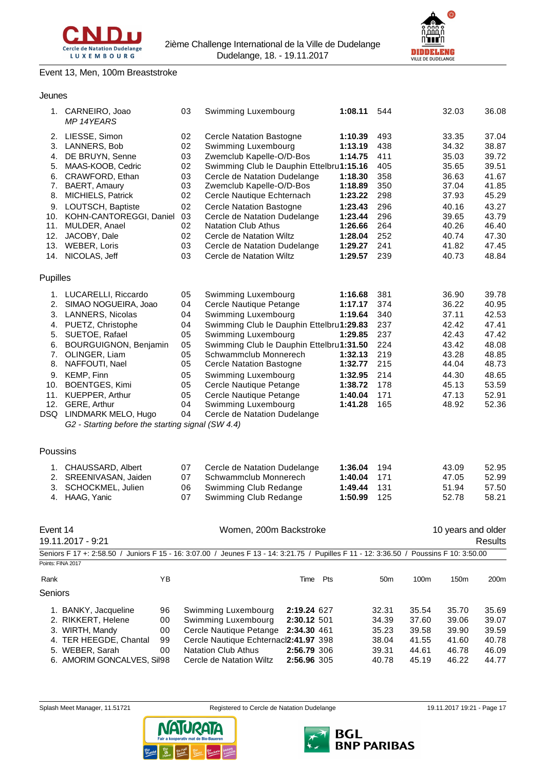

**DIDDELENG** 

#### Event 13, Men, 100m Breaststroke

## Jeunes

|                   | 1. CARNEIRO, Joao<br><b>MP 14YEARS</b>                                   | 03 | Swimming Luxembourg                                                                                                                     | 1:08.11 | 544             |       | 32.03              | 36.08          |
|-------------------|--------------------------------------------------------------------------|----|-----------------------------------------------------------------------------------------------------------------------------------------|---------|-----------------|-------|--------------------|----------------|
| 2.                | LIESSE, Simon                                                            | 02 | <b>Cercle Natation Bastogne</b>                                                                                                         | 1:10.39 | 493             |       | 33.35              | 37.04          |
| 3.                | LANNERS, Bob                                                             | 02 | Swimming Luxembourg                                                                                                                     | 1:13.19 | 438             |       | 34.32              | 38.87          |
| 4.                | DE BRUYN, Senne                                                          | 03 | Zwemclub Kapelle-O/D-Bos                                                                                                                | 1:14.75 | 411             |       | 35.03              | 39.72          |
| 5.                | MAAS-KOOB, Cedric                                                        | 02 | Swimming Club le Dauphin Ettelbru1:15.16                                                                                                |         | 405             |       | 35.65              | 39.51          |
| 6.                | CRAWFORD, Ethan                                                          | 03 | Cercle de Natation Dudelange                                                                                                            | 1:18.30 | 358             |       | 36.63              | 41.67          |
| 7.                | BAERT, Amaury                                                            | 03 | Zwemclub Kapelle-O/D-Bos                                                                                                                | 1:18.89 | 350             |       | 37.04              | 41.85          |
| 8.                | MICHIELS, Patrick                                                        | 02 | Cercle Nautique Echternach                                                                                                              | 1:23.22 | 298             |       | 37.93              | 45.29          |
| 9.                | LOUTSCH, Baptiste                                                        | 02 | <b>Cercle Natation Bastogne</b>                                                                                                         | 1:23.43 | 296             |       | 40.16              | 43.27          |
| 10.               | KOHN-CANTOREGGI, Daniel                                                  | 03 | Cercle de Natation Dudelange                                                                                                            | 1:23.44 | 296             |       | 39.65              | 43.79          |
| 11.               | MULDER, Anael                                                            | 02 | <b>Natation Club Athus</b>                                                                                                              | 1:26.66 | 264             |       | 40.26              | 46.40          |
| 12.               | JACOBY, Dale                                                             | 02 | Cercle de Natation Wiltz                                                                                                                | 1:28.04 | 252             |       | 40.74              | 47.30          |
| 13.               | WEBER, Loris                                                             | 03 | Cercle de Natation Dudelange                                                                                                            | 1:29.27 | 241             |       | 41.82              | 47.45          |
| 14.               | NICOLAS, Jeff                                                            | 03 | Cercle de Natation Wiltz                                                                                                                | 1:29.57 | 239             |       | 40.73              | 48.84          |
| Pupilles          |                                                                          |    |                                                                                                                                         |         |                 |       |                    |                |
| 1.                | LUCARELLI, Riccardo                                                      | 05 | Swimming Luxembourg                                                                                                                     | 1:16.68 | 381             |       | 36.90              | 39.78          |
| 2.                | SIMAO NOGUEIRA, Joao                                                     | 04 | Cercle Nautique Petange                                                                                                                 | 1:17.17 | 374             |       | 36.22              | 40.95          |
| 3.                | LANNERS, Nicolas                                                         | 04 | Swimming Luxembourg                                                                                                                     | 1:19.64 | 340             |       | 37.11              | 42.53          |
| 4.                | PUETZ, Christophe                                                        | 04 | Swimming Club le Dauphin Ettelbru1:29.83                                                                                                |         | 237             |       | 42.42              | 47.41          |
| 5.                | SUETOE, Rafael                                                           | 05 | Swimming Luxembourg                                                                                                                     | 1:29.85 | 237             |       | 42.43              | 47.42          |
| 6.                | <b>BOURGUIGNON, Benjamin</b>                                             | 05 | Swimming Club le Dauphin Ettelbru1:31.50                                                                                                |         | 224             |       | 43.42              | 48.08          |
| 7.                | OLINGER, Liam                                                            | 05 | Schwammclub Monnerech                                                                                                                   | 1:32.13 | 219             |       | 43.28              | 48.85          |
| 8.                | NAFFOUTI, Nael                                                           | 05 | Cercle Natation Bastogne                                                                                                                | 1:32.77 | 215             |       | 44.04              | 48.73          |
| 9.                | KEMP, Finn                                                               | 05 | Swimming Luxembourg                                                                                                                     | 1:32.95 | 214             |       | 44.30              | 48.65          |
| 10.               | <b>BOENTGES, Kimi</b>                                                    | 05 | Cercle Nautique Petange                                                                                                                 | 1:38.72 | 178             |       | 45.13              | 53.59          |
| 11.               | KUEPPER, Arthur                                                          | 05 | Cercle Nautique Petange                                                                                                                 | 1:40.04 | 171             |       | 47.13              | 52.91          |
| 12.               | GERE, Arthur                                                             | 04 | Swimming Luxembourg                                                                                                                     | 1:41.28 | 165             |       | 48.92              | 52.36          |
| DSQ               | LINDMARK MELO, Hugo<br>G2 - Starting before the starting signal (SW 4.4) | 04 | Cercle de Natation Dudelange                                                                                                            |         |                 |       |                    |                |
|                   |                                                                          |    |                                                                                                                                         |         |                 |       |                    |                |
| Poussins          |                                                                          |    |                                                                                                                                         |         |                 |       |                    |                |
| 1.                | CHAUSSARD, Albert                                                        | 07 | Cercle de Natation Dudelange                                                                                                            | 1:36.04 | 194             |       | 43.09              | 52.95          |
|                   | 2. SREENIVASAN, Jaiden                                                   | 07 | Schwammclub Monnerech                                                                                                                   | 1:40.04 | 171             |       | 47.05              | 52.99          |
| 3.                | SCHOCKMEL, Julien                                                        | 06 | Swimming Club Redange                                                                                                                   | 1:49.44 | 131             |       | 51.94              | 57.50          |
| 4.                | HAAG, Yanic                                                              | 07 | Swimming Club Redange                                                                                                                   | 1:50.99 | 125             |       | 52.78              | 58.21          |
|                   |                                                                          |    |                                                                                                                                         |         |                 |       |                    |                |
| Event 14          |                                                                          |    | Women, 200m Backstroke                                                                                                                  |         |                 |       | 10 years and older |                |
|                   | 19.11.2017 - 9:21                                                        |    |                                                                                                                                         |         |                 |       |                    | <b>Results</b> |
| Points: FINA 2017 |                                                                          |    | Seniors F 17 +: 2:58.50 / Juniors F 15 - 16: 3:07.00 / Jeunes F 13 - 14: 3:21.75 / Pupilles F 11 - 12: 3:36.50 / Poussins F 10: 3:50.00 |         |                 |       |                    |                |
| Rank              | ΥB                                                                       |    | Time Pts                                                                                                                                |         | 50 <sub>m</sub> | 100m  | 150m               | 200m           |
| Seniors           |                                                                          |    |                                                                                                                                         |         |                 |       |                    |                |
|                   |                                                                          |    |                                                                                                                                         |         |                 |       |                    |                |
|                   | 1. BANKY, Jacqueline<br>96                                               |    | Swimming Luxembourg<br>2:19.24 627                                                                                                      |         | 32.31           | 35.54 | 35.70              | 35.69          |
|                   | 2. RIKKERT, Helene<br>00                                                 |    | Swimming Luxembourg<br>2:30.12 501                                                                                                      |         | 34.39           | 37.60 | 39.06              | 39.07          |
|                   | 3. WIRTH, Mandy<br>00                                                    |    | Cercle Nautique Petange<br>2:34.30 461                                                                                                  |         | 35.23           | 39.58 | 39.90              | 39.59          |
|                   | 4. TER HEEGDE, Chantal<br>99                                             |    | Cercle Nautique Echternacl2:41.97 398                                                                                                   |         | 38.04           | 41.55 | 41.60              | 40.78          |

5. WEBER, Sarah 00 Natation Club Athus **2:56.79** 306 39.31 44.61 46.78 46.09 6. AMORIM GONCALVES, Sil98 Cercle de Natation Wiltz **2:56.96** 305 40.78 45.19 46.22 44.77





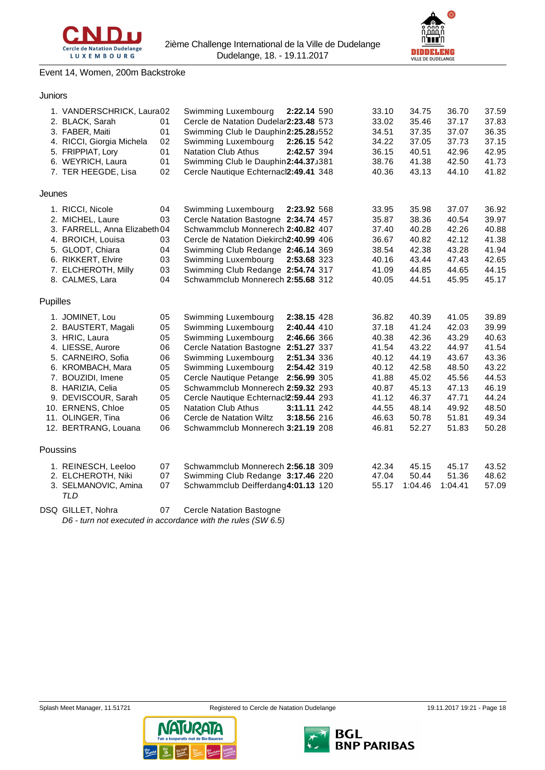



# Event 14, Women, 200m Backstroke

## Juniors

|          | 1. VANDERSCHRICK, Laura02<br>2. BLACK, Sarah<br>3. FABER, Maiti<br>4. RICCI, Giorgia Michela<br>5. FRIPPIAT, Lory                                                                                                                                           | 01<br>01<br>02<br>01                                                 | Swimming Luxembourg<br>Cercle de Natation Dudelar2:23.48 573<br>Swimming Club le Dauphin2:25.28J552<br>Swimming Luxembourg<br><b>Natation Club Athus</b>                                                                                                                                                                                                        | 2:22.14 590<br>2:26.15 542<br>2:42.57 394                                                                            | 33.10<br>33.02<br>34.51<br>34.22<br>36.15                                                                | 34.75<br>35.46<br>37.35<br>37.05<br>40.51                                                                | 36.70<br>37.17<br>37.07<br>37.73<br>42.96                                                                | 37.59<br>37.83<br>36.35<br>37.15<br>42.95                                                                |
|----------|-------------------------------------------------------------------------------------------------------------------------------------------------------------------------------------------------------------------------------------------------------------|----------------------------------------------------------------------|-----------------------------------------------------------------------------------------------------------------------------------------------------------------------------------------------------------------------------------------------------------------------------------------------------------------------------------------------------------------|----------------------------------------------------------------------------------------------------------------------|----------------------------------------------------------------------------------------------------------|----------------------------------------------------------------------------------------------------------|----------------------------------------------------------------------------------------------------------|----------------------------------------------------------------------------------------------------------|
|          | 6. WEYRICH, Laura<br>7. TER HEEGDE, Lisa                                                                                                                                                                                                                    | 01<br>02                                                             | Swimming Club le Dauphin2:44.37J381<br>Cercle Nautique Echternacl2:49.41 348                                                                                                                                                                                                                                                                                    |                                                                                                                      | 38.76<br>40.36                                                                                           | 41.38<br>43.13                                                                                           | 42.50<br>44.10                                                                                           | 41.73<br>41.82                                                                                           |
| Jeunes   |                                                                                                                                                                                                                                                             |                                                                      |                                                                                                                                                                                                                                                                                                                                                                 |                                                                                                                      |                                                                                                          |                                                                                                          |                                                                                                          |                                                                                                          |
|          | 1. RICCI, Nicole<br>2. MICHEL, Laure<br>3. FARRELL, Anna Elizabeth 04<br>4. BROICH, Louisa<br>5. GLODT, Chiara<br>6. RIKKERT, Elvire<br>7. ELCHEROTH, Milly<br>8. CALMES, Lara                                                                              | 04<br>03<br>03<br>04<br>03<br>03<br>04                               | Swimming Luxembourg<br>Cercle Natation Bastogne 2:34.74 457<br>Schwammclub Monnerech 2:40.82 407<br>Cercle de Natation Diekirch2:40.99 406<br>Swimming Club Redange 2:46.14 369<br>Swimming Luxembourg<br>Swimming Club Redange 2:54.74 317<br>Schwammclub Monnerech 2:55.68 312                                                                                | 2:23.92 568<br>2:53.68 323                                                                                           | 33.95<br>35.87<br>37.40<br>36.67<br>38.54<br>40.16<br>41.09<br>40.05                                     | 35.98<br>38.36<br>40.28<br>40.82<br>42.38<br>43.44<br>44.85<br>44.51                                     | 37.07<br>40.54<br>42.26<br>42.12<br>43.28<br>47.43<br>44.65<br>45.95                                     | 36.92<br>39.97<br>40.88<br>41.38<br>41.94<br>42.65<br>44.15<br>45.17                                     |
| Pupilles |                                                                                                                                                                                                                                                             |                                                                      |                                                                                                                                                                                                                                                                                                                                                                 |                                                                                                                      |                                                                                                          |                                                                                                          |                                                                                                          |                                                                                                          |
|          | 1. JOMINET, Lou<br>2. BAUSTERT, Magali<br>3. HRIC, Laura<br>4. LIESSE, Aurore<br>5. CARNEIRO, Sofia<br>6. KROMBACH, Mara<br>7. BOUZIDI, Imene<br>8. HARIZIA, Celia<br>9. DEVISCOUR, Sarah<br>10. ERNENS, Chloe<br>11. OLINGER, Tina<br>12. BERTRANG, Louana | 05<br>05<br>05<br>06<br>06<br>05<br>05<br>05<br>05<br>05<br>06<br>06 | Swimming Luxembourg<br>Swimming Luxembourg<br>Swimming Luxembourg<br>Cercle Natation Bastogne 2:51.27 337<br>Swimming Luxembourg<br>Swimming Luxembourg<br>Cercle Nautique Petange<br>Schwammclub Monnerech 2:59.32 293<br>Cercle Nautique Echternacl2:59.44 293<br><b>Natation Club Athus</b><br>Cercle de Natation Wiltz<br>Schwammclub Monnerech 3:21.19 208 | 2:38.15 428<br>2:40.44 410<br>2:46.66 366<br>2:51.34 336<br>2:54.42 319<br>2:56.99 305<br>3:11.11 242<br>3:18.56 216 | 36.82<br>37.18<br>40.38<br>41.54<br>40.12<br>40.12<br>41.88<br>40.87<br>41.12<br>44.55<br>46.63<br>46.81 | 40.39<br>41.24<br>42.36<br>43.22<br>44.19<br>42.58<br>45.02<br>45.13<br>46.37<br>48.14<br>50.78<br>52.27 | 41.05<br>42.03<br>43.29<br>44.97<br>43.67<br>48.50<br>45.56<br>47.13<br>47.71<br>49.92<br>51.81<br>51.83 | 39.89<br>39.99<br>40.63<br>41.54<br>43.36<br>43.22<br>44.53<br>46.19<br>44.24<br>48.50<br>49.34<br>50.28 |
|          | Poussins                                                                                                                                                                                                                                                    |                                                                      |                                                                                                                                                                                                                                                                                                                                                                 |                                                                                                                      |                                                                                                          |                                                                                                          |                                                                                                          |                                                                                                          |
|          | 1. REINESCH, Leeloo<br>2. ELCHEROTH, Niki<br>3. SELMANOVIC, Amina<br><b>TLD</b>                                                                                                                                                                             | 07<br>07<br>07                                                       | Schwammclub Monnerech 2:56.18 309<br>Swimming Club Redange 3:17.46 220<br>Schwammclub Deifferdang4:01.13 120                                                                                                                                                                                                                                                    |                                                                                                                      | 42.34<br>47.04<br>55.17                                                                                  | 45.15<br>50.44<br>1:04.46                                                                                | 45.17<br>51.36<br>1:04.41                                                                                | 43.52<br>48.62<br>57.09                                                                                  |

DSQ GILLET, Nohra 07 Cercle Natation Bastogne *D6 - turn not executed in accordance with the rules (SW 6.5)*

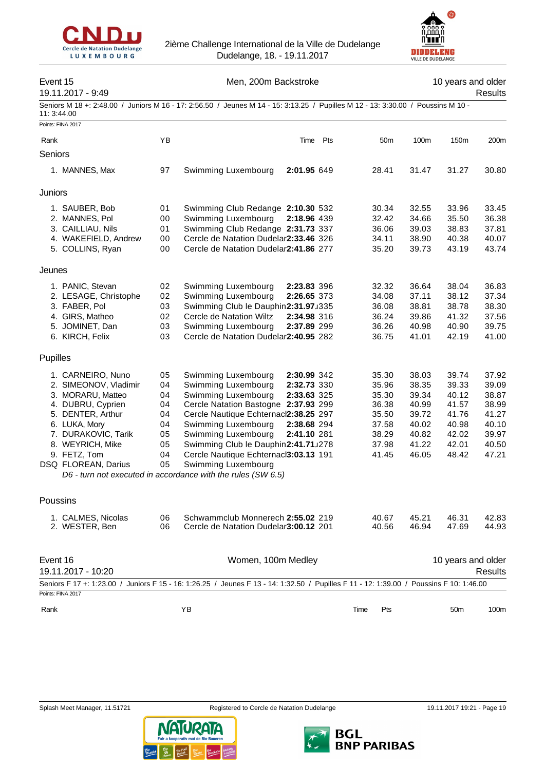



# Event 15 **Men**, 200m Backstroke 15 and older 10 years and older

19.11.2017 - 9:49 Results

Seniors M 18 +: 2:48.00 / Juniors M 16 - 17: 2:56.50 / Jeunes M 14 - 15: 3:13.25 / Pupilles M 12 - 13: 3:30.00 / Poussins M 10 - 11: 3:44.00

| Points: FINA 2017                    |          |                                                                                                                                         |                 |                |                    |                |
|--------------------------------------|----------|-----------------------------------------------------------------------------------------------------------------------------------------|-----------------|----------------|--------------------|----------------|
| Rank                                 | YB       | Pts<br>Time                                                                                                                             | 50 <sub>m</sub> | 100m           | 150m               | 200m           |
| Seniors                              |          |                                                                                                                                         |                 |                |                    |                |
|                                      |          |                                                                                                                                         |                 |                |                    |                |
| 1. MANNES, Max                       | 97       | 2:01.95 649<br>Swimming Luxembourg                                                                                                      | 28.41           | 31.47          | 31.27              | 30.80          |
| Juniors                              |          |                                                                                                                                         |                 |                |                    |                |
| 1. SAUBER, Bob                       | 01       | Swimming Club Redange 2:10.30 532                                                                                                       | 30.34           | 32.55          | 33.96              | 33.45          |
| 2. MANNES, Pol                       | 00       | Swimming Luxembourg<br>2:18.96 439                                                                                                      | 32.42           | 34.66          | 35.50              | 36.38          |
| 3. CAILLIAU, Nils                    | 01       | Swimming Club Redange 2:31.73 337                                                                                                       | 36.06           | 39.03          | 38.83              | 37.81          |
| 4. WAKEFIELD, Andrew                 | 00       | Cercle de Natation Dudelar2:33.46 326                                                                                                   | 34.11           | 38.90          | 40.38              | 40.07          |
| 5. COLLINS, Ryan                     | 00       | Cercle de Natation Dudelar2:41.86 277                                                                                                   | 35.20           | 39.73          | 43.19              | 43.74          |
| Jeunes                               |          |                                                                                                                                         |                 |                |                    |                |
| 1. PANIC, Stevan                     | 02       | Swimming Luxembourg<br>2:23.83 396                                                                                                      | 32.32           | 36.64          | 38.04              | 36.83          |
| 2. LESAGE, Christophe                | 02       | Swimming Luxembourg<br>2:26.65 373                                                                                                      | 34.08           | 37.11          | 38.12              | 37.34          |
| 3. FABER, Pol                        | 03       | Swimming Club le Dauphin2:31.97J335                                                                                                     | 36.08           | 38.81          | 38.78              | 38.30          |
| 4. GIRS, Matheo                      | 02       | Cercle de Natation Wiltz<br>2:34.98 316                                                                                                 | 36.24           | 39.86          | 41.32              | 37.56          |
| 5. JOMINET, Dan                      | 03       | Swimming Luxembourg<br>2:37.89 299                                                                                                      | 36.26           | 40.98          | 40.90              | 39.75          |
| 6. KIRCH, Felix                      | 03       | Cercle de Natation Dudelar2:40.95 282                                                                                                   | 36.75           | 41.01          | 42.19              | 41.00          |
| <b>Pupilles</b>                      |          |                                                                                                                                         |                 |                |                    |                |
| 1. CARNEIRO, Nuno                    | 05       | Swimming Luxembourg<br>2:30.99 342                                                                                                      | 35.30           | 38.03          | 39.74              | 37.92          |
| 2. SIMEONOV, Vladimir                | 04       | Swimming Luxembourg<br>2:32.73 330                                                                                                      | 35.96           | 38.35          | 39.33              | 39.09          |
| 3. MORARU, Matteo                    | 04       | Swimming Luxembourg<br>2:33.63 325                                                                                                      | 35.30           | 39.34          | 40.12              | 38.87          |
| 4. DUBRU, Cyprien                    | 04       | Cercle Natation Bastogne 2:37.93 299                                                                                                    | 36.38           | 40.99          | 41.57              | 38.99          |
| 5. DENTER, Arthur                    | 04       | Cercle Nautique Echternacl2:38.25 297                                                                                                   | 35.50           | 39.72          | 41.76              | 41.27          |
| 6. LUKA, Mory                        | 04       | Swimming Luxembourg<br>2:38.68 294                                                                                                      | 37.58           | 40.02          | 40.98              | 40.10          |
| 7. DURAKOVIC, Tarik                  | 05       | Swimming Luxembourg<br>2:41.10 281                                                                                                      | 38.29           | 40.82          | 42.02              | 39.97          |
| 8. WEYRICH, Mike                     | 05       | Swimming Club le Dauphin2:41.71u278                                                                                                     | 37.98           | 41.22          | 42.01              | 40.50          |
| 9. FETZ, Tom                         | 04       | Cercle Nautique Echternacl3:03.13 191                                                                                                   | 41.45           | 46.05          | 48.42              | 47.21          |
| DSQ FLOREAN, Darius                  | 05       | Swimming Luxembourg                                                                                                                     |                 |                |                    |                |
|                                      |          | D6 - turn not executed in accordance with the rules (SW 6.5)                                                                            |                 |                |                    |                |
| Poussins                             |          |                                                                                                                                         |                 |                |                    |                |
|                                      |          |                                                                                                                                         |                 |                |                    |                |
| 1. CALMES, Nicolas<br>2. WESTER, Ben | 06<br>06 | Schwammclub Monnerech 2:55.02 219<br>Cercle de Natation Dudelar3:00.12 201                                                              | 40.67<br>40.56  | 45.21<br>46.94 | 46.31<br>47.69     | 42.83<br>44.93 |
|                                      |          |                                                                                                                                         |                 |                |                    |                |
| Event 16                             |          | Women, 100m Medley                                                                                                                      |                 |                | 10 years and older |                |
| 19.11.2017 - 10:20                   |          |                                                                                                                                         |                 |                |                    | Results        |
|                                      |          | Seniors F 17 +: 1:23.00 / Juniors F 15 - 16: 1:26.25 / Jeunes F 13 - 14: 1:32.50 / Pupilles F 11 - 12: 1:39.00 / Poussins F 10: 1:46.00 |                 |                |                    |                |
| Points: FINA 2017                    |          |                                                                                                                                         |                 |                |                    |                |
| Rank                                 |          | YB                                                                                                                                      | Time<br>Pts     |                | 50 <sub>m</sub>    | 100m           |





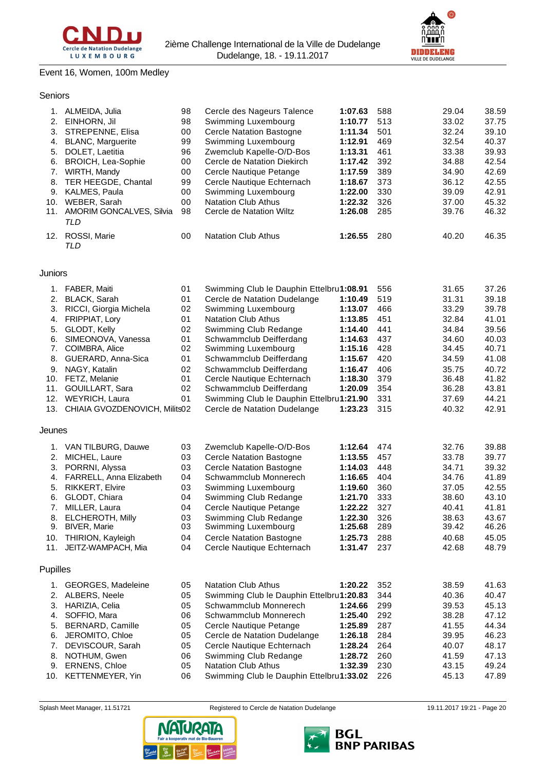



# Event 16, Women, 100m Medley

## Seniors

|     | 1. ALMEIDA, Julia               | 98 | Cercle des Nageurs Talence      | 1:07.63 | 588 | 29.04 | 38.59 |
|-----|---------------------------------|----|---------------------------------|---------|-----|-------|-------|
| 2.  | EINHORN, Jil                    | 98 | Swimming Luxembourg             | 1:10.77 | 513 | 33.02 | 37.75 |
|     | 3. STREPENNE, Elisa             | 00 | <b>Cercle Natation Bastogne</b> | 1:11.34 | 501 | 32.24 | 39.10 |
|     | 4. BLANC, Marguerite            | 99 | Swimming Luxembourg             | 1:12.91 | 469 | 32.54 | 40.37 |
| 5.  | DOLET, Laetitia                 | 96 | Zwemclub Kapelle-O/D-Bos        | 1:13.31 | 461 | 33.38 | 39.93 |
|     | 6. BROICH, Lea-Sophie           | 00 | Cercle de Natation Diekirch     | 1:17.42 | 392 | 34.88 | 42.54 |
|     | 7. WIRTH, Mandy                 | 00 | Cercle Nautique Petange         | 1:17.59 | 389 | 34.90 | 42.69 |
|     | 8. TER HEEGDE, Chantal          | 99 | Cercle Nautique Echternach      | 1:18.67 | 373 | 36.12 | 42.55 |
|     | 9. KALMES, Paula                | 00 | Swimming Luxembourg             | 1:22.00 | 330 | 39.09 | 42.91 |
| 10. | WEBER, Sarah                    | 00 | <b>Natation Club Athus</b>      | 1:22.32 | 326 | 37.00 | 45.32 |
| 11. | <b>AMORIM GONCALVES, Silvia</b> | 98 | Cercle de Natation Wiltz        | 1:26.08 | 285 | 39.76 | 46.32 |
|     | TLD                             |    |                                 |         |     |       |       |
| 12. | ROSSI, Marie<br>TLD             | 00 | <b>Natation Club Athus</b>      | 1:26.55 | 280 | 40.20 | 46.35 |
|     |                                 |    |                                 |         |     |       |       |

#### Juniors

| 1.              | <b>FABER, Maiti</b>           | 01 | Swimming Club le Dauphin Ettelbru1:08.91 |         | 556 | 31.65 | 37.26 |
|-----------------|-------------------------------|----|------------------------------------------|---------|-----|-------|-------|
| 2.              | <b>BLACK, Sarah</b>           | 01 | Cercle de Natation Dudelange             | 1:10.49 | 519 | 31.31 | 39.18 |
| 3.              | RICCI, Giorgia Michela        | 02 | Swimming Luxembourg                      | 1:13.07 | 466 | 33.29 | 39.78 |
| 4.              | FRIPPIAT, Lory                | 01 | <b>Natation Club Athus</b>               | 1:13.85 | 451 | 32.84 | 41.01 |
| 5.              | GLODT, Kelly                  | 02 | Swimming Club Redange                    | 1:14.40 | 441 | 34.84 | 39.56 |
| 6.              | SIMEONOVA, Vanessa            | 01 | Schwammclub Deifferdang                  | 1:14.63 | 437 | 34.60 | 40.03 |
| 7.              | COIMBRA, Alice                | 02 | Swimming Luxembourg                      | 1:15.16 | 428 | 34.45 | 40.71 |
| 8.              | GUERARD, Anna-Sica            | 01 | Schwammclub Deifferdang                  | 1:15.67 | 420 | 34.59 | 41.08 |
| 9.              | NAGY, Katalin                 | 02 | Schwammclub Deifferdang                  | 1:16.47 | 406 | 35.75 | 40.72 |
| 10.             | FETZ, Melanie                 | 01 | Cercle Nautique Echternach               | 1:18.30 | 379 | 36.48 | 41.82 |
| 11.             | <b>GOUILLART, Sara</b>        | 02 | Schwammclub Deifferdang                  | 1:20.09 | 354 | 36.28 | 43.81 |
| 12.             | <b>WEYRICH, Laura</b>         | 01 | Swimming Club le Dauphin Ettelbru1:21.90 |         | 331 | 37.69 | 44.21 |
| 13.             | CHIAIA GVOZDENOVICH. Milits02 |    | Cercle de Natation Dudelange             | 1:23.23 | 315 | 40.32 | 42.91 |
| Jeunes          |                               |    |                                          |         |     |       |       |
| 1.              | VAN TILBURG, Dauwe            | 03 | Zwemclub Kapelle-O/D-Bos                 | 1:12.64 | 474 | 32.76 | 39.88 |
| 2.              | MICHEL, Laure                 | 03 | <b>Cercle Natation Bastogne</b>          | 1:13.55 | 457 | 33.78 | 39.77 |
| 3.              | PORRNI, Alyssa                | 03 | <b>Cercle Natation Bastogne</b>          | 1:14.03 | 448 | 34.71 | 39.32 |
| 4.              | FARRELL, Anna Elizabeth       | 04 | Schwammclub Monnerech                    | 1:16.65 | 404 | 34.76 | 41.89 |
| 5.              | <b>RIKKERT, Elvire</b>        | 03 | Swimming Luxembourg                      | 1:19.60 | 360 | 37.05 | 42.55 |
| 6.              | GLODT, Chiara                 | 04 | Swimming Club Redange                    | 1:21.70 | 333 | 38.60 | 43.10 |
| 7.              | MILLER, Laura                 | 04 | Cercle Nautique Petange                  | 1:22.22 | 327 | 40.41 | 41.81 |
| 8.              | <b>ELCHEROTH, Milly</b>       | 03 | Swimming Club Redange                    | 1:22.30 | 326 | 38.63 | 43.67 |
| 9.              | <b>BIVER, Marie</b>           | 03 | Swimming Luxembourg                      | 1:25.68 | 289 | 39.42 | 46.26 |
| 10.             | THIRION, Kayleigh             | 04 | <b>Cercle Natation Bastogne</b>          | 1:25.73 | 288 | 40.68 | 45.05 |
| 11.             | JEITZ-WAMPACH, Mia            | 04 | Cercle Nautique Echternach               | 1:31.47 | 237 | 42.68 | 48.79 |
| <b>Pupilles</b> |                               |    |                                          |         |     |       |       |
|                 | 1. GEORGES, Madeleine         | 05 | <b>Natation Club Athus</b>               | 1:20.22 | 352 | 38.59 | 41.63 |

| 1. GEORGES, Madeleine | 05 | Natation Club Athus                          | 1:20.22 | - 352 | 38.59 | 41.63 |
|-----------------------|----|----------------------------------------------|---------|-------|-------|-------|
| 2. ALBERS, Neele      | 05 | Swimming Club le Dauphin Ettelbru1:20.83     |         | - 344 | 40.36 | 40.47 |
| 3. HARIZIA, Celia     | 05 | Schwammclub Monnerech                        | 1:24.66 | -299  | 39.53 | 45.13 |
| 4. SOFFIO, Mara       | 06 | Schwammclub Monnerech                        | 1:25.40 | 292   | 38.28 | 47.12 |
| 5. BERNARD, Camille   | 05 | Cercle Nautique Petange                      | 1:25.89 | -287  | 41.55 | 44.34 |
| 6. JEROMITO, Chloe    | 05 | Cercle de Natation Dudelange                 | 1:26.18 | -284  | 39.95 | 46.23 |
| 7. DEVISCOUR, Sarah   | 05 | Cercle Nautique Echternach                   | 1:28.24 | -264  | 40.07 | 48.17 |
| 8. NOTHUM, Gwen       | 06 | Swimming Club Redange                        | 1:28.72 | 260   | 41.59 | 47.13 |
| 9. ERNENS, Chloe      | 05 | <b>Natation Club Athus</b>                   | 1:32.39 | 230   | 43.15 | 49.24 |
| 10. KETTENMEYER, Yin  | 06 | Swimming Club le Dauphin Ettelbru1:33.02 226 |         |       | 45.13 | 47.89 |



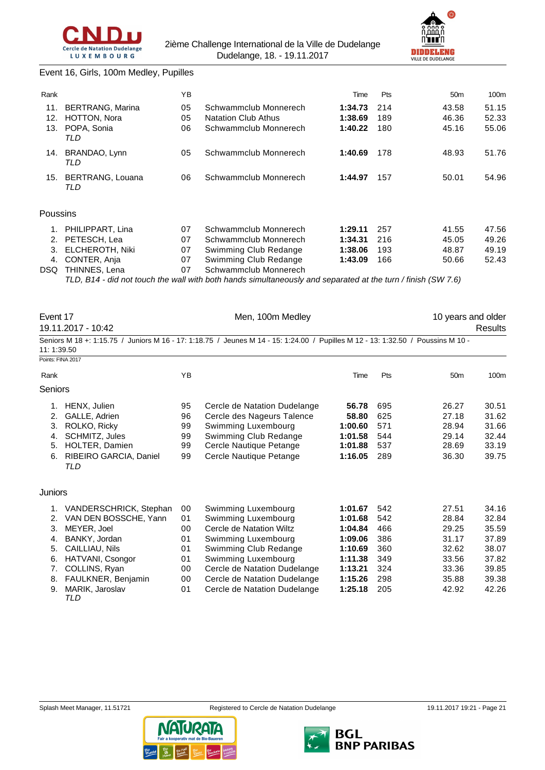



#### Event 16, Girls, 100m Medley, Pupilles

| Rank     |                               | YB |                                                                                                              | Time    | Pts | 50 <sub>m</sub> | 100m  |
|----------|-------------------------------|----|--------------------------------------------------------------------------------------------------------------|---------|-----|-----------------|-------|
| 11.      | <b>BERTRANG, Marina</b>       | 05 | Schwammclub Monnerech                                                                                        | 1:34.73 | 214 | 43.58           | 51.15 |
| 12.      | HOTTON, Nora                  | 05 | <b>Natation Club Athus</b>                                                                                   | 1:38.69 | 189 | 46.36           | 52.33 |
| 13.      | POPA, Sonia<br>TLD            | 06 | Schwammclub Monnerech                                                                                        | 1:40.22 | 180 | 45.16           | 55.06 |
| 14.      | BRANDAO, Lynn<br>TLD          | 05 | Schwammclub Monnerech                                                                                        | 1:40.69 | 178 | 48.93           | 51.76 |
| 15.      | BERTRANG, Louana<br>06<br>TLD |    | Schwammclub Monnerech                                                                                        | 1:44.97 | 157 | 50.01           | 54.96 |
| Poussins |                               |    |                                                                                                              |         |     |                 |       |
| 1.       | PHILIPPART, Lina              | 07 | Schwammclub Monnerech                                                                                        | 1:29.11 | 257 | 41.55           | 47.56 |
| 2.       | PETESCH, Lea                  | 07 | Schwammclub Monnerech                                                                                        | 1:34.31 | 216 | 45.05           | 49.26 |
| 3.       | <b>ELCHEROTH, Niki</b>        | 07 | Swimming Club Redange                                                                                        | 1:38.06 | 193 | 48.87           | 49.19 |
| 4.       | CONTER, Anja                  | 07 | Swimming Club Redange                                                                                        | 1:43.09 | 166 | 50.66           | 52.43 |
| DSQ.     | THINNES, Lena                 | 07 | Schwammclub Monnerech                                                                                        |         |     |                 |       |
|          |                               |    | TLD, B14 - did not touch the wall with both hands simultaneously and separated at the turn / finish (SW 7.6) |         |     |                 |       |

Event 17 **Event 17** Men, 100m Medley **10** years and older 19.11.2017 - 10:42 Results Seniors M 18 +: 1:15.75 / Juniors M 16 - 17: 1:18.75 / Jeunes M 14 - 15: 1:24.00 / Pupilles M 12 - 13: 1:32.50 / Poussins M 10 - 11: 1:39.50 Points: FINA 2017 Rank 100m (The Pts 50m 100m of the Past 100m of the Pts 50m 100m Seniors 1. HENX, Julien 95 Cercle de Natation Dudelange **56.78** 695 26.27 30.51 2. GALLE, Adrien 96 Cercle des Nageurs Talence **58.80** 625 27.18 31.62 3. ROLKO, Ricky 99 Swimming Luxembourg **1:00.60** 571 28.94 31.66 4. SCHMITZ, Jules 99 Swimming Club Redange **1:01.58** 544 29.14 32.44 5. HOLTER, Damien 99 Cercle Nautique Petange **1:01.88** 537 28.69 33.19 6. RIBEIRO GARCIA, Daniel 99 Cercle Nautique Petange **1:16.05** 289 36.30 39.75 *TLD* **Juniors** 1. VANDERSCHRICK, Stephan 00 Swimming Luxembourg **1:01.67** 542 27.51 34.16 2. VAN DEN BOSSCHE, Yann 01 Swimming Luxembourg **1:01.68** 542 28.84 32.84 3. MEYER, Joel 00 Cercle de Natation Wiltz **1:04.84** 466 29.25 35.59 4. BANKY, Jordan 01 Swimming Luxembourg **1:09.06** 386 31.17 37.89 5. CAILLIAU, Nils 01 Swimming Club Redange **1:10.69** 360 32.62 38.07 6. HATVANI, Csongor 01 Swimming Luxembourg **1:11.38** 349 33.56 37.82 7. COLLINS, Ryan 00 Cercle de Natation Dudelange **1:13.21** 324 33.36 39.85 8. FAULKNER, Benjamin 00 Cercle de Natation Dudelange **1:15.26** 298 35.88 39.38

9. MARIK, Jaroslav 01 Cercle de Natation Dudelange **1:25.18** 205 42.92 42.26 *TLD*



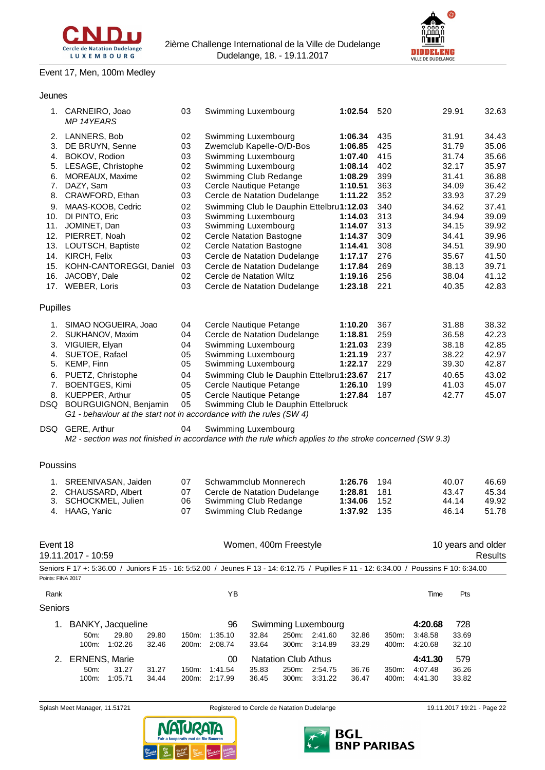

1. CARNEIRO, Joao 03 Swimming Luxembourg **1:02.54** 520 29.91 32.63

# Event 17, Men, 100m Medley

## Jeunes

| 2.                | 50m:<br>31.27<br>31.27<br>100m:<br>1:05.71<br>34.44                                                                                     | 150m:<br>200m: | 1:41.54<br>2:17.99       | 35.83<br>250m:<br>36.45<br>300m:                                               | 2:54.75<br>3:31.22 | 36.76<br>36.47                | 350m:<br>400m:    | 4:07.48<br>4:41.30            | 36.26<br>33.82          |                         |
|-------------------|-----------------------------------------------------------------------------------------------------------------------------------------|----------------|--------------------------|--------------------------------------------------------------------------------|--------------------|-------------------------------|-------------------|-------------------------------|-------------------------|-------------------------|
|                   |                                                                                                                                         |                |                          |                                                                                |                    |                               |                   |                               |                         |                         |
|                   | 50m:<br>29.80<br>29.80<br>1:02.26<br>100m:<br>32.46<br><b>ERNENS, Marie</b>                                                             | 150m:<br>200m: | 1:35.10<br>2:08.74<br>00 | 32.84<br>250m:<br>33.64<br>300m:<br><b>Natation Club Athus</b>                 | 2:41.60<br>3:14.89 | 32.86<br>33.29                | 350m:<br>400m:    | 3:48.58<br>4:20.68<br>4:41.30 | 33.69<br>32.10<br>579   |                         |
|                   | 1. BANKY, Jacqueline                                                                                                                    |                | 96                       | <b>Swimming Luxembourg</b>                                                     |                    |                               |                   | 4:20.68                       | 728                     |                         |
| Seniors           |                                                                                                                                         |                |                          |                                                                                |                    |                               |                   |                               |                         |                         |
| Rank              |                                                                                                                                         |                | ΥB                       |                                                                                |                    |                               |                   | Time                          | Pts                     |                         |
| Points: FINA 2017 |                                                                                                                                         |                |                          |                                                                                |                    |                               |                   |                               |                         |                         |
|                   | Seniors F 17 +: 5:36.00 / Juniors F 15 - 16: 5:52.00 / Jeunes F 13 - 14: 6:12.75 / Pupilles F 11 - 12: 6:34.00 / Poussins F 10: 6:34.00 |                |                          |                                                                                |                    |                               |                   |                               |                         |                         |
| Event 18          | 19.11.2017 - 10:59                                                                                                                      |                |                          | Women, 400m Freestyle                                                          |                    |                               |                   |                               | 10 years and older      | Results                 |
| 4.                | HAAG, Yanic                                                                                                                             | 07             |                          | Swimming Club Redange                                                          |                    | 1:37.92                       | 135               |                               | 46.14                   | 51.78                   |
| 2.<br>3.          | 1. SREENIVASAN, Jaiden<br>CHAUSSARD, Albert<br>SCHOCKMEL, Julien                                                                        | 07<br>07<br>06 |                          | Schwammclub Monnerech<br>Cercle de Natation Dudelange<br>Swimming Club Redange |                    | 1:26.76<br>1:28.81<br>1:34.06 | 194<br>181<br>152 |                               | 40.07<br>43.47<br>44.14 | 46.69<br>45.34<br>49.92 |
| Poussins          |                                                                                                                                         |                |                          |                                                                                |                    |                               |                   |                               |                         |                         |
| DSQ               | GERE, Arthur<br>M2 - section was not finished in accordance with the rule which applies to the stroke concerned (SW 9.3)                | 04             |                          | Swimming Luxembourg                                                            |                    |                               |                   |                               |                         |                         |
| 8.                | KUEPPER, Arthur<br>DSQ BOURGUIGNON, Benjamin<br>G1 - behaviour at the start not in accordance with the rules (SW 4)                     | 05<br>05       |                          | Cercle Nautique Petange<br>Swimming Club le Dauphin Ettelbruck                 |                    | 1:27.84                       | 187               |                               | 42.77                   | 45.07                   |
| 6.<br>7.          | PUETZ, Christophe<br><b>BOENTGES, Kimi</b>                                                                                              | 04<br>05       |                          | Swimming Club le Dauphin Ettelbru1:23.67<br>Cercle Nautique Petange            |                    | 1:26.10                       | 217<br>199        |                               | 40.65<br>41.03          | 43.02<br>45.07          |
| 5.                | KEMP, Finn                                                                                                                              | 05             |                          | Swimming Luxembourg                                                            |                    | 1:22.17                       | 229               |                               | 39.30                   | 42.87                   |
| 3.<br>4.          | VIGUIER, Elyan<br>SUETOE, Rafael                                                                                                        | 04<br>05       |                          | Swimming Luxembourg<br>Swimming Luxembourg                                     |                    | 1:21.03<br>1:21.19            | 239<br>237        |                               | 38.18<br>38.22          | 42.85<br>42.97          |
| 2.                | SUKHANOV, Maxim                                                                                                                         | 04             |                          | Cercle de Natation Dudelange                                                   |                    | 1:18.81                       | 259               |                               | 36.58                   | 42.23                   |
|                   | 1. SIMAO NOGUEIRA, Joao                                                                                                                 | 04             |                          | Cercle Nautique Petange                                                        |                    | 1:10.20                       | 367               |                               | 31.88                   | 38.32                   |
| Pupilles          |                                                                                                                                         |                |                          |                                                                                |                    |                               |                   |                               |                         |                         |
| 16.               | JACOBY, Dale<br>17. WEBER, Loris                                                                                                        | 02<br>03       |                          | Cercle de Natation Wiltz<br>Cercle de Natation Dudelange                       |                    | 1:19.16<br>1:23.18            | 256<br>221        |                               | 38.04<br>40.35          | 41.12<br>42.83          |
| 15.               | KOHN-CANTOREGGI, Daniel                                                                                                                 | 03             |                          | Cercle de Natation Dudelange                                                   |                    | 1:17.84                       | 269               |                               | 38.13                   | 39.71                   |
|                   | 14. KIRCH, Felix                                                                                                                        | 03             |                          | Cercle de Natation Dudelange                                                   |                    | 1:17.17                       | 276               |                               | 35.67                   | 41.50                   |
| 13.               | LOUTSCH, Baptiste                                                                                                                       | 02             |                          | <b>Cercle Natation Bastogne</b>                                                |                    | 1:14.41                       | 308               |                               | 34.51                   | 39.90                   |
| 12.               | PIERRET, Noah                                                                                                                           | 02             |                          | <b>Cercle Natation Bastogne</b>                                                |                    | 1:14.37                       | 309               |                               | 34.41                   | 39.96                   |
| 10.<br>11.        | DI PINTO, Eric<br>JOMINET, Dan                                                                                                          | 03<br>03       |                          | Swimming Luxembourg<br>Swimming Luxembourg                                     |                    | 1:14.03<br>1:14.07            | 313<br>313        |                               | 34.94<br>34.15          | 39.09<br>39.92          |
| 9.                | MAAS-KOOB, Cedric                                                                                                                       | 02             |                          | Swimming Club le Dauphin Ettelbru1:12.03                                       |                    |                               | 340               |                               | 34.62                   | 37.41                   |
| 8.                | CRAWFORD, Ethan                                                                                                                         | 03             |                          | Cercle de Natation Dudelange                                                   |                    | 1:11.22                       | 352               |                               | 33.93                   | 37.29                   |
| 7.                | DAZY, Sam                                                                                                                               | 03             |                          | Cercle Nautique Petange                                                        |                    | 1:10.51                       | 363               |                               | 34.09                   | 36.42                   |
| 6.                | MOREAUX, Maxime                                                                                                                         | 02             |                          | Swimming Club Redange                                                          |                    | 1:08.29                       | 399               |                               | 31.41                   | 36.88                   |
| 4.<br>5.          | BOKOV, Rodion<br>LESAGE, Christophe                                                                                                     | 03<br>02       |                          | Swimming Luxembourg<br>Swimming Luxembourg                                     |                    | 1:07.40<br>1:08.14            | 415<br>402        |                               | 31.74<br>32.17          | 35.66<br>35.97          |
| 3.                | DE BRUYN, Senne                                                                                                                         | 03             |                          | Zwemclub Kapelle-O/D-Bos                                                       |                    | 1:06.85                       | 425               |                               | 31.79                   | 35.06                   |
| 2.                | LANNERS, Bob                                                                                                                            | 02             |                          | Swimming Luxembourg                                                            |                    | 1:06.34                       | 435               |                               | 31.91                   | 34.43                   |
|                   | MP 14YEARS                                                                                                                              |                |                          |                                                                                |                    |                               |                   |                               |                         |                         |





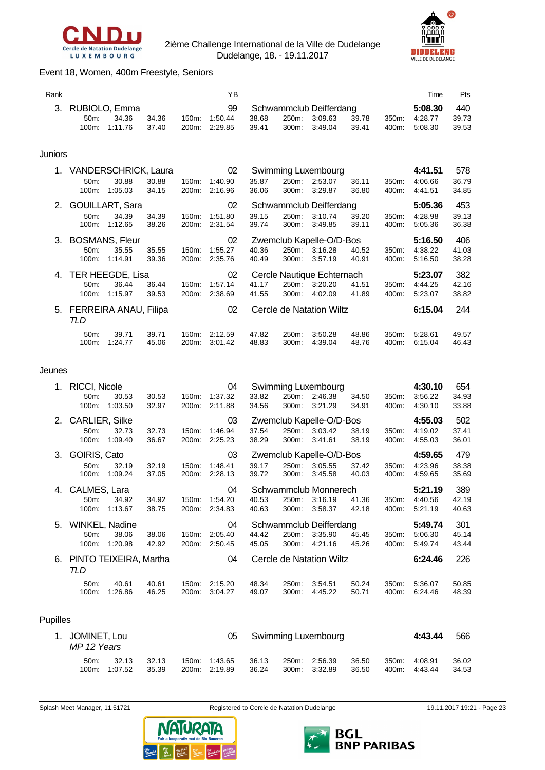



# Event 18, Women, 400m Freestyle, Seniors

| Rank    |                                                           |                                            |                |                | YB                       |                |                |                                                      |                |                | Time                          | Pts                   |
|---------|-----------------------------------------------------------|--------------------------------------------|----------------|----------------|--------------------------|----------------|----------------|------------------------------------------------------|----------------|----------------|-------------------------------|-----------------------|
| 3.      | 50m:<br>100m:                                             | RUBIOLO, Emma<br>34.36<br>1:11.76          | 34.36<br>37.40 | 150m:<br>200m: | 99<br>1:50.44<br>2:29.85 | 38.68<br>39.41 | 250m:<br>300m: | Schwammclub Deifferdang<br>3:09.63<br>3:49.04        | 39.78<br>39.41 | 350m:<br>400m: | 5:08.30<br>4:28.77<br>5:08.30 | 440<br>39.73<br>39.53 |
| Juniors |                                                           |                                            |                |                |                          |                |                |                                                      |                |                |                               |                       |
| 1.      | <b>VANDERSCHRICK, Laura</b><br>50 <sub>m</sub> :<br>100m: | 30.88<br>1:05.03                           | 30.88<br>34.15 | 150m:<br>200m: | 02<br>1:40.90<br>2:16.96 | 35.87<br>36.06 | 250m:<br>300m: | Swimming Luxembourg<br>2:53.07<br>3:29.87            | 36.11<br>36.80 | 350m:<br>400m: | 4:41.51<br>4:06.66<br>4:41.51 | 578<br>36.79<br>34.85 |
| 2.      | 50m:<br>100m:                                             | <b>GOUILLART, Sara</b><br>34.39<br>1:12.65 | 34.39<br>38.26 | 150m:<br>200m: | 02<br>1:51.80<br>2:31.54 | 39.15<br>39.74 | 250m:<br>300m: | Schwammclub Deifferdang<br>3:10.74<br>3:49.85        | 39.20<br>39.11 | 350m:<br>400m: | 5:05.36<br>4:28.98<br>5:05.36 | 453<br>39.13<br>36.38 |
| 3.      | 50m:<br>100m:                                             | <b>BOSMANS, Fleur</b><br>35.55<br>1:14.91  | 35.55<br>39.36 | 150m:<br>200m: | 02<br>1:55.27<br>2:35.76 | 40.36<br>40.49 | 300m:          | Zwemclub Kapelle-O/D-Bos<br>250m: 3:16.28<br>3:57.19 | 40.52<br>40.91 | 350m:<br>400m: | 5:16.50<br>4:38.22<br>5:16.50 | 406<br>41.03<br>38.28 |
| 4.      | TER HEEGDE, Lisa<br>50m:<br>100m:                         | 36.44<br>1:15.97                           | 36.44<br>39.53 | 150m:<br>200m: | 02<br>1:57.14<br>2:38.69 | 41.17<br>41.55 | 250m:<br>300m: | Cercle Nautique Echternach<br>3:20.20<br>4:02.09     | 41.51<br>41.89 | 350m:<br>400m: | 5:23.07<br>4:44.25<br>5:23.07 | 382<br>42.16<br>38.82 |
| 5.      | <b>FERREIRA ANAU, Filipa</b><br>TLD                       |                                            |                |                | 02                       |                |                | Cercle de Natation Wiltz                             |                |                | 6:15.04                       | 244                   |
|         | 50m:<br>100m:                                             | 39.71<br>1:24.77                           | 39.71<br>45.06 | 150m.<br>200m: | 2:12.59<br>3:01.42       | 47.82<br>48.83 | 250m:<br>300m: | 3:50.28<br>4:39.04                                   | 48.86<br>48.76 | 350m:<br>400m: | 5:28.61<br>6:15.04            | 49.57<br>46.43        |

#### Jeunes

| 1.       | <b>RICCI, Nicole</b>                        |         |       |       | 04      | Swimming Luxembourg |         |                          |       |       | 4:30.10 | 654   |
|----------|---------------------------------------------|---------|-------|-------|---------|---------------------|---------|--------------------------|-------|-------|---------|-------|
|          | 50 <sub>m</sub> :                           | 30.53   | 30.53 | 150m: | 1:37.32 | 33.82               | 250m:   | 2:46.38                  | 34.50 | 350m: | 3:56.22 | 34.93 |
|          | 100m:                                       | 1:03.50 | 32.97 | 200m: | 2:11.88 | 34.56               | 300m:   | 3:21.29                  | 34.91 | 400m: | 4:30.10 | 33.88 |
| 2.       | <b>CARLIER, Silke</b>                       |         |       |       | 03      |                     |         | Zwemclub Kapelle-O/D-Bos |       |       | 4:55.03 | 502   |
|          | 50m:                                        | 32.73   | 32.73 | 150m: | 1:46.94 | 37.54               | 250m:   | 3:03.42                  | 38.19 | 350m: | 4:19.02 | 37.41 |
|          | 100m:                                       | 1:09.40 | 36.67 | 200m: | 2:25.23 | 38.29               | 300m:   | 3:41.61                  | 38.19 | 400m: | 4:55.03 | 36.01 |
| 3.       | GOIRIS, Cato                                |         |       |       | 03      |                     |         | Zwemclub Kapelle-O/D-Bos |       |       | 4:59.65 | 479   |
|          | 50 <sub>m</sub> :                           | 32.19   | 32.19 | 150m: | 1:48.41 | 39.17               | 250m:   | 3:05.55                  | 37.42 | 350m: | 4:23.96 | 38.38 |
|          | 100m:                                       | 1:09.24 | 37.05 | 200m: | 2:28.13 | 39.72               | 300m:   | 3:45.58                  | 40.03 | 400m: | 4:59.65 | 35.69 |
| 4.       | CALMES, Lara<br>Schwammclub Monnerech<br>04 |         |       |       |         |                     | 5:21.19 | 389                      |       |       |         |       |
|          | 50 <sub>m</sub> :                           | 34.92   | 34.92 | 150m: | 1:54.20 | 40.53               | 250m:   | 3:16.19                  | 41.36 | 350m: | 4:40.56 | 42.19 |
|          | 100m:                                       | 1:13.67 | 38.75 | 200m: | 2:34.83 | 40.63               | 300m:   | 3:58.37                  | 42.18 | 400m: | 5:21.19 | 40.63 |
| 5.       | WINKEL, Nadine                              |         |       |       | 04      |                     |         | Schwammclub Deifferdang  |       |       | 5:49.74 | 301   |
|          | 50m:                                        | 38.06   | 38.06 | 150m. | 2:05.40 | 44.42               | 250m:   | 3:35.90                  | 45.45 | 350m. | 5:06.30 | 45.14 |
|          | 100m:                                       | 1:20.98 | 42.92 | 200m: | 2:50.45 | 45.05               | 300m:   | 4:21.16                  | 45.26 | 400m. | 5:49.74 | 43.44 |
| 6.       | PINTO TEIXEIRA, Martha<br>TLD               |         |       |       | 04      |                     |         | Cercle de Natation Wiltz |       |       | 6:24.46 | 226   |
|          | 50m:                                        | 40.61   | 40.61 | 150m: | 2:15.20 | 48.34               | 250m:   | 3:54.51                  | 50.24 | 350m: | 5:36.07 | 50.85 |
|          | 100m:                                       | 1:26.86 | 46.25 | 200m: | 3:04.27 | 49.07               | 300m:   | 4:45.22                  | 50.71 | 400m: | 6:24.46 | 48.39 |
|          |                                             |         |       |       |         |                     |         |                          |       |       |         |       |
| Pupilles |                                             |         |       |       |         |                     |         |                          |       |       |         |       |
| 1.       | JOMINET, Lou<br>$MP 12 V_{P}$               |         |       |       | 05      |                     |         | Swimming Luxembourg      |       |       | 4:43.44 | 566   |

| MP 12 Years |               |       |                                   |       |               |       |       |               |       |
|-------------|---------------|-------|-----------------------------------|-------|---------------|-------|-------|---------------|-------|
| $50m$ :     | 32.13         | 32.13 | 150m: 1.43.65 36.13 250m: 2.56.39 |       |               | 36.50 | 350m: | 4:08.91       | 36.02 |
|             | 100m: 1:07.52 | 35.39 | 200m: 2:19.89                     | 36.24 | 300m. 3:32.89 | 36.50 |       | 400m: 4:43.44 | 34.53 |



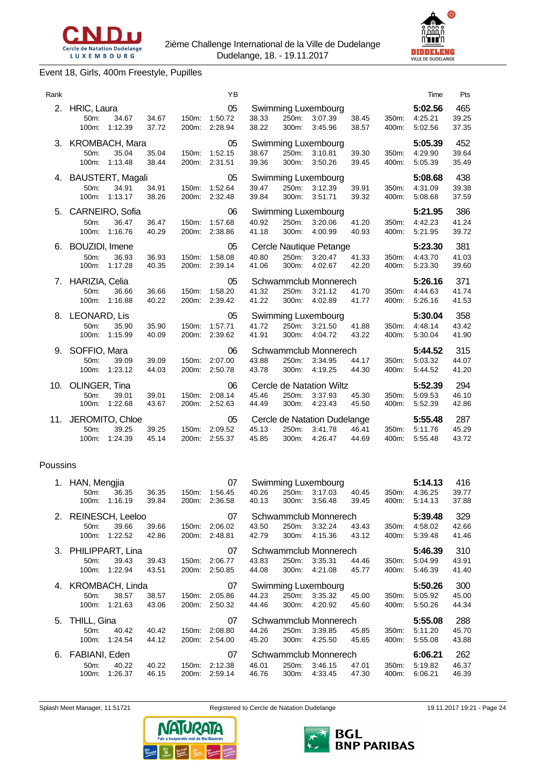



# Event 18, Girls, 400m Freestyle, Pupilles

| Rank |                                    |                                     |                |                | YB                       |                |                |                                                    |                |                | Time                          | Pts                   |
|------|------------------------------------|-------------------------------------|----------------|----------------|--------------------------|----------------|----------------|----------------------------------------------------|----------------|----------------|-------------------------------|-----------------------|
| 2.   | HRIC, Laura<br>$50m$ :<br>100m:    | 34.67<br>1:12.39                    | 34.67<br>37.72 | 150m:<br>200m: | 05<br>1:50.72<br>2:28.94 | 38.33<br>38.22 | 250m:<br>300m: | Swimming Luxembourg<br>3:07.39<br>3:45.96          | 38.45<br>38.57 | 350m:<br>400m: | 5:02.56<br>4:25.21<br>5:02.56 | 465<br>39.25<br>37.35 |
|      | 3. KROMBACH, Mara<br>50m:<br>100m: | 35.04<br>1:13.48                    | 35.04<br>38.44 | 150m:<br>200m: | 05<br>1:52.15<br>2:31.51 | 38.67<br>39.36 | 250m:<br>300m: | Swimming Luxembourg<br>3:10.81<br>3:50.26          | 39.30<br>39.45 | 350m:<br>400m: | 5:05.39<br>4:29.90<br>5:05.39 | 452<br>39.64<br>35.49 |
| 4.   | BAUSTERT, Magali<br>50m:<br>100m:  | 34.91<br>1:13.17                    | 34.91<br>38.26 | 150m:<br>200m: | 05<br>1:52.64<br>2:32.48 | 39.47<br>39.84 | 250m:<br>300m: | Swimming Luxembourg<br>3:12.39<br>3:51.71          | 39.91<br>39.32 | 350m:<br>400m: | 5:08.68<br>4:31.09<br>5:08.68 | 438<br>39.38<br>37.59 |
| 5.   | CARNEIRO, Sofia<br>50m:<br>100m:   | 36.47<br>1:16.76                    | 36.47<br>40.29 | 150m:<br>200m: | 06<br>1:57.68<br>2:38.86 | 40.92<br>41.18 | 250m:<br>300m: | <b>Swimming Luxembourg</b><br>3:20.06<br>4:00.99   | 41.20<br>40.93 | 350m:<br>400m: | 5:21.95<br>4:42.23<br>5:21.95 | 386<br>41.24<br>39.72 |
|      | 6. BOUZIDI, Imene<br>50m:<br>100m: | 36.93<br>1:17.28                    | 36.93<br>40.35 | 150m:<br>200m: | 05<br>1:58.08<br>2:39.14 | 40.80<br>41.06 | 250m:<br>300m: | Cercle Nautique Petange<br>3:20.47<br>4:02.67      | 41.33<br>42.20 | 350m:<br>400m: | 5:23.30<br>4:43.70<br>5:23.30 | 381<br>41.03<br>39.60 |
|      | 7. HARIZIA, Celia<br>50m:<br>100m: | 36.66<br>1:16.88                    | 36.66<br>40.22 | 150m:<br>200m: | 05<br>1:58.20<br>2:39.42 | 41.32<br>41.22 | 250m:<br>300m: | Schwammclub Monnerech<br>3:21.12<br>4:02.89        | 41.70<br>41.77 | 350m:<br>400m: | 5:26.16<br>4:44.63<br>5:26.16 | 371<br>41.74<br>41.53 |
|      | 8. LEONARD, Lis<br>50m:            | 35.90<br>100m: 1:15.99              | 35.90<br>40.09 | 150m:<br>200m: | 05<br>1:57.71<br>2:39.62 | 41.72<br>41.91 | 250m:<br>300m: | Swimming Luxembourg<br>3:21.50<br>4:04.72          | 41.88<br>43.22 | 350m:<br>400m: | 5:30.04<br>4:48.14<br>5:30.04 | 358<br>43.42<br>41.90 |
|      | 9. SOFFIO, Mara<br>50m:<br>100m:   | 39.09<br>1:23.12                    | 39.09<br>44.03 | 150m:<br>200m: | 06<br>2:07.00<br>2:50.78 | 43.88<br>43.78 | 250m:<br>300m: | Schwammclub Monnerech<br>3:34.95<br>4:19.25        | 44.17<br>44.30 | 350m:<br>400m: | 5:44.52<br>5:03.32<br>5:44.52 | 315<br>44.07<br>41.20 |
|      | 10. OLINGER, Tina<br>50m:<br>100m: | 39.01<br>1:22.68                    | 39.01<br>43.67 | 150m:<br>200m: | 06<br>2:08.14<br>2:52.63 | 45.46<br>44.49 | 250m:<br>300m: | Cercle de Natation Wiltz<br>3:37.93<br>4:23.43     | 45.30<br>45.50 | 350m:<br>400m: | 5:52.39<br>5:09.53<br>5:52.39 | 294<br>46.10<br>42.86 |
| 11.  | 50m:<br>100m:                      | JEROMITO, Chloe<br>39.25<br>1:24.39 | 39.25<br>45.14 | 150m:<br>200m: | 05<br>2:09.52<br>2:55.37 | 45.13<br>45.85 | 250m:<br>300m: | Cercle de Natation Dudelange<br>3:41.78<br>4.26.47 | 46.41<br>44.69 | 350m:<br>400m: | 5:55.48<br>5:11.76<br>5:55.48 | 287<br>45.29<br>43.72 |

#### Poussins

| 1. | HAN, Mengjia        |                  |                |                | 07                 |                |                | Swimming Luxembourg   |                |                | 5:14.13            | 416            |
|----|---------------------|------------------|----------------|----------------|--------------------|----------------|----------------|-----------------------|----------------|----------------|--------------------|----------------|
|    | 50m:<br>100m:       | 36.35<br>1:16.19 | 36.35<br>39.84 | 150m:<br>200m: | 1:56.45<br>2:36.58 | 40.26<br>40.13 | 250m:<br>300m: | 3:17.03<br>3:56.48    | 40.45<br>39.45 | 350m:<br>400m: | 4:36.25<br>5.14.13 | 39.77<br>37.88 |
|    | 2. REINESCH, Leeloo |                  |                |                | 07                 |                |                | Schwammclub Monnerech |                |                | 5:39.48            | 329            |
|    | 50m:                | 39.66            | 39.66          | 150m:          | 2:06.02            | 43.50          | 250m:          | 3:32.24               | 43.43          | 350m:          | 4:58.02            | 42.66          |
|    | 100m:               | 1:22.52          | 42.86          | 200m:          | 2:48.81            | 42.79          | 300m:          | 4:15.36               | 43.12          | 400m:          | 5:39.48            | 41.46          |
|    | 3. PHILIPPART, Lina |                  |                |                | 07                 |                |                | Schwammclub Monnerech |                |                | 5:46.39            | 310            |
|    | 50m:                | 39.43            | 39.43          | 150m:          | 2:06.77            | 43.83          | 250m:          | 3:35.31               | 44.46          | 350m:          | 5:04.99            | 43.91          |
|    | 100m:               | 1:22.94          | 43.51          | 200m:          | 2:50.85            | 44.08          | 300m:          | 4:21.08               | 45.77          | 400m:          | 5:46.39            | 41.40          |
|    |                     |                  |                |                |                    |                |                |                       |                |                |                    |                |
|    | 4. KROMBACH, Linda  |                  |                |                | 07                 |                |                | Swimming Luxembourg   |                |                | 5:50.26            | 300            |
|    | 50 <sub>m</sub> :   | 38.57            | 38.57          | 150m:          | 2:05.86            | 44.23          | 250m:          | 3:35.32               | 45.00          | 350m:          | 5:05.92            | 45.00          |
|    | 100m:               | 1:21.63          | 43.06          | 200m:          | 2:50.32            | 44.46          | 300m:          | 4:20.92               | 45.60          | 400m:          | 5:50.26            | 44.34          |
|    | 5. THILL, Gina      |                  |                |                | 07                 |                |                | Schwammclub Monnerech |                |                | 5:55.08            | 288            |
|    | 50 <sub>m</sub>     | 40.42            | 40.42          | 150m:          | 2:08.80            | 44.26          | 250m:          | 3:39.85               | 45.85          | 350m:          | 5:11.20            | 45.70          |
|    | 100m:               | 1:24.54          | 44.12          | 200m:          | 2:54.00            | 45.20          | 300m:          | 4:25.50               | 45.65          | 400m:          | 5:55.08            | 43.88          |
|    | 6. FABIANI, Eden    |                  |                |                | 07                 |                |                | Schwammclub Monnerech |                |                | 6:06.21            | 262            |
|    | 50m:                | 40.22            | 40.22          | 150m:          | 2:12.38            | 46.01          | 250m:          | 3:46.15               | 47.01          | 350m:          | 5:19.82            | 46.37          |



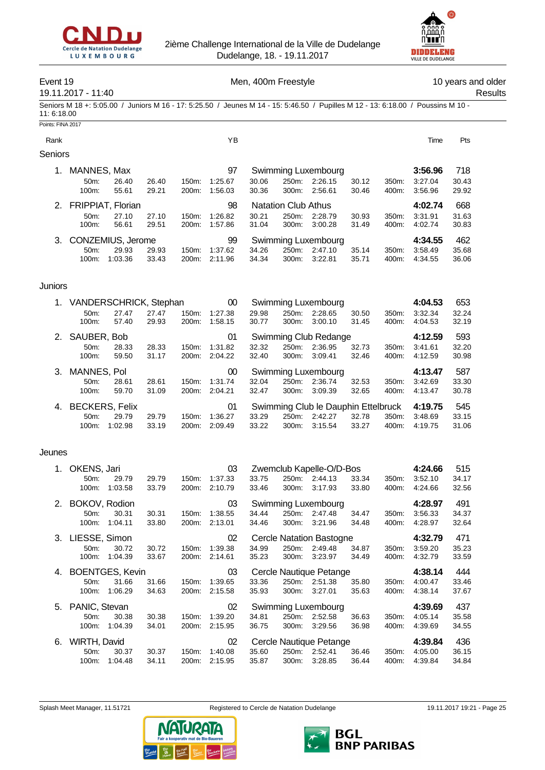



# Event 19 **Event 19** Men, 400m Freestyle **10** years and older

Points: FINA 2017

19.11.2017 - 11:40 Results

Seniors M 18 +: 5:05.00 / Juniors M 16 - 17: 5:25.50 / Jeunes M 14 - 15: 5:46.50 / Pupilles M 12 - 13: 6:18.00 / Poussins M 10 - 11: 6:18.00

| Rank           |                      |         |       |                    | ΥB      |       |                            |                     |       |                  | Time    | Pts   |
|----------------|----------------------|---------|-------|--------------------|---------|-------|----------------------------|---------------------|-------|------------------|---------|-------|
| <b>Seniors</b> |                      |         |       |                    |         |       |                            |                     |       |                  |         |       |
| $\mathbf{1}$ . | MANNES, Max          |         |       |                    | 97      |       |                            | Swimming Luxembourg |       |                  | 3:56.96 | 718   |
|                | $50m$ :              | 26.40   | 26.40 | $150m$ :           | 1:25.67 | 30.06 | 250m:                      | 2:26.15             | 30.12 | 350 <sub>m</sub> | 3:27.04 | 30.43 |
|                | $100m$ :             | 55.61   | 29.21 | 200 <sub>m</sub> : | 1:56.03 | 30.36 | 300m:                      | 2:56.61             | 30.46 | 400m:            | 3:56.96 | 29.92 |
|                | 2. FRIPPIAT, Florian |         |       |                    | 98      |       | <b>Natation Club Athus</b> |                     |       |                  | 4:02.74 | 668   |
|                | $50m$ :              | 27.10   | 27.10 | $150m$ :           | 1:26.82 | 30.21 | 250m:                      | 2:28.79             | 30.93 | 350m:            | 3:31.91 | 31.63 |
|                | 100m:                | 56.61   | 29.51 | 200m:              | 1:57.86 | 31.04 | 300m:                      | 3:00.28             | 31.49 | 400m:            | 4:02.74 | 30.83 |
| 3.             | CONZEMIUS, Jerome    |         |       |                    | 99      |       |                            | Swimming Luxembourg |       |                  | 4:34.55 | 462   |
|                | $50m$ :              | 29.93   | 29.93 | $150m$ :           | 1:37.62 | 34.26 | 250m:                      | 2:47.10             | 35.14 | 350m:            | 3:58.49 | 35.68 |
|                | $100m$ :             | 1:03.36 | 33.43 | 200 <sub>m</sub> : | 2:11.96 | 34.34 | $300m$ :                   | 3:22.81             | 35.71 | 400m:            | 4:34.55 | 36.06 |

# Juniors

|    | 1. VANDERSCHRICK, Stephan |       |       |          | 00      |       |          | Swimming Luxembourg                 |       |       | 4:04.53 | 653   |
|----|---------------------------|-------|-------|----------|---------|-------|----------|-------------------------------------|-------|-------|---------|-------|
|    | 50m                       | 27.47 | 27.47 | 150m:    | 1:27.38 | 29.98 | 250m:    | 2:28.65                             | 30.50 | 350m: | 3:32.34 | 32.24 |
|    | 100m:                     | 57.40 | 29.93 | 200m:    | 1:58.15 | 30.77 | 300m:    | 3:00.10                             | 31.45 | 400m: | 4:04.53 | 32.19 |
|    | 2. SAUBER, Bob            |       |       |          | 01      |       |          | Swimming Club Redange               |       |       | 4:12.59 | 593   |
|    | $50m$ :                   | 28.33 | 28.33 | $150m$ : | 1:31.82 | 32.32 | 250m:    | 2:36.95                             | 32.73 | 350m: | 3:41.61 | 32.20 |
|    | $100m$ :                  | 59.50 | 31.17 | 200m:    | 2:04.22 | 32.40 | $300m$ : | 3:09.41                             | 32.46 | 400m: | 4:12.59 | 30.98 |
|    |                           |       |       |          |         |       |          |                                     |       |       |         |       |
| 3. | MANNES, Pol               |       |       |          | 00      |       |          | Swimming Luxembourg                 |       |       | 4:13.47 | 587   |
|    | $50m$ :                   | 28.61 | 28.61 | $150m$ : | 1:31.74 | 32.04 | 250m:    | 2:36.74                             | 32.53 | 350m: | 3:42.69 | 33.30 |
|    | $100m$ :                  | 59.70 | 31.09 | 200m:    | 2:04.21 | 32.47 | $300m$ : | 3:09.39                             | 32.65 | 400m: | 4:13.47 | 30.78 |
|    | 4. BECKERS, Felix         |       |       |          | 01      |       |          | Swimming Club le Dauphin Ettelbruck |       |       | 4:19.75 | 545   |
|    | $50m$ :                   | 29.79 | 29.79 | 150m:    | 1:36.27 | 33.29 | 250m:    | 2:42.27                             | 32.78 | 350m: | 3:48.69 | 33.15 |

#### Jeunes

| 1. | OKENS, Jari        |         |       |                    | 03              |       |       | Zwemclub Kapelle-O/D-Bos |       |       | 4:24.66 | 515   |
|----|--------------------|---------|-------|--------------------|-----------------|-------|-------|--------------------------|-------|-------|---------|-------|
|    | 50 <sub>m</sub> :  | 29.79   | 29.79 | 150m:              | 1:37.33         | 33.75 | 250m: | 2:44.13                  | 33.34 | 350m: | 3:52.10 | 34.17 |
|    | 100m:              | 1:03.58 | 33.79 | 200m:              | 2:10.79         | 33.46 | 300m: | 3:17.93                  | 33.80 | 400m: | 4:24.66 | 32.56 |
|    | 2. BOKOV, Rodion   |         |       |                    | 03              |       |       | Swimming Luxembourg      |       |       | 4:28.97 | 491   |
|    | 50m:               | 30.31   | 30.31 | 150m:              | 1:38.55         | 34.44 | 250m: | 2:47.48                  | 34.47 | 350m. | 3:56.33 | 34.37 |
|    | 100m:              | 1:04.11 | 33.80 | 200m:              | 2:13.01         | 34.46 | 300m: | 3:21.96                  | 34.48 | 400m: | 4:28.97 | 32.64 |
|    | 3. LIESSE, Simon   |         |       |                    | 02              |       |       | Cercle Natation Bastogne |       |       | 4:32.79 | 471   |
|    | 50m:               | 30.72   | 30.72 | 150m.              | 1:39.38         | 34.99 | 250m: | 2:49.48                  | 34.87 | 350m: | 3:59.20 | 35.23 |
|    | 100m:              | 1:04.39 | 33.67 | 200 <sub>m</sub> : | 2:14.61         | 35.23 | 300m: | 3:23.97                  | 34.49 | 400m: | 4:32.79 | 33.59 |
|    |                    |         |       |                    |                 |       |       |                          |       |       |         |       |
|    | 4. BOENTGES, Kevin |         |       |                    | 03              |       |       | Cercle Nautique Petange  |       |       | 4:38.14 | 444   |
|    | 50m:               | 31.66   | 31.66 | 150m:              | 1:39.65         | 33.36 | 250m: | 2:51.38                  | 35.80 | 350m: | 4:00.47 | 33.46 |
|    | 100m:              | 1:06.29 | 34.63 | 200m:              | 2:15.58         | 35.93 | 300m: | 3:27.01                  | 35.63 | 400m: | 4:38.14 | 37.67 |
|    | 5. PANIC, Stevan   |         |       |                    | 02              |       |       | Swimming Luxembourg      |       |       | 4:39.69 | 437   |
|    | 50 <sub>m</sub> :  | 30.38   | 30.38 | 150m:              | 1:39.20         | 34.81 | 250m: | 2:52.58                  | 36.63 | 350m: | 4:05.14 | 35.58 |
|    | 100m:              | 1:04.39 | 34.01 | 200m:              | 2:15.95         | 36.75 | 300m: | 3:29.56                  | 36.98 | 400m: | 4:39.69 | 34.55 |
| 6. | WIRTH, David       |         |       |                    | 02 <sub>2</sub> |       |       | Cercle Nautique Petange  |       |       | 4:39.84 | 436   |
|    | 50m:               | 30.37   | 30.37 | 150m:              | 1:40.08         | 35.60 | 250m: | 2:52.41                  | 36.46 | 350m: | 4:05.00 | 36.15 |



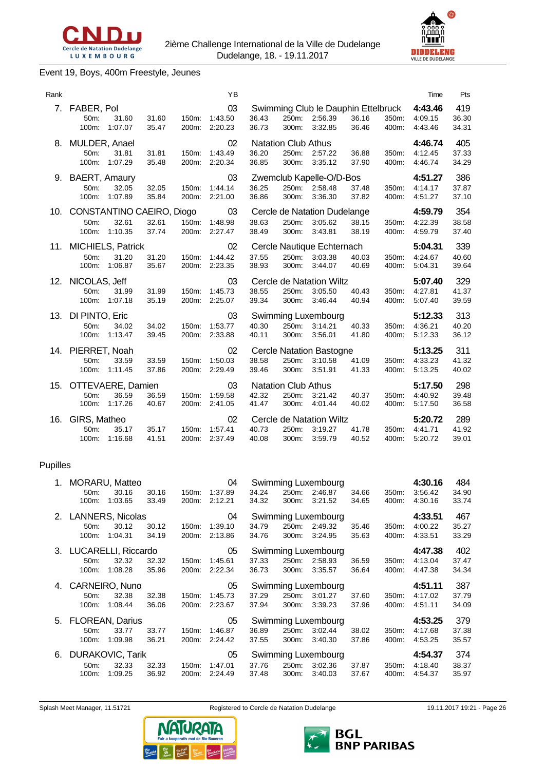

# Event 19, Boys, 400m Freestyle, Jeunes

| Rank |                                                  |                  |                |                | ΥB                       |                |                                              |                                                           |                |                | Time                          | Pts                   |
|------|--------------------------------------------------|------------------|----------------|----------------|--------------------------|----------------|----------------------------------------------|-----------------------------------------------------------|----------------|----------------|-------------------------------|-----------------------|
|      | 7. FABER, Pol<br>50m:<br>100m:                   | 31.60<br>1:07.07 | 31.60<br>35.47 | 150m:<br>200m: | 03<br>1:43.50<br>2:20.23 | 36.43<br>36.73 | 250m:<br>300m:                               | Swimming Club le Dauphin Ettelbruck<br>2:56.39<br>3:32.85 | 36.16<br>36.46 | 350m:<br>400m: | 4:43.46<br>4:09.15<br>4:43.46 | 419<br>36.30<br>34.31 |
| 8.   | MULDER, Anael<br>50m:<br>100m:                   | 31.81<br>1:07.29 | 31.81<br>35.48 | 150m:<br>200m: | 02<br>1:43.49<br>2:20.34 | 36.20<br>36.85 | <b>Natation Club Athus</b><br>250m:<br>300m: | 2:57.22<br>3:35.12                                        | 36.88<br>37.90 | 350m:<br>400m: | 4:46.74<br>4:12.45<br>4:46.74 | 405<br>37.33<br>34.29 |
| 9.   | <b>BAERT, Amaury</b><br>50 <sub>m</sub><br>100m: | 32.05<br>1:07.89 | 32.05<br>35.84 | 150m:<br>200m: | 03<br>1:44.14<br>2:21.00 | 36.25<br>36.86 | 250m:<br>300m:                               | Zwemclub Kapelle-O/D-Bos<br>2:58.48<br>3:36.30            | 37.48<br>37.82 | 350m:<br>400m: | 4:51.27<br>4:14.17<br>4:51.27 | 386<br>37.87<br>37.10 |
|      | 10. CONSTANTINO CAEIRO, Diogo<br>50m:<br>100m:   | 32.61<br>1:10.35 | 32.61<br>37.74 | 150m:<br>200m: | 03<br>1:48.98<br>2:27.47 | 38.63<br>38.49 | 250m:<br>300m:                               | Cercle de Natation Dudelange<br>3:05.62<br>3:43.81        | 38.15<br>38.19 | 350m:<br>400m: | 4:59.79<br>4:22.39<br>4:59.79 | 354<br>38.58<br>37.40 |
|      | 11. MICHIELS, Patrick<br>50m:<br>100m:           | 31.20<br>1:06.87 | 31.20<br>35.67 | 150m.<br>200m: | 02<br>1:44.42<br>2:23.35 | 37.55<br>38.93 | 250m:<br>300m:                               | Cercle Nautique Echternach<br>3:03.38<br>3:44.07          | 40.03<br>40.69 | 350m:<br>400m: | 5:04.31<br>4:24.67<br>5:04.31 | 339<br>40.60<br>39.64 |
|      | 12. NICOLAS, Jeff<br>50m:<br>100m:               | 31.99<br>1:07.18 | 31.99<br>35.19 | 150m:<br>200m: | 03<br>1:45.73<br>2:25.07 | 38.55<br>39.34 | 250m:<br>300m:                               | Cercle de Natation Wiltz<br>3:05.50<br>3:46.44            | 40.43<br>40.94 | 350m:<br>400m: | 5:07.40<br>4:27.81<br>5:07.40 | 329<br>41.37<br>39.59 |
| 13.  | DI PINTO, Eric<br>50m:<br>100m: 1:13.47          | 34.02            | 34.02<br>39.45 | 150m:<br>200m: | 03<br>1:53.77<br>2:33.88 | 40.30<br>40.11 | 250m:<br>300m:                               | Swimming Luxembourg<br>3:14.21<br>3:56.01                 | 40.33<br>41.80 | 350m:<br>400m: | 5:12.33<br>4:36.21<br>5:12.33 | 313<br>40.20<br>36.12 |
|      | 14. PIERRET, Noah<br>50m:<br>100m:               | 33.59<br>1:11.45 | 33.59<br>37.86 | 150m:<br>200m: | 02<br>1:50.03<br>2:29.49 | 38.58<br>39.46 | 250m:<br>300m:                               | Cercle Natation Bastogne<br>3:10.58<br>3:51.91            | 41.09<br>41.33 | 350m:<br>400m: | 5:13.25<br>4:33.23<br>5:13.25 | 311<br>41.32<br>40.02 |
|      | 15. OTTEVAERE, Damien<br>50m:<br>100m:           | 36.59<br>1:17.26 | 36.59<br>40.67 | 150m:<br>200m: | 03<br>1:59.58<br>2:41.05 | 42.32<br>41.47 | <b>Natation Club Athus</b><br>250m:<br>300m: | 3:21.42<br>4:01.44                                        | 40.37<br>40.02 | 350m:<br>400m: | 5:17.50<br>4:40.92<br>5:17.50 | 298<br>39.48<br>36.58 |
| 16.  | GIRS, Matheo<br>50m:<br>100m:                    | 35.17<br>1:16.68 | 35.17<br>41.51 | 150m:<br>200m: | 02<br>1:57.41<br>2:37.49 | 40.73<br>40.08 | 250m:<br>300m:                               | Cercle de Natation Wiltz<br>3:19.27<br>3:59.79            | 41.78<br>40.52 | 350m:<br>400m: | 5:20.72<br>4:41.71<br>5:20.72 | 289<br>41.92<br>39.01 |

# Pupilles

| 1. | MORARU, Matteo                          |                  |                |                | 04                 |                |                | Swimming Luxembourg            |                |                | 4:30.16            | 484            |
|----|-----------------------------------------|------------------|----------------|----------------|--------------------|----------------|----------------|--------------------------------|----------------|----------------|--------------------|----------------|
|    | 50m:<br>100m:                           | 30.16<br>1:03.65 | 30.16<br>33.49 | 150m:<br>200m: | 1:37.89<br>2:12.21 | 34.24<br>34.32 | 250m:<br>300m: | 2:46.87<br>3:21.52             | 34.66<br>34.65 | 350m:<br>400m: | 3:56.42<br>4:30.16 | 34.90<br>33.74 |
|    | 2. LANNERS, Nicolas                     |                  |                |                | 04                 |                |                | <b>Swimming Luxembourg</b>     |                |                | 4:33.51            | 467            |
|    | 50m:                                    | 30.12            | 30.12          | 150m:          | 1:39.10            | 34.79          | 250m:          | 2:49.32                        | 35.46          | 350m:          | 4:00.22            | 35.27          |
|    | 100m:                                   | 1:04.31          | 34.19          | 200m:          | 2:13.86            | 34.76          | 300m:          | 3:24.95                        | 35.63          | 400m:          | 4:33.51            | 33.29          |
|    | 3. LUCARELLI, Riccardo                  |                  |                |                | 05                 |                |                | Swimming Luxembourg            |                |                | 4:47.38            | 402            |
|    | 50 <sub>m</sub> :                       | 32.32            | 32.32          | 150m:          | 1:45.61            | 37.33          | 250m:          | 2:58.93                        | 36.59          | 350m:          | 4:13.04            | 37.47          |
|    | 100m:                                   | 1:08.28          | 35.96          | 200m:          | 2:22.34            | 36.73          | 300m:          | 3:35.57                        | 36.64          | 400m:          | 4:47.38            | 34.34          |
|    |                                         |                  |                |                |                    |                |                |                                |                |                |                    |                |
|    | 4. CARNEIRO, Nuno                       |                  |                |                | 05                 |                |                | Swimming Luxembourg            |                |                | 4:51.11            | 387            |
|    | 50m:                                    | 32.38            | 32.38          | 150m:          | 1:45.73            | 37.29          | 250m:          | 3:01.27                        | 37.60          | 350m:          | 4:17.02            | 37.79          |
|    | 100m:                                   | 1:08.44          | 36.06          | 200m:          | 2:23.67            | 37.94          | 300m:          | 3:39.23                        | 37.96          | 400m:          | 4:51.11            | 34.09          |
|    |                                         |                  |                |                | 05                 |                |                |                                |                |                | 4:53.25            | 379            |
|    | 5. FLOREAN, Darius<br>50 <sub>m</sub> : | 33.77            | 33.77          | 150m:          | 1:46.87            | 36.89          | 250m:          | Swimming Luxembourg<br>3:02.44 | 38.02          | 350m:          | 4:17.68            | 37.38          |
|    | 100m:                                   | 1:09.98          | 36.21          | 200m:          | 2:24.42            | 37.55          | 300m:          | 3:40.30                        | 37.86          | 400m:          | 4:53.25            | 35.57          |
| 6. | <b>DURAKOVIC, Tarik</b>                 |                  |                |                | 05                 |                |                | Swimming Luxembourg            |                |                | 4:54.37            | 374            |
|    | 50 <sub>m</sub> :                       | 32.33            | 32.33          | 150m:          | 1:47.01            | 37.76          | 250m:          | 3:02.36                        | 37.87          | 350m:          | 4:18.40            | 38.37          |

Splash Meet Manager, 11.51721 **Registered to Cercle de Natation Dudelange** 19.11.2017 19:21 - Page 26



**DIDDELENG**<br>VILLE DE DUDELANGE



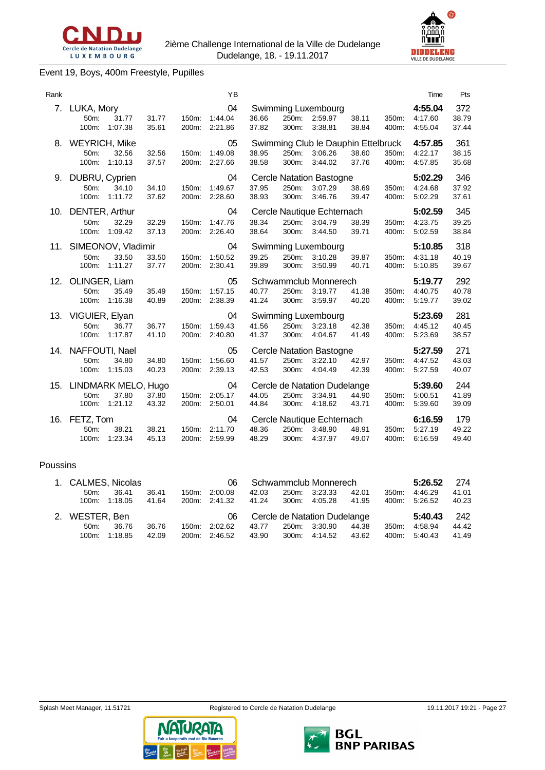



# Event 19, Boys, 400m Freestyle, Pupilles

| Rank |                                       |                  |                |                | YB                       |                |                |                                                           |                |                | Time                          | Pts                   |
|------|---------------------------------------|------------------|----------------|----------------|--------------------------|----------------|----------------|-----------------------------------------------------------|----------------|----------------|-------------------------------|-----------------------|
| 7.   | LUKA, Mory<br>50m:<br>100m:           | 31.77<br>1:07.38 | 31.77<br>35.61 | 150m.<br>200m: | 04<br>1:44.04<br>2:21.86 | 36.66<br>37.82 | 250m:<br>300m: | Swimming Luxembourg<br>2:59.97<br>3:38.81                 | 38.11<br>38.84 | 350m:<br>400m: | 4:55.04<br>4:17.60<br>4:55.04 | 372<br>38.79<br>37.44 |
| 8.   | <b>WEYRICH, Mike</b><br>50m:<br>100m: | 32.56<br>1:10.13 | 32.56<br>37.57 | 150m:<br>200m: | 05<br>1:49.08<br>2:27.66 | 38.95<br>38.58 | 250m:<br>300m: | Swimming Club le Dauphin Ettelbruck<br>3:06.26<br>3:44.02 | 38.60<br>37.76 | 350m:<br>400m: | 4:57.85<br>4:22.17<br>4:57.85 | 361<br>38.15<br>35.68 |
| 9.   | DUBRU, Cyprien<br>50m:<br>100m:       | 34.10<br>1:11.72 | 34.10<br>37.62 | 150m:<br>200m: | 04<br>1:49.67<br>2:28.60 | 37.95<br>38.93 | 250m:<br>300m: | <b>Cercle Natation Bastogne</b><br>3:07.29<br>3:46.76     | 38.69<br>39.47 | 350m:<br>400m: | 5:02.29<br>4:24.68<br>5:02.29 | 346<br>37.92<br>37.61 |
| 10.  | DENTER, Arthur<br>50m:<br>100m:       | 32.29<br>1:09.42 | 32.29<br>37.13 | 150m:<br>200m: | 04<br>1:47.76<br>2:26.40 | 38.34<br>38.64 | 250m:<br>300m: | Cercle Nautique Echternach<br>3:04.79<br>3:44.50          | 38.39<br>39.71 | 350m:<br>400m: | 5:02.59<br>4:23.75<br>5:02.59 | 345<br>39.25<br>38.84 |
| 11.  | SIMEONOV, Vladimir<br>50m:<br>100m:   | 33.50<br>1:11.27 | 33.50<br>37.77 | 150m:<br>200m: | 04<br>1:50.52<br>2:30.41 | 39.25<br>39.89 | 250m:<br>300m: | Swimming Luxembourg<br>3:10.28<br>3:50.99                 | 39.87<br>40.71 | 350m:<br>400m: | 5:10.85<br>4:31.18<br>5:10.85 | 318<br>40.19<br>39.67 |
| 12.  | OLINGER, Liam<br>50m:<br>100m:        | 35.49<br>1:16.38 | 35.49<br>40.89 | 150m:<br>200m: | 05<br>1:57.15<br>2:38.39 | 40.77<br>41.24 | 250m:<br>300m: | Schwammclub Monnerech<br>3:19.77<br>3:59.97               | 41.38<br>40.20 | 350m:<br>400m: | 5:19.77<br>4:40.75<br>5:19.77 | 292<br>40.78<br>39.02 |
| 13.  | VIGUIER, Elyan<br>50m:<br>100m:       | 36.77<br>1:17.87 | 36.77<br>41.10 | 150m.<br>200m: | 04<br>1:59.43<br>2:40.80 | 41.56<br>41.37 | 250m:<br>300m: | Swimming Luxembourg<br>3:23.18<br>4:04.67                 | 42.38<br>41.49 | 350m:<br>400m: | 5:23.69<br>4:45.12<br>5:23.69 | 281<br>40.45<br>38.57 |
| 14.  | NAFFOUTI, Nael<br>50m:<br>100m:       | 34.80<br>1:15.03 | 34.80<br>40.23 | 150m:<br>200m: | 05<br>1:56.60<br>2:39.13 | 41.57<br>42.53 | 250m:<br>300m: | <b>Cercle Natation Bastogne</b><br>3:22.10<br>4:04.49     | 42.97<br>42.39 | 350m:<br>400m: | 5:27.59<br>4:47.52<br>5:27.59 | 271<br>43.03<br>40.07 |
| 15.  | LINDMARK MELO, Hugo<br>50m:<br>100m:  | 37.80<br>1:21.12 | 37.80<br>43.32 | 150m:<br>200m: | 04<br>2:05.17<br>2:50.01 | 44.05<br>44.84 | 250m:<br>300m: | Cercle de Natation Dudelange<br>3:34.91<br>4:18.62        | 44.90<br>43.71 | 350m:<br>400m: | 5:39.60<br>5:00.51<br>5:39.60 | 244<br>41.89<br>39.09 |
| 16.  | FETZ, Tom<br>50m:<br>100m:            | 38.21<br>1:23.34 | 38.21<br>45.13 | 150m:<br>200m: | 04<br>2:11.70<br>2:59.99 | 48.36<br>48.29 | 250m:<br>300m: | Cercle Nautique Echternach<br>3:48.90<br>4:37.97          | 48.91<br>49.07 | 350m:<br>400m: | 6:16.59<br>5:27.19<br>6:16.59 | 179<br>49.22<br>49.40 |

#### Poussins

| 1. CALMES, Nicolas |         |       |       | 06            |       |       | Schwammclub Monnerech        |       |       | 5:26.52 | 274   |
|--------------------|---------|-------|-------|---------------|-------|-------|------------------------------|-------|-------|---------|-------|
| 50 <sub>m</sub>    | 36.41   | 36.41 | 150m: | 2:00.08       | 42.03 | 250m: | 3:23.33                      | 42.01 | 350m: | 4:46.29 | 41.01 |
| 100m:              | 1:18.05 | 41.64 |       | 200m: 2:41.32 | 41.24 | 300m: | 4:05.28                      | 41.95 | 400m: | 5:26.52 | 40.23 |
|                    |         |       |       |               |       |       |                              |       |       |         |       |
| 2. WESTER, Ben     |         |       |       | 06            |       |       | Cercle de Natation Dudelange |       |       | 5:40.43 | -242  |
| $50m$ :            | 36.76   | 36.76 | 150m: | 2:02.62       | 43.77 | 250m: | 3:30.90                      | 44.38 | 350m. | 4:58.94 | 44.42 |

NATURATA

**Big Big Haff** 

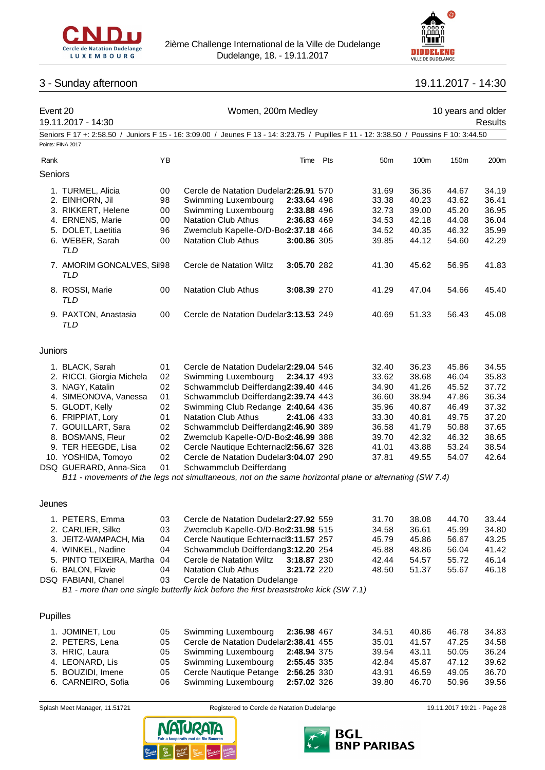



# 3 - Sunday afternoon 19.11.2017 - 14:30

| Event 20 | 19.11.2017 - 14:30                       |          | Women, 200m Medley                                                                                                                      |                            |     |                 |                | 10 years and older         | Results        |
|----------|------------------------------------------|----------|-----------------------------------------------------------------------------------------------------------------------------------------|----------------------------|-----|-----------------|----------------|----------------------------|----------------|
|          |                                          |          | Seniors F 17 +: 2:58.50 / Juniors F 15 - 16: 3:09.00 / Jeunes F 13 - 14: 3:23.75 / Pupilles F 11 - 12: 3:38.50 / Poussins F 10: 3:44.50 |                            |     |                 |                |                            |                |
|          | Points: FINA 2017                        |          |                                                                                                                                         |                            |     |                 |                |                            |                |
| Rank     |                                          | YB       |                                                                                                                                         | Time                       | Pts | 50 <sub>m</sub> | 100m           | 150m                       | 200m           |
| Seniors  |                                          |          |                                                                                                                                         |                            |     |                 |                |                            |                |
|          | 1. TURMEL, Alicia                        | 00       | Cercle de Natation Dudelar2:26.91 570                                                                                                   |                            |     | 31.69           | 36.36          | 44.67                      | 34.19          |
|          | 2. EINHORN, Jil                          | 98       | Swimming Luxembourg                                                                                                                     | 2:33.64 498                |     | 33.38           | 40.23          | 43.62                      | 36.41          |
|          | 3. RIKKERT, Helene                       | 00       | Swimming Luxembourg                                                                                                                     | 2:33.88 496                |     | 32.73           | 39.00          | 45.20                      | 36.95          |
|          | 4. ERNENS, Marie                         | 00       | <b>Natation Club Athus</b>                                                                                                              | 2:36.83 469                |     | 34.53           | 42.18          | 44.08                      | 36.04          |
|          | 5. DOLET, Laetitia<br>6. WEBER, Sarah    | 96<br>00 | Zwemclub Kapelle-O/D-Bos2:37.18 466<br><b>Natation Club Athus</b>                                                                       | 3:00.86 305                |     | 34.52<br>39.85  | 40.35<br>44.12 | 46.32<br>54.60             | 35.99<br>42.29 |
|          | <b>TLD</b>                               |          |                                                                                                                                         |                            |     |                 |                |                            |                |
|          | 7. AMORIM GONCALVES, Sil98<br><b>TLD</b> |          | Cercle de Natation Wiltz                                                                                                                | 3:05.70 282                |     | 41.30           | 45.62          | 56.95                      | 41.83          |
|          | 8. ROSSI, Marie<br><b>TLD</b>            | 00       | <b>Natation Club Athus</b>                                                                                                              | 3:08.39 270                |     | 41.29           | 47.04          | 54.66                      | 45.40          |
|          | 9. PAXTON, Anastasia<br>TLD              | 00       | Cercle de Natation Dudelar3:13.53 249                                                                                                   |                            |     | 40.69           | 51.33          | 56.43                      | 45.08          |
| Juniors  |                                          |          |                                                                                                                                         |                            |     |                 |                |                            |                |
|          | 1. BLACK, Sarah                          | 01       | Cercle de Natation Dudelar2:29.04 546                                                                                                   |                            |     | 32.40           | 36.23          | 45.86                      | 34.55          |
|          | 2. RICCI, Giorgia Michela                | 02       | Swimming Luxembourg                                                                                                                     | 2:34.17 493                |     | 33.62           | 38.68          | 46.04                      | 35.83          |
|          | 3. NAGY, Katalin                         | 02       | Schwammclub Deifferdang2:39.40 446                                                                                                      |                            |     | 34.90           | 41.26          | 45.52                      | 37.72          |
|          | 4. SIMEONOVA, Vanessa                    | 01       | Schwammclub Deifferdang2:39.74 443                                                                                                      |                            |     | 36.60           | 38.94          | 47.86                      | 36.34          |
|          | 5. GLODT, Kelly                          | 02       | Swimming Club Redange 2:40.64 436                                                                                                       |                            |     | 35.96           | 40.87          | 46.49                      | 37.32          |
|          | 6. FRIPPIAT, Lory                        | 01       | <b>Natation Club Athus</b>                                                                                                              | 2:41.06 433                |     | 33.30           | 40.81          | 49.75                      | 37.20          |
|          | 7. GOUILLART, Sara                       | 02       | Schwammclub Deifferdang2:46.90 389                                                                                                      |                            |     | 36.58           | 41.79          | 50.88                      | 37.65          |
|          | 8. BOSMANS, Fleur<br>9. TER HEEGDE, Lisa | 02<br>02 | Zwemclub Kapelle-O/D-Bo:2:46.99 388<br>Cercle Nautique Echternacl2:56.67 328                                                            |                            |     | 39.70<br>41.01  | 42.32<br>43.88 | 46.32<br>53.24             | 38.65<br>38.54 |
|          | 10. YOSHIDA, Tomoyo                      | 02       | Cercle de Natation Dudelar3:04.07 290                                                                                                   |                            |     | 37.81           | 49.55          | 54.07                      | 42.64          |
|          | DSQ GUERARD, Anna-Sica                   | 01       | Schwammclub Deifferdang                                                                                                                 |                            |     |                 |                |                            |                |
|          |                                          |          | B11 - movements of the legs not simultaneous, not on the same horizontal plane or alternating (SW 7.4)                                  |                            |     |                 |                |                            |                |
| Jeunes   |                                          |          |                                                                                                                                         |                            |     |                 |                |                            |                |
|          | 1. PETERS, Emma                          | 03       | Cercle de Natation Dudelar2:27.92 559                                                                                                   |                            |     | 31.70           | 38.08          | 44.70                      | 33.44          |
|          | 2. CARLIER, Silke                        | 03       | Zwemclub Kapelle-O/D-Bos2:31.98 515                                                                                                     |                            |     | 34.58           | 36.61          | 45.99                      | 34.80          |
|          | 3. JEITZ-WAMPACH, Mia                    | 04       | Cercle Nautique Echternaci3:11.57 257                                                                                                   |                            |     | 45.79           | 45.86          | 56.67                      | 43.25          |
|          | 4. WINKEL, Nadine                        | 04       | Schwammclub Deifferdang3:12.20 254                                                                                                      |                            |     | 45.88           | 48.86          | 56.04                      | 41.42          |
|          | 5. PINTO TEIXEIRA, Martha                | 04       | Cercle de Natation Wiltz                                                                                                                | 3:18.87 230                |     | 42.44           | 54.57          | 55.72                      | 46.14          |
|          | 6. BALON, Flavie                         | 04       | <b>Natation Club Athus</b>                                                                                                              | 3:21.72 220                |     | 48.50           | 51.37          | 55.67                      | 46.18          |
|          | DSQ FABIANI, Chanel                      | 03       | Cercle de Natation Dudelange<br>B1 - more than one single butterfly kick before the first breaststroke kick (SW 7.1)                    |                            |     |                 |                |                            |                |
|          |                                          |          |                                                                                                                                         |                            |     |                 |                |                            |                |
| Pupilles |                                          |          |                                                                                                                                         |                            |     |                 |                |                            |                |
|          | 1. JOMINET, Lou                          | 05       | Swimming Luxembourg                                                                                                                     | 2:36.98 467                |     | 34.51           | 40.86          | 46.78                      | 34.83          |
|          | 2. PETERS, Lena                          | 05       | Cercle de Natation Dudelar2:38.41 455                                                                                                   |                            |     | 35.01           | 41.57          | 47.25                      | 34.58          |
|          | 3. HRIC, Laura<br>4. LEONARD, Lis        | 05<br>05 | Swimming Luxembourg<br>Swimming Luxembourg                                                                                              | 2:48.94 375<br>2:55.45 335 |     | 39.54<br>42.84  | 43.11<br>45.87 | 50.05<br>47.12             | 36.24<br>39.62 |
|          | 5. BOUZIDI, Imene                        | 05       | Cercle Nautique Petange                                                                                                                 | 2:56.25 330                |     | 43.91           | 46.59          | 49.05                      | 36.70          |
|          | 6. CARNEIRO, Sofia                       | 06       | Swimming Luxembourg                                                                                                                     | 2:57.02 326                |     | 39.80           | 46.70          | 50.96                      | 39.56          |
|          |                                          |          |                                                                                                                                         |                            |     |                 |                |                            |                |
|          | Splash Meet Manager, 11.51721            |          | Registered to Cercle de Natation Dudelange                                                                                              |                            |     |                 |                | 19.11.2017 19:21 - Page 28 |                |



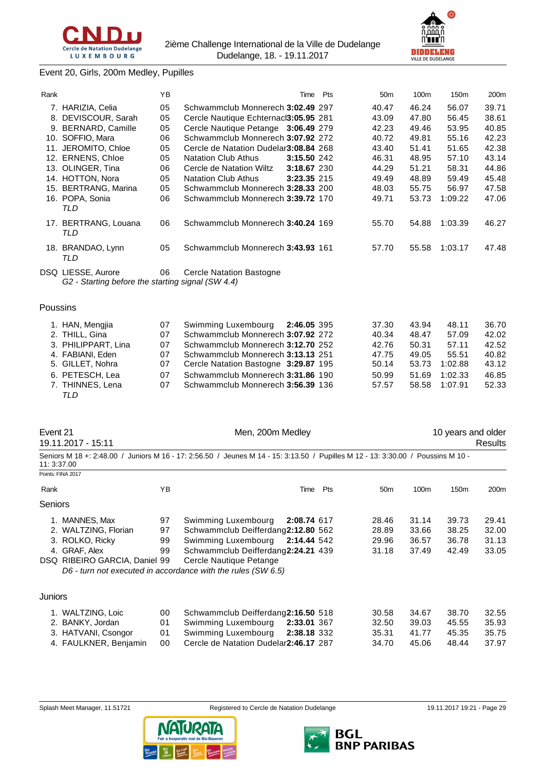



# Event 20, Girls, 200m Medley, Pupilles

| Rank |                                                                         | YB |                                        | Time        | Pts |                 |       |         |                  |
|------|-------------------------------------------------------------------------|----|----------------------------------------|-------------|-----|-----------------|-------|---------|------------------|
|      |                                                                         |    |                                        |             |     | 50 <sub>m</sub> | 100m  | 150m    | 200 <sub>m</sub> |
|      | 7. HARIZIA, Celia                                                       | 05 | Schwammclub Monnerech 3:02.49 297      |             |     | 40.47           | 46.24 | 56.07   | 39.71            |
| 8.   | DEVISCOUR, Sarah                                                        | 05 | Cercle Nautique Echternacl3:05.95 281  |             |     | 43.09           | 47.80 | 56.45   | 38.61            |
| 9.   | <b>BERNARD, Camille</b>                                                 | 05 | Cercle Nautique Petange 3:06.49 279    |             |     | 42.23           | 49.46 | 53.95   | 40.85            |
|      | 10. SOFFIO, Mara                                                        | 06 | Schwammclub Monnerech 3:07.92 272      |             |     | 40.72           | 49.81 | 55.16   | 42.23            |
|      | 11. JEROMITO, Chloe                                                     | 05 | Cercle de Natation Dudelar 3:08.84 268 |             |     | 43.40           | 51.41 | 51.65   | 42.38            |
|      | 12. ERNENS, Chloe                                                       | 05 | <b>Natation Club Athus</b>             | 3:15.50 242 |     | 46.31           | 48.95 | 57.10   | 43.14            |
| 13.  | OLINGER, Tina                                                           | 06 | Cercle de Natation Wiltz               | 3:18.67 230 |     | 44.29           | 51.21 | 58.31   | 44.86            |
|      | 14. HOTTON, Nora                                                        | 05 | <b>Natation Club Athus</b>             | 3:23.35 215 |     | 49.49           | 48.89 | 59.49   | 45.48            |
| 15.  | <b>BERTRANG, Marina</b>                                                 | 05 | Schwammclub Monnerech 3:28.33 200      |             |     | 48.03           | 55.75 | 56.97   | 47.58            |
|      | 16. POPA, Sonia<br>TLD                                                  | 06 | Schwammclub Monnerech 3:39.72 170      |             |     | 49.71           | 53.73 | 1:09.22 | 47.06            |
|      | 17. BERTRANG, Louana<br>TLD                                             | 06 | Schwammclub Monnerech 3:40.24 169      |             |     | 55.70           | 54.88 | 1:03.39 | 46.27            |
|      | 18. BRANDAO, Lynn<br>TLD                                                | 05 | Schwammclub Monnerech 3:43.93 161      |             |     | 57.70           | 55.58 | 1:03.17 | 47.48            |
|      | DSQ LIESSE, Aurore<br>G2 - Starting before the starting signal (SW 4.4) | 06 | <b>Cercle Natation Bastogne</b>        |             |     |                 |       |         |                  |

#### Poussins

| 1. HAN, Mengjia     | 07 | Swimming Luxembourg                  | 2:46.05 395 | 37.30 | 43.94 | 48.11   | 36.70 |
|---------------------|----|--------------------------------------|-------------|-------|-------|---------|-------|
| 2. THILL, Gina      | 07 | Schwammclub Monnerech 3:07.92 272    |             | 40.34 | 48.47 | 57.09   | 42.02 |
| 3. PHILIPPART, Lina | 07 | Schwammclub Monnerech 3:12.70 252    |             | 42.76 | 50.31 | 57.11   | 42.52 |
| 4. FABIANI, Eden    | 07 | Schwammclub Monnerech 3:13.13 251    |             | 47.75 | 49.05 | 55.51   | 40.82 |
| 5. GILLET, Nohra    | 07 | Cercle Natation Bastogne 3:29.87 195 |             | 50.14 | 53.73 | 1:02.88 | 43.12 |
| 6. PETESCH, Lea     | 07 | Schwammclub Monnerech 3:31.86 190    |             | 50.99 | 51.69 | 1:02.33 | 46.85 |
| 7. THINNES, Lena    | 07 | Schwammclub Monnerech 3:56.39 136    |             | 57.57 | 58.58 | 1:07.91 | 52.33 |
| TLD                 |    |                                      |             |       |       |         |       |

| Event 21 |  |
|----------|--|
|----------|--|

Men, 200m Medley 10 years and older 19.11.2017 - 15:11 Results Seniors M 18 +: 2:48.00 / Juniors M 16 - 17: 2:56.50 / Jeunes M 14 - 15: 3:13.50 / Pupilles M 12 - 13: 3:30.00 / Poussins M 10 -

11: 3:37.00 Points: FINA 201

|                | FUILIS. FINAZUTI              |    |                                                              |      |     |                 |       |                  |       |
|----------------|-------------------------------|----|--------------------------------------------------------------|------|-----|-----------------|-------|------------------|-------|
| Rank           |                               | ΥB |                                                              | Time | Pts | 50 <sub>m</sub> | 100m  | 150 <sub>m</sub> | 200m  |
| <b>Seniors</b> |                               |    |                                                              |      |     |                 |       |                  |       |
|                | 1. MANNES, Max                | 97 | Swimming Luxembourg<br>2:08.74 617                           |      |     | 28.46           | 31.14 | 39.73            | 29.41 |
|                | 2. WALTZING, Florian          | 97 | Schwammclub Deifferdang2:12.80 562                           |      |     | 28.89           | 33.66 | 38.25            | 32.00 |
|                | 3. ROLKO, Ricky               | 99 | Swimming Luxembourg<br>2:14.44 542                           |      |     | 29.96           | 36.57 | 36.78            | 31.13 |
|                | 4. GRAF, Alex                 | 99 | Schwammclub Deifferdang2:24.21 439                           |      |     | 31.18           | 37.49 | 42.49            | 33.05 |
|                | DSQ RIBEIRO GARCIA, Daniel 99 |    | Cercle Nautique Petange                                      |      |     |                 |       |                  |       |
|                |                               |    | D6 - turn not executed in accordance with the rules (SW 6.5) |      |     |                 |       |                  |       |
|                |                               |    |                                                              |      |     |                 |       |                  |       |
| <b>Juniors</b> |                               |    |                                                              |      |     |                 |       |                  |       |
|                | 1. WALTZING, Loic             | 00 | Schwammclub Deifferdang2:16.50 518                           |      |     | 30.58           | 34.67 | 38.70            | 32.55 |
|                | 2. BANKY, Jordan              | 01 | Swimming Luxembourg<br>2:33.01 367                           |      |     | 32.50           | 39.03 | 45.55            | 35.93 |
|                | 3. HATVANI, Csongor           | 01 | Swimming Luxembourg<br>2:38.18 332                           |      |     | 35.31           | 41.77 | 45.35            | 35.75 |

4. FAULKNER, Benjamin 00 Cercle de Natation Dudelange **2:46.17** 287 34.70 45.06 48.44 37.97



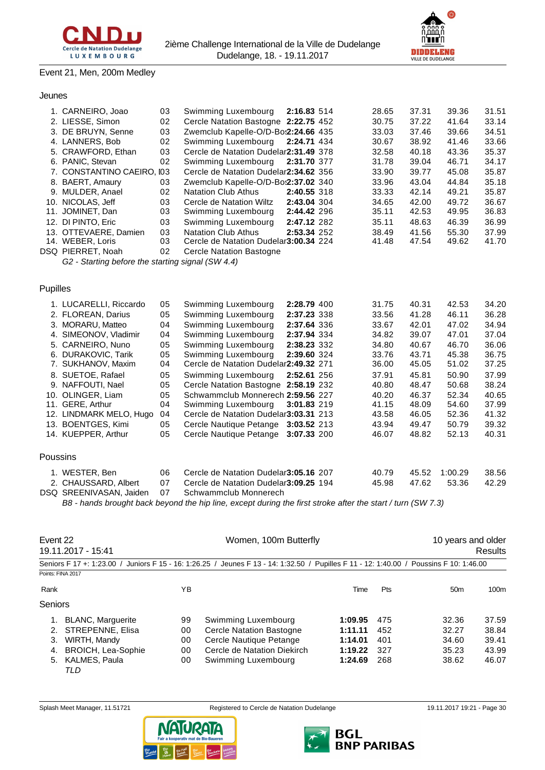

# Event 21, Men, 200m Medley

# Jeunes

|          | 1. CARNEIRO, Joao                                 | 03 | Swimming Luxembourg                    | 2:16.83 514 | 28.65 | 37.31 | 39.36   | 31.51 |
|----------|---------------------------------------------------|----|----------------------------------------|-------------|-------|-------|---------|-------|
|          | 2. LIESSE, Simon                                  | 02 | Cercle Natation Bastogne 2:22.75 452   |             | 30.75 | 37.22 | 41.64   | 33.14 |
|          | 3. DE BRUYN, Senne                                | 03 | Zwemclub Kapelle-O/D-Bo:2:24.66 435    |             | 33.03 | 37.46 | 39.66   | 34.51 |
|          | 4. LANNERS, Bob                                   | 02 | Swimming Luxembourg                    | 2:24.71 434 | 30.67 | 38.92 | 41.46   | 33.66 |
|          | 5. CRAWFORD, Ethan                                | 03 | Cercle de Natation Dudelar2:31.49 378  |             | 32.58 | 40.18 | 43.36   | 35.37 |
|          | 6. PANIC, Stevan                                  | 02 | Swimming Luxembourg                    | 2:31.70 377 | 31.78 | 39.04 | 46.71   | 34.17 |
|          | 7. CONSTANTINO CAEIRO, I03                        |    | Cercle de Natation Dudelar2:34.62 356  |             | 33.90 | 39.77 | 45.08   | 35.87 |
|          | 8. BAERT, Amaury                                  | 03 | Zwemclub Kapelle-O/D-Bo:2:37.02 340    |             | 33.96 | 43.04 | 44.84   | 35.18 |
|          | 9. MULDER, Anael                                  | 02 | <b>Natation Club Athus</b>             | 2:40.55 318 | 33.33 | 42.14 | 49.21   | 35.87 |
|          | 10. NICOLAS, Jeff                                 | 03 | Cercle de Natation Wiltz               | 2:43.04 304 | 34.65 | 42.00 | 49.72   | 36.67 |
|          | 11. JOMINET, Dan                                  | 03 | Swimming Luxembourg                    | 2:44.42 296 | 35.11 | 42.53 | 49.95   | 36.83 |
|          | 12. DI PINTO, Eric                                | 03 | Swimming Luxembourg                    | 2:47.12 282 | 35.11 | 48.63 | 46.39   | 36.99 |
|          | 13. OTTEVAERE, Damien                             | 03 | <b>Natation Club Athus</b>             | 2:53.34 252 | 38.49 | 41.56 | 55.30   | 37.99 |
|          | 14. WEBER, Loris                                  | 03 | Cercle de Natation Dudelar3:00.34 224  |             | 41.48 | 47.54 | 49.62   | 41.70 |
|          | DSQ PIERRET, Noah                                 | 02 | <b>Cercle Natation Bastogne</b>        |             |       |       |         |       |
|          | G2 - Starting before the starting signal (SW 4.4) |    |                                        |             |       |       |         |       |
|          |                                                   |    |                                        |             |       |       |         |       |
|          |                                                   |    |                                        |             |       |       |         |       |
| Pupilles |                                                   |    |                                        |             |       |       |         |       |
|          | 1. LUCARELLI, Riccardo                            | 05 | Swimming Luxembourg                    | 2:28.79 400 | 31.75 | 40.31 | 42.53   | 34.20 |
|          | 2. FLOREAN, Darius                                | 05 | Swimming Luxembourg                    | 2:37.23 338 | 33.56 | 41.28 | 46.11   | 36.28 |
|          | 3. MORARU, Matteo                                 | 04 | Swimming Luxembourg                    | 2:37.64 336 | 33.67 | 42.01 | 47.02   | 34.94 |
|          | 4. SIMEONOV, Vladimir                             | 04 | Swimming Luxembourg                    | 2:37.94 334 | 34.82 | 39.07 | 47.01   | 37.04 |
|          | 5. CARNEIRO, Nuno                                 | 05 | Swimming Luxembourg                    | 2:38.23 332 | 34.80 | 40.67 | 46.70   | 36.06 |
|          | 6. DURAKOVIC, Tarik                               | 05 | Swimming Luxembourg                    | 2:39.60 324 | 33.76 | 43.71 | 45.38   | 36.75 |
|          | 7. SUKHANOV, Maxim                                | 04 | Cercle de Natation Dudelar2:49.32 271  |             | 36.00 | 45.05 | 51.02   | 37.25 |
|          | 8. SUETOE, Rafael                                 | 05 | Swimming Luxembourg                    | 2:52.61 256 | 37.91 | 45.81 | 50.90   | 37.99 |
|          | 9. NAFFOUTI, Nael                                 | 05 | Cercle Natation Bastogne 2:58.19 232   |             | 40.80 | 48.47 | 50.68   | 38.24 |
|          | 10. OLINGER, Liam                                 | 05 | Schwammclub Monnerech 2:59.56 227      |             | 40.20 | 46.37 | 52.34   | 40.65 |
|          | 11. GERE, Arthur                                  | 04 | Swimming Luxembourg                    | 3:01.83 219 | 41.15 | 48.09 | 54.60   | 37.99 |
|          | 12. LINDMARK MELO, Hugo                           | 04 | Cercle de Natation Dudelar3:03.31 213  |             | 43.58 | 46.05 | 52.36   | 41.32 |
|          | 13. BOENTGES, Kimi                                | 05 | Cercle Nautique Petange 3:03.52 213    |             | 43.94 | 49.47 | 50.79   | 39.32 |
|          | 14. KUEPPER, Arthur                               | 05 | Cercle Nautique Petange 3:07.33 200    |             | 46.07 | 48.82 | 52.13   | 40.31 |
|          |                                                   |    |                                        |             |       |       |         |       |
| Poussins |                                                   |    |                                        |             |       |       |         |       |
|          | 1. WESTER, Ben                                    | 06 | Cercle de Natation Dudelar 3:05.16 207 |             | 40.79 | 45.52 | 1:00.29 | 38.56 |
|          | 2. CHAUSSARD, Albert                              | 07 | Cercle de Natation Dudelar3:09.25 194  |             | 45.98 | 47.62 | 53.36   | 42.29 |
|          | DSQ SREENIVASAN, Jaiden                           | 07 | Schwammclub Monnerech                  |             |       |       |         |       |
|          |                                                   |    |                                        |             |       |       |         |       |

*B8 - hands brought back beyond the hip line, except during the first stroke after the start / turn (SW 7.3)*

| Event 22<br>19.11.2017 - 15:41 |                           |    | Women, 100m Butterfly                                                                                                                   | 10 years and older<br>Results |            |                 |                  |
|--------------------------------|---------------------------|----|-----------------------------------------------------------------------------------------------------------------------------------------|-------------------------------|------------|-----------------|------------------|
|                                |                           |    | Seniors F 17 +: 1:23.00 / Juniors F 15 - 16: 1:26.25 / Jeunes F 13 - 14: 1:32.50 / Pupilles F 11 - 12: 1:40.00 / Poussins F 10: 1:46.00 |                               |            |                 |                  |
|                                | Points: FINA 2017         |    |                                                                                                                                         |                               |            |                 |                  |
| Rank                           |                           | ΥB |                                                                                                                                         | Time                          | <b>Pts</b> | 50 <sub>m</sub> | 100 <sub>m</sub> |
| Seniors                        |                           |    |                                                                                                                                         |                               |            |                 |                  |
|                                | <b>BLANC, Marguerite</b>  | 99 | Swimming Luxembourg                                                                                                                     | 1:09.95                       | 475        | 32.36           | 37.59            |
| 2.                             | STREPENNE, Elisa          | 00 | <b>Cercle Natation Bastogne</b>                                                                                                         | 1:11.11                       | 452        | 32.27           | 38.84            |
| 3.                             | WIRTH, Mandy              | 00 | Cercle Nautique Petange                                                                                                                 | 1:14.01                       | 401        | 34.60           | 39.41            |
| 4.                             | <b>BROICH, Lea-Sophie</b> | 00 | Cercle de Natation Diekirch                                                                                                             | 1:19.22                       | 327        | 35.23           | 43.99            |
| 5.                             | KALMES, Paula<br>TLD      | 00 | Swimming Luxembourg                                                                                                                     | 1:24.69                       | 268        | 38.62           | 46.07            |





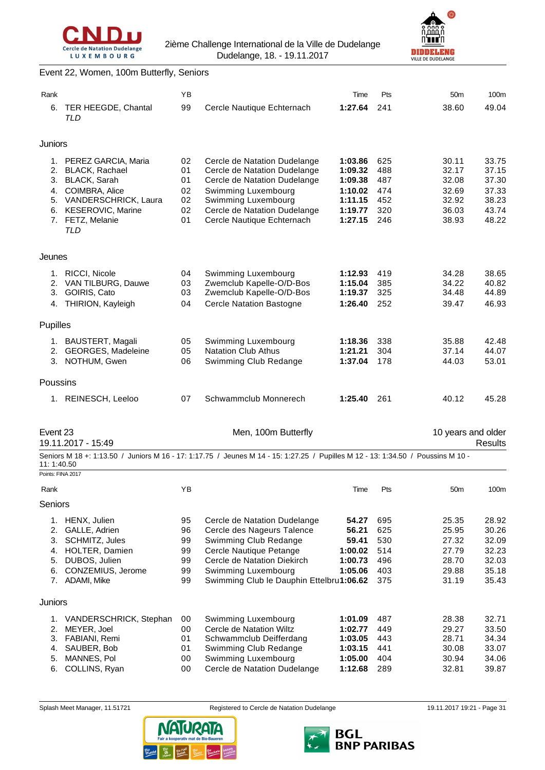



#### Event 22, Women, 100m Butterfly, Seniors

| Rank              |                                          | YB       |                                                                                                                                  | Time               | Pts        | 50 <sub>m</sub>    | 100m           |
|-------------------|------------------------------------------|----------|----------------------------------------------------------------------------------------------------------------------------------|--------------------|------------|--------------------|----------------|
| 6.                | TER HEEGDE, Chantal                      | 99       | Cercle Nautique Echternach                                                                                                       | 1:27.64            | 241        | 38.60              | 49.04          |
|                   | <b>TLD</b>                               |          |                                                                                                                                  |                    |            |                    |                |
| <b>Juniors</b>    |                                          |          |                                                                                                                                  |                    |            |                    |                |
|                   | 1. PEREZ GARCIA, Maria                   | 02       | Cercle de Natation Dudelange                                                                                                     | 1:03.86            | 625        | 30.11              | 33.75          |
|                   | 2. BLACK, Rachael                        | 01       | Cercle de Natation Dudelange                                                                                                     | 1:09.32            | 488        | 32.17              | 37.15          |
|                   | 3. BLACK, Sarah                          | 01       | Cercle de Natation Dudelange                                                                                                     | 1:09.38            | 487        | 32.08              | 37.30          |
|                   | 4. COIMBRA, Alice                        | 02       | Swimming Luxembourg                                                                                                              | 1:10.02            | 474        | 32.69              | 37.33          |
|                   | 5. VANDERSCHRICK, Laura                  | 02       | Swimming Luxembourg                                                                                                              | 1:11.15            | 452        | 32.92              | 38.23          |
|                   | 6. KESEROVIC, Marine<br>7. FETZ, Melanie | 02<br>01 | Cercle de Natation Dudelange<br>Cercle Nautique Echternach                                                                       | 1:19.77<br>1:27.15 | 320<br>246 | 36.03<br>38.93     | 43.74<br>48.22 |
|                   | TLD                                      |          |                                                                                                                                  |                    |            |                    |                |
| Jeunes            |                                          |          |                                                                                                                                  |                    |            |                    |                |
|                   |                                          |          |                                                                                                                                  |                    |            |                    |                |
| 2.                | 1. RICCI, Nicole<br>VAN TILBURG, Dauwe   | 04<br>03 | Swimming Luxembourg<br>Zwemclub Kapelle-O/D-Bos                                                                                  | 1:12.93<br>1:15.04 | 419<br>385 | 34.28<br>34.22     | 38.65<br>40.82 |
| 3.                | GOIRIS, Cato                             | 03       | Zwemclub Kapelle-O/D-Bos                                                                                                         | 1:19.37            | 325        | 34.48              | 44.89          |
| 4.                | THIRION, Kayleigh                        | 04       | <b>Cercle Natation Bastogne</b>                                                                                                  | 1:26.40            | 252        | 39.47              | 46.93          |
| Pupilles          |                                          |          |                                                                                                                                  |                    |            |                    |                |
|                   | 1. BAUSTERT, Magali                      | 05       | Swimming Luxembourg                                                                                                              | 1:18.36            | 338        | 35.88              | 42.48          |
|                   | 2. GEORGES, Madeleine                    | 05       | <b>Natation Club Athus</b>                                                                                                       | 1:21.21            | 304        | 37.14              | 44.07          |
|                   | 3. NOTHUM, Gwen                          | 06       | Swimming Club Redange                                                                                                            | 1:37.04            | 178        | 44.03              | 53.01          |
| Poussins          |                                          |          |                                                                                                                                  |                    |            |                    |                |
|                   | 1. REINESCH, Leeloo                      | 07       | Schwammclub Monnerech                                                                                                            | 1:25.40            | 261        | 40.12              | 45.28          |
| Event 23          |                                          |          | Men, 100m Butterfly                                                                                                              |                    |            | 10 years and older |                |
|                   | 19.11.2017 - 15:49                       |          |                                                                                                                                  |                    |            |                    | Results        |
| 11:1:40.50        |                                          |          | Seniors M 18 +: 1:13.50 / Juniors M 16 - 17: 1:17.75 / Jeunes M 14 - 15: 1:27.25 / Pupilles M 12 - 13: 1:34.50 / Poussins M 10 - |                    |            |                    |                |
| Points: FINA 2017 |                                          |          |                                                                                                                                  |                    |            |                    |                |
| Rank              |                                          | ΥB       |                                                                                                                                  | Time               | Pts        | 50 <sub>m</sub>    | 100m           |
| Seniors           |                                          |          |                                                                                                                                  |                    |            |                    |                |
|                   | 1. HENX, Julien                          | 95       | Cercle de Natation Dudelange                                                                                                     | 54.27              | 695        | 25.35              | 28.92          |
| 2.                | GALLE, Adrien                            | 96       | Cercle des Nageurs Talence                                                                                                       | 56.21              | 625        | 25.95              | 30.26          |
| 3.                | SCHMITZ, Jules                           | 99       | Swimming Club Redange                                                                                                            | 59.41              | 530        | 27.32              | 32.09          |
| 4.                | HOLTER, Damien                           | 99       | Cercle Nautique Petange                                                                                                          | 1:00.02            | 514        | 27.79              | 32.23          |
| 5.                | DUBOS, Julien                            | 99       | Cercle de Natation Diekirch                                                                                                      | 1:00.73            | 496        | 28.70              | 32.03          |
| 6.                | CONZEMIUS, Jerome<br>7. ADAMI, Mike      | 99<br>99 | Swimming Luxembourg<br>Swimming Club le Dauphin Ettelbru1:06.62                                                                  | 1:05.06            | 403<br>375 | 29.88<br>31.19     | 35.18<br>35.43 |
| Juniors           |                                          |          |                                                                                                                                  |                    |            |                    |                |
| 1.                | VANDERSCHRICK, Stephan                   | 00       | Swimming Luxembourg                                                                                                              | 1:01.09            | 487        | 28.38              | 32.71          |
| 2.                | MEYER, Joel                              | 00       | Cercle de Natation Wiltz                                                                                                         | 1:02.77            | 449        | 29.27              | 33.50          |
| 3.                | FABIANI, Remi                            | 01       | Schwammclub Deifferdang                                                                                                          | 1:03.05            | 443        | 28.71              | 34.34          |
| 4.                | SAUBER, Bob                              | 01       | Swimming Club Redange                                                                                                            | 1:03.15            | 441        | 30.08              | 33.07          |



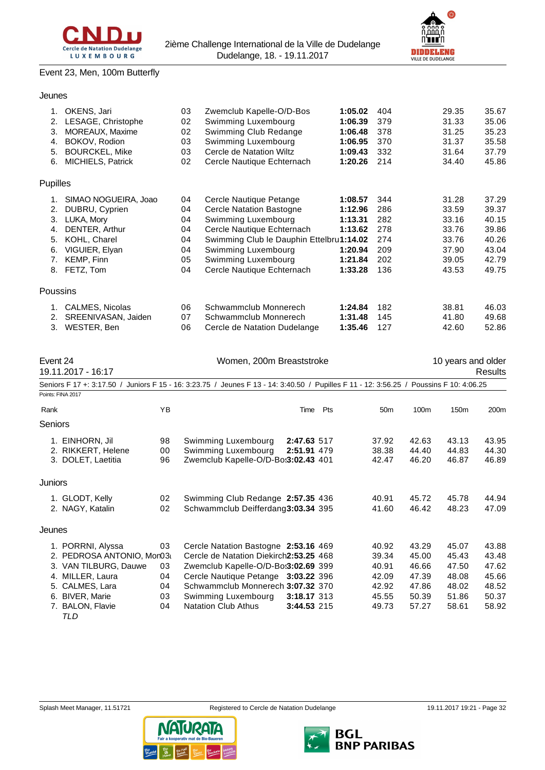

**DIDDELENG** 

# Event 23, Men, 100m Butterfly

Jeunes

| 1.       | OKENS, Jari               | 03 | Zwemclub Kapelle-O/D-Bos                                                                                      | 1:05.02 | 404 | 29.35              | 35.67   |
|----------|---------------------------|----|---------------------------------------------------------------------------------------------------------------|---------|-----|--------------------|---------|
| 2.       | LESAGE, Christophe        | 02 | Swimming Luxembourg                                                                                           | 1:06.39 | 379 | 31.33              | 35.06   |
| 3.       | <b>MOREAUX, Maxime</b>    | 02 | Swimming Club Redange                                                                                         | 1:06.48 | 378 | 31.25              | 35.23   |
| 4.       | BOKOV, Rodion             | 03 | Swimming Luxembourg                                                                                           | 1:06.95 | 370 | 31.37              | 35.58   |
| 5.       | <b>BOURCKEL, Mike</b>     | 03 | Cercle de Natation Wiltz                                                                                      | 1:09.43 | 332 | 31.64              | 37.79   |
| 6.       | MICHIELS, Patrick         | 02 | Cercle Nautique Echternach                                                                                    | 1:20.26 | 214 | 34.40              | 45.86   |
| Pupilles |                           |    |                                                                                                               |         |     |                    |         |
| 1.       | SIMAO NOGUEIRA, Joao      | 04 | Cercle Nautique Petange                                                                                       | 1:08.57 | 344 | 31.28              | 37.29   |
| 2.       | DUBRU, Cyprien            | 04 | <b>Cercle Natation Bastogne</b>                                                                               | 1:12.96 | 286 | 33.59              | 39.37   |
| 3.       | LUKA, Mory                | 04 | Swimming Luxembourg                                                                                           | 1:13.31 | 282 | 33.16              | 40.15   |
| 4.       | DENTER, Arthur            | 04 | Cercle Nautique Echternach                                                                                    | 1:13.62 | 278 | 33.76              | 39.86   |
| 5.       | KOHL, Charel              | 04 | Swimming Club le Dauphin Ettelbru1:14.02                                                                      |         | 274 | 33.76              | 40.26   |
| 6.       | VIGUIER, Elyan            | 04 | Swimming Luxembourg                                                                                           | 1:20.94 | 209 | 37.90              | 43.04   |
| 7.       | KEMP, Finn                | 05 | Swimming Luxembourg                                                                                           | 1:21.84 | 202 | 39.05              | 42.79   |
| 8.       | FETZ, Tom                 | 04 | Cercle Nautique Echternach                                                                                    | 1:33.28 | 136 | 43.53              | 49.75   |
| Poussins |                           |    |                                                                                                               |         |     |                    |         |
| 1.       | CALMES, Nicolas           | 06 | Schwammclub Monnerech                                                                                         | 1:24.84 | 182 | 38.81              | 46.03   |
| 2.       | SREENIVASAN, Jaiden       | 07 | Schwammclub Monnerech                                                                                         | 1:31.48 | 145 | 41.80              | 49.68   |
| 3.       | WESTER, Ben               | 06 | Cercle de Natation Dudelange                                                                                  | 1:35.46 | 127 | 42.60              | 52.86   |
| Event 24 |                           |    | Women, 200m Breaststroke                                                                                      |         |     | 10 years and older |         |
|          | 19.11.2017 - 16:17        |    |                                                                                                               |         |     |                    | Results |
|          | Seniors F 17 +: 3:17.50 / |    | Juniors F 15 - 16: 3:23.75 / Jeunes F 13 - 14: 3:40.50 / Pupilles F 11 - 12: 3:56.25 / Poussins F 10: 4:06.25 |         |     |                    |         |
|          | Points: FINA 2017         |    |                                                                                                               |         |     |                    |         |

| Rank    |                                          | YB       |                                                            | Time        | Pts | 50 <sub>m</sub> | 100m           | 150 <sub>m</sub> | 200 <sub>m</sub> |
|---------|------------------------------------------|----------|------------------------------------------------------------|-------------|-----|-----------------|----------------|------------------|------------------|
| Seniors |                                          |          |                                                            |             |     |                 |                |                  |                  |
|         | 1. EINHORN, Jil                          | 98       | Swimming Luxembourg                                        | 2:47.63 517 |     | 37.92           | 42.63          | 43.13            | 43.95            |
|         | 2. RIKKERT, Helene<br>3. DOLET, Laetitia | 00<br>96 | Swimming Luxembourg<br>Zwemclub Kapelle-O/D-Bo:3:02.43 401 | 2:51.91 479 |     | 38.38<br>42.47  | 44.40<br>46.20 | 44.83<br>46.87   | 44.30<br>46.89   |
| Juniors |                                          |          |                                                            |             |     |                 |                |                  |                  |
|         | 1. GLODT, Kelly                          | 02       | Swimming Club Redange 2:57.35 436                          |             |     | 40.91           | 45.72          | 45.78            | 44.94            |
|         | 2. NAGY, Katalin                         | 02       | Schwammclub Deifferdang3:03.34 395                         |             |     | 41.60           | 46.42          | 48.23            | 47.09            |
| Jeunes  |                                          |          |                                                            |             |     |                 |                |                  |                  |
|         | 1. PORRNI, Alyssa                        | 03       | Cercle Natation Bastogne 2:53.16 469                       |             |     | 40.92           | 43.29          | 45.07            | 43.88            |
|         | 2. PEDROSA ANTONIO, Mor03i               |          | Cercle de Natation Diekirch2:53.25 468                     |             |     | 39.34           | 45.00          | 45.43            | 43.48            |
|         | 3. VAN TILBURG, Dauwe                    | 03       | Zwemclub Kapelle-O/D-Bo:3:02.69 399                        |             |     | 40.91           | 46.66          | 47.50            | 47.62            |
| 4.      | MILLER, Laura                            | 04       | Cercle Nautique Petange 3:03.22 396                        |             |     | 42.09           | 47.39          | 48.08            | 45.66            |
|         | 5. CALMES, Lara                          | 04       | Schwammclub Monnerech 3:07.32 370                          |             |     | 42.92           | 47.86          | 48.02            | 48.52            |
| 6.      | <b>BIVER, Marie</b>                      | 03       | Swimming Luxembourg                                        | 3:18.17 313 |     | 45.55           | 50.39          | 51.86            | 50.37            |
| 7.      | <b>BALON, Flavie</b>                     | 04       | <b>Natation Club Athus</b>                                 | 3:44.53 215 |     | 49.73           | 57.27          | 58.61            | 58.92            |
|         | TLD                                      |          |                                                            |             |     |                 |                |                  |                  |



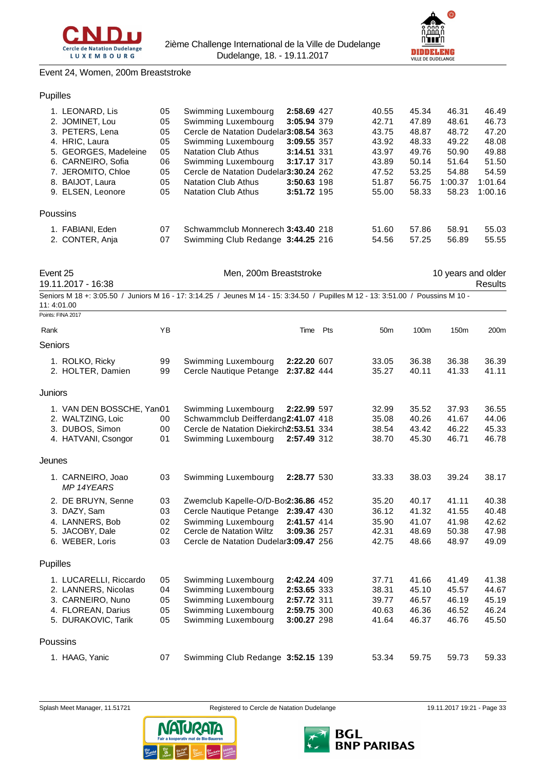



#### Event 24, Women, 200m Breaststroke

# Pupilles

| 05                                                                                                                                                                                                                                       | Swimming Luxembourg        |  | 40.55                                                                                                                                                                                                                                                             | 45.34 | 46.31   | 46.49   |
|------------------------------------------------------------------------------------------------------------------------------------------------------------------------------------------------------------------------------------------|----------------------------|--|-------------------------------------------------------------------------------------------------------------------------------------------------------------------------------------------------------------------------------------------------------------------|-------|---------|---------|
| 05                                                                                                                                                                                                                                       | Swimming Luxembourg        |  | 42.71                                                                                                                                                                                                                                                             | 47.89 | 48.61   | 46.73   |
| 05                                                                                                                                                                                                                                       |                            |  | 43.75                                                                                                                                                                                                                                                             | 48.87 | 48.72   | 47.20   |
| 05                                                                                                                                                                                                                                       | Swimming Luxembourg        |  | 43.92                                                                                                                                                                                                                                                             | 48.33 | 49.22   | 48.08   |
| 05                                                                                                                                                                                                                                       | <b>Natation Club Athus</b> |  | 43.97                                                                                                                                                                                                                                                             | 49.76 | 50.90   | 49.88   |
| 06                                                                                                                                                                                                                                       | Swimming Luxembourg        |  | 43.89                                                                                                                                                                                                                                                             | 50.14 | 51.64   | 51.50   |
| 05                                                                                                                                                                                                                                       |                            |  | 47.52                                                                                                                                                                                                                                                             | 53.25 | 54.88   | 54.59   |
| 05                                                                                                                                                                                                                                       | <b>Natation Club Athus</b> |  | 51.87                                                                                                                                                                                                                                                             | 56.75 | 1:00.37 | 1:01.64 |
| 05                                                                                                                                                                                                                                       | <b>Natation Club Athus</b> |  | 55.00                                                                                                                                                                                                                                                             | 58.33 | 58.23   | 1:00.16 |
|                                                                                                                                                                                                                                          |                            |  |                                                                                                                                                                                                                                                                   |       |         |         |
| 07                                                                                                                                                                                                                                       |                            |  | 51.60                                                                                                                                                                                                                                                             | 57.86 | 58.91   | 55.03   |
| 07                                                                                                                                                                                                                                       |                            |  | 54.56                                                                                                                                                                                                                                                             | 57.25 | 56.89   | 55.55   |
| 1. LEONARD, Lis<br>2. JOMINET, Lou<br>3. PETERS, Lena<br>4. HRIC, Laura<br>5. GEORGES, Madeleine<br>6. CARNEIRO, Sofia<br>7. JEROMITO, Chloe<br>8. BAIJOT, Laura<br>9. ELSEN, Leonore<br>Poussins<br>1. FABIANI, Eden<br>2. CONTER, Anja |                            |  | 2:58.69 427<br>3:05.94 379<br>Cercle de Natation Dudelar3:08.54 363<br>3:09.55 357<br>3:14.51 331<br>3:17.17 317<br>Cercle de Natation Dudelar3:30.24 262<br>3:50.63 198<br>3:51.72 195<br>Schwammclub Monnerech 3:43.40 218<br>Swimming Club Redange 3:44.25 216 |       |         |         |

Event 25 **Men**, 200m Breaststroke 10 years and older

19.11.2017 - 16:38 Results

Seniors M 18 +: 3:05.50 / Juniors M 16 - 17: 3:14.25 / Jeunes M 14 - 15: 3:34.50 / Pupilles M 12 - 13: 3:51.00 / Poussins M 10 - 11: 4:01.00

Points: FINA 2017

| Rank     |                                                                                                                 | YB                         |                                                                                                                                                                         | Time                                                                    | Pts | 50 <sub>m</sub>                           | 100m                                      | 150 <sub>m</sub>                          | 200 <sub>m</sub>                          |
|----------|-----------------------------------------------------------------------------------------------------------------|----------------------------|-------------------------------------------------------------------------------------------------------------------------------------------------------------------------|-------------------------------------------------------------------------|-----|-------------------------------------------|-------------------------------------------|-------------------------------------------|-------------------------------------------|
| Seniors  |                                                                                                                 |                            |                                                                                                                                                                         |                                                                         |     |                                           |                                           |                                           |                                           |
|          | 1. ROLKO, Ricky<br>2. HOLTER, Damien                                                                            | 99<br>99                   | Swimming Luxembourg<br>Cercle Nautique Petange                                                                                                                          | 2:22.20 607<br>2:37.82 444                                              |     | 33.05<br>35.27                            | 36.38<br>40.11                            | 36.38<br>41.33                            | 36.39<br>41.11                            |
| Juniors  |                                                                                                                 |                            |                                                                                                                                                                         |                                                                         |     |                                           |                                           |                                           |                                           |
|          | 1. VAN DEN BOSSCHE, Yan01<br>2. WALTZING, Loic<br>3. DUBOS, Simon<br>4. HATVANI, Csongor                        | 00<br>00<br>01             | Swimming Luxembourg<br>Schwammclub Deifferdang2:41.07 418<br>Cercle de Natation Diekirch2:53.51 334<br>Swimming Luxembourg                                              | 2:22.99 597<br>2:57.49 312                                              |     | 32.99<br>35.08<br>38.54<br>38.70          | 35.52<br>40.26<br>43.42<br>45.30          | 37.93<br>41.67<br>46.22<br>46.71          | 36.55<br>44.06<br>45.33<br>46.78          |
| Jeunes   |                                                                                                                 |                            |                                                                                                                                                                         |                                                                         |     |                                           |                                           |                                           |                                           |
|          | 1. CARNEIRO, Joao<br>MP 14YEARS                                                                                 | 03                         | Swimming Luxembourg                                                                                                                                                     | 2:28.77 530                                                             |     | 33.33                                     | 38.03                                     | 39.24                                     | 38.17                                     |
|          | 2. DE BRUYN, Senne<br>3. DAZY, Sam<br>4. LANNERS, Bob<br>5. JACOBY, Dale<br>6. WEBER, Loris                     | 03<br>03<br>02<br>02<br>03 | Zwemclub Kapelle-O/D-Bo:2:36.86 452<br>Cercle Nautique Petange 2:39.47 430<br>Swimming Luxembourg<br>Cercle de Natation Wiltz<br>Cercle de Natation Dudelar 3:09.47 256 | 2:41.57 414<br>3:09.36 257                                              |     | 35.20<br>36.12<br>35.90<br>42.31<br>42.75 | 40.17<br>41.32<br>41.07<br>48.69<br>48.66 | 41.11<br>41.55<br>41.98<br>50.38<br>48.97 | 40.38<br>40.48<br>42.62<br>47.98<br>49.09 |
| Pupilles |                                                                                                                 |                            |                                                                                                                                                                         |                                                                         |     |                                           |                                           |                                           |                                           |
|          | 1. LUCARELLI, Riccardo<br>2. LANNERS, Nicolas<br>3. CARNEIRO, Nuno<br>4. FLOREAN, Darius<br>5. DURAKOVIC, Tarik | 05<br>04<br>05<br>05<br>05 | Swimming Luxembourg<br>Swimming Luxembourg<br>Swimming Luxembourg<br>Swimming Luxembourg<br>Swimming Luxembourg                                                         | 2:42.24 409<br>2:53.65 333<br>2:57.72 311<br>2:59.75 300<br>3:00.27 298 |     | 37.71<br>38.31<br>39.77<br>40.63<br>41.64 | 41.66<br>45.10<br>46.57<br>46.36<br>46.37 | 41.49<br>45.57<br>46.19<br>46.52<br>46.76 | 41.38<br>44.67<br>45.19<br>46.24<br>45.50 |
|          | Poussins                                                                                                        |                            |                                                                                                                                                                         |                                                                         |     |                                           |                                           |                                           |                                           |
|          | 1. HAAG, Yanic                                                                                                  | 07                         | Swimming Club Redange 3:52.15 139                                                                                                                                       |                                                                         |     | 53.34                                     | 59.75                                     | 59.73                                     | 59.33                                     |



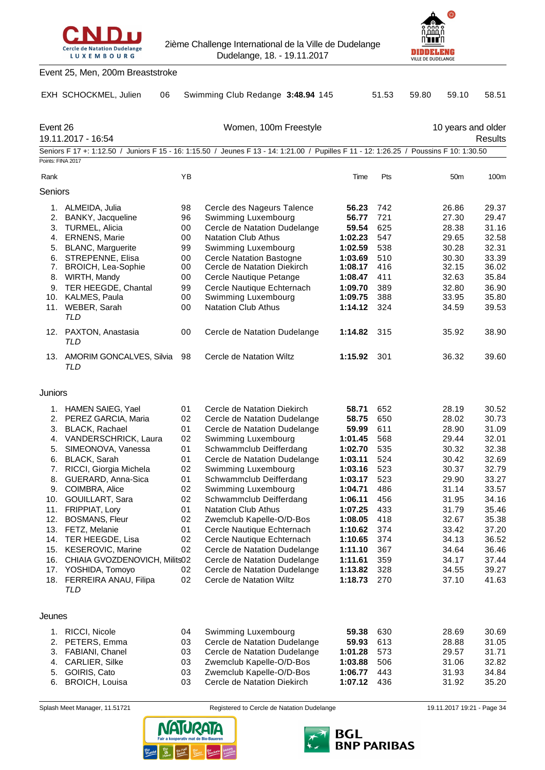



|                   | Event 25, Men, 200m Breaststroke          |          |                                                                                                                                         |                    |            |                 |                                      |
|-------------------|-------------------------------------------|----------|-----------------------------------------------------------------------------------------------------------------------------------------|--------------------|------------|-----------------|--------------------------------------|
|                   | EXH SCHOCKMEL, Julien<br>06               |          | Swimming Club Redange 3:48.94 145                                                                                                       |                    | 51.53      | 59.10<br>59.80  | 58.51                                |
| Event 26          | 19.11.2017 - 16:54                        |          | Women, 100m Freestyle                                                                                                                   |                    |            |                 | 10 years and older<br><b>Results</b> |
|                   |                                           |          | Seniors F 17 +: 1:12.50 / Juniors F 15 - 16: 1:15.50 / Jeunes F 13 - 14: 1:21.00 / Pupilles F 11 - 12: 1:26.25 / Poussins F 10: 1:30.50 |                    |            |                 |                                      |
| Points: FINA 2017 |                                           |          |                                                                                                                                         |                    |            |                 |                                      |
| Rank              |                                           | YB       |                                                                                                                                         | Time               | Pts        | 50 <sub>m</sub> | 100m                                 |
| Seniors           |                                           |          |                                                                                                                                         |                    |            |                 |                                      |
|                   | 1. ALMEIDA, Julia                         | 98       | Cercle des Nageurs Talence                                                                                                              | 56.23              | 742        | 26.86           | 29.37                                |
|                   | 2. BANKY, Jacqueline                      | 96       | Swimming Luxembourg                                                                                                                     | 56.77              | 721        | 27.30           | 29.47                                |
|                   | 3. TURMEL, Alicia                         | 00       | Cercle de Natation Dudelange                                                                                                            | 59.54              | 625        | 28.38           | 31.16                                |
|                   | 4. ERNENS, Marie                          | 00       | <b>Natation Club Athus</b>                                                                                                              | 1:02.23            | 547        | 29.65           | 32.58                                |
| 5.                | <b>BLANC, Marguerite</b>                  | 99       | Swimming Luxembourg                                                                                                                     | 1:02.59            | 538        | 30.28           | 32.31                                |
| 6.                | STREPENNE, Elisa<br>7. BROICH, Lea-Sophie | 00<br>00 | <b>Cercle Natation Bastogne</b><br>Cercle de Natation Diekirch                                                                          | 1:03.69<br>1:08.17 | 510<br>416 | 30.30<br>32.15  | 33.39<br>36.02                       |
| 8.                | WIRTH, Mandy                              | 00       | Cercle Nautique Petange                                                                                                                 | 1:08.47            | 411        | 32.63           | 35.84                                |
|                   | 9. TER HEEGDE, Chantal                    | 99       | Cercle Nautique Echternach                                                                                                              | 1:09.70            | 389        | 32.80           | 36.90                                |
|                   | 10. KALMES, Paula                         | 00       | Swimming Luxembourg                                                                                                                     | 1:09.75            | 388        | 33.95           | 35.80                                |
|                   | 11. WEBER, Sarah                          | 00       | <b>Natation Club Athus</b>                                                                                                              | 1:14.12            | 324        | 34.59           | 39.53                                |
|                   | TLD<br>12. PAXTON, Anastasia<br>TLD       | 00       | Cercle de Natation Dudelange                                                                                                            | 1:14.82            | 315        | 35.92           | 38.90                                |
|                   | 13. AMORIM GONCALVES, Silvia<br>TLD       | 98       | Cercle de Natation Wiltz                                                                                                                | 1:15.92            | 301        | 36.32           | 39.60                                |
| Juniors           |                                           |          |                                                                                                                                         |                    |            |                 |                                      |
|                   | 1. HAMEN SAIEG, Yael                      | 01       | Cercle de Natation Diekirch                                                                                                             | 58.71              | 652        | 28.19           | 30.52                                |
|                   | 2. PEREZ GARCIA, Maria                    | 02       | Cercle de Natation Dudelange                                                                                                            | 58.75              | 650        | 28.02           | 30.73                                |
|                   | 3. BLACK, Rachael                         | 01       | Cercle de Natation Dudelange                                                                                                            | 59.99              | 611        | 28.90           | 31.09                                |
|                   | 4. VANDERSCHRICK, Laura                   | 02       | Swimming Luxembourg                                                                                                                     | 1:01.45            | 568        | 29.44           | 32.01                                |
|                   | 5. SIMEONOVA, Vanessa                     | 01       | Schwammclub Deifferdang                                                                                                                 | 1:02.70            | 535        | 30.32           | 32.38                                |
|                   | 6. BLACK, Sarah                           | 01       | Cercle de Natation Dudelange                                                                                                            | 1:03.11            | 524        | 30.42           | 32.69                                |
|                   | 7. RICCI, Giorgia Michela                 | 02       | Swimming Luxembourg                                                                                                                     | 1:03.16            | 523        | 30.37           | 32.79                                |
|                   | 8. GUERARD, Anna-Sica                     | 01       | Schwammclub Deifferdang                                                                                                                 | 1:03.17            | 523        | 29.90           | 33.27                                |
|                   | 9. COIMBRA, Alice                         | 02       | Swimming Luxembourg                                                                                                                     | 1:04.71            | 486        | 31.14           | 33.57                                |
| 10.               | GOUILLART, Sara                           | 02       | Schwammclub Deifferdang                                                                                                                 | 1:06.11            | 456        | 31.95           | 34.16                                |
| 11.               | <b>FRIPPIAT, Lory</b>                     | 01       | <b>Natation Club Athus</b>                                                                                                              | 1:07.25            | 433        | 31.79           | 35.46                                |
| 12.               | <b>BOSMANS, Fleur</b>                     | 02       | Zwemclub Kapelle-O/D-Bos                                                                                                                | 1:08.05            | 418        | 32.67           | 35.38                                |
| 14.               | 13. FETZ, Melanie<br>TER HEEGDE, Lisa     | 01<br>02 | Cercle Nautique Echternach<br>Cercle Nautique Echternach                                                                                | 1:10.62<br>1:10.65 | 374<br>374 | 33.42<br>34.13  | 37.20<br>36.52                       |
| 15.               | KESEROVIC, Marine                         | 02       | Cercle de Natation Dudelange                                                                                                            | 1:11.10            | 367        | 34.64           | 36.46                                |
| 16.               | CHIAIA GVOZDENOVICH, Milits02             |          | Cercle de Natation Dudelange                                                                                                            | 1:11.61            | 359        | 34.17           | 37.44                                |
| 17.               | YOSHIDA, Tomoyo                           | 02       | Cercle de Natation Dudelange                                                                                                            | 1:13.82            | 328        | 34.55           | 39.27                                |
|                   | 18. FERREIRA ANAU, Filipa<br>TLD          | 02       | Cercle de Natation Wiltz                                                                                                                | 1:18.73            | 270        | 37.10           | 41.63                                |
| Jeunes            |                                           |          |                                                                                                                                         |                    |            |                 |                                      |
| 1.                | RICCI, Nicole                             | 04       | Swimming Luxembourg                                                                                                                     | 59.38              | 630        | 28.69           | 30.69                                |
| 2.                | PETERS, Emma                              | 03       | Cercle de Natation Dudelange                                                                                                            | 59.93              | 613        | 28.88           | 31.05                                |
| 3.                | FABIANI, Chanel                           | 03       | Cercle de Natation Dudelange                                                                                                            | 1:01.28            | 573        | 29.57           | 31.71                                |
| 4.                | CARLIER, Silke                            | 03       | Zwemclub Kapelle-O/D-Bos                                                                                                                | 1:03.88            | 506        | 31.06           | 32.82                                |
| 5.                | GOIRIS, Cato                              | 03       | Zwemclub Kapelle-O/D-Bos                                                                                                                | 1:06.77            | 443        | 31.93           | 34.84                                |

Splash Meet Manager, 11.51721 Registered to Cercle de Natation Dudelange 19.11.2017 19:21 - Page 34

6. BROICH, Louisa 03 Cercle de Natation Diekirch **1:07.12** 436 31.92 35.20



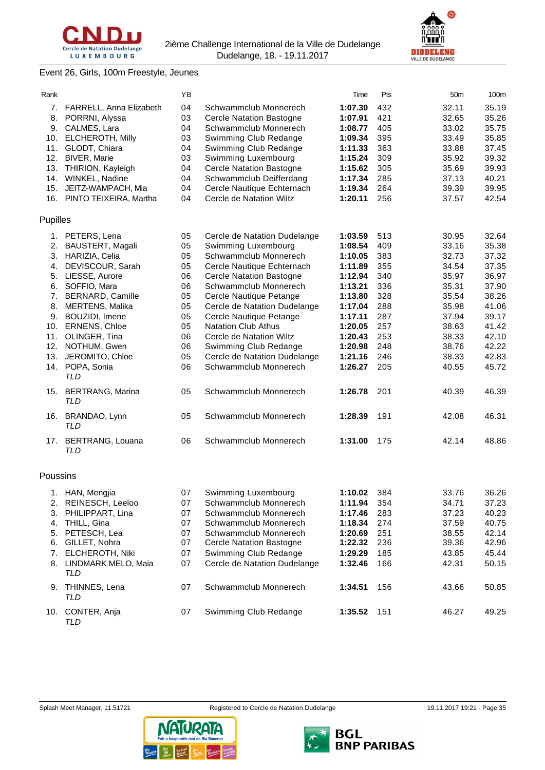



# Event 26, Girls, 100m Freestyle, Jeunes

| Rank     |                                       | YB |                                 | Time    | Pts | 50m   | 100m  |
|----------|---------------------------------------|----|---------------------------------|---------|-----|-------|-------|
| 7.       | FARRELL, Anna Elizabeth               | 04 | Schwammclub Monnerech           | 1:07.30 | 432 | 32.11 | 35.19 |
| 8.       | PORRNI, Alyssa                        | 03 | <b>Cercle Natation Bastogne</b> | 1:07.91 | 421 | 32.65 | 35.26 |
| 9.       | CALMES, Lara                          | 04 | Schwammclub Monnerech           | 1:08.77 | 405 | 33.02 | 35.75 |
| 10.      | ELCHEROTH, Milly                      | 03 |                                 |         | 395 |       | 35.85 |
|          |                                       |    | Swimming Club Redange           | 1:09.34 |     | 33.49 |       |
| 11.      | GLODT, Chiara                         | 04 | Swimming Club Redange           | 1:11.33 | 363 | 33.88 | 37.45 |
| 12.      | <b>BIVER, Marie</b>                   | 03 | Swimming Luxembourg             | 1:15.24 | 309 | 35.92 | 39.32 |
| 13.      | THIRION, Kayleigh                     | 04 | <b>Cercle Natation Bastogne</b> | 1:15.62 | 305 | 35.69 | 39.93 |
| 14.      | WINKEL, Nadine                        | 04 | Schwammclub Deifferdang         | 1:17.34 | 285 | 37.13 | 40.21 |
| 15.      | JEITZ-WAMPACH, Mia                    | 04 | Cercle Nautique Echternach      | 1:19.34 | 264 | 39.39 | 39.95 |
|          | 16. PINTO TEIXEIRA, Martha            | 04 | Cercle de Natation Wiltz        | 1:20.11 | 256 | 37.57 | 42.54 |
| Pupilles |                                       |    |                                 |         |     |       |       |
| 1.       | PETERS, Lena                          | 05 | Cercle de Natation Dudelange    | 1:03.59 | 513 | 30.95 | 32.64 |
| 2.       | BAUSTERT, Magali                      | 05 | Swimming Luxembourg             | 1:08.54 | 409 | 33.16 | 35.38 |
| 3.       |                                       |    | Schwammclub Monnerech           |         |     | 32.73 |       |
|          | HARIZIA, Celia                        | 05 |                                 | 1:10.05 | 383 |       | 37.32 |
| 4.       | DEVISCOUR, Sarah                      | 05 | Cercle Nautique Echternach      | 1:11.89 | 355 | 34.54 | 37.35 |
| 5.       | LIESSE, Aurore                        | 06 | <b>Cercle Natation Bastogne</b> | 1:12.94 | 340 | 35.97 | 36.97 |
| 6.       | SOFFIO, Mara                          | 06 | Schwammclub Monnerech           | 1:13.21 | 336 | 35.31 | 37.90 |
| 7.       | BERNARD, Camille                      | 05 | Cercle Nautique Petange         | 1:13.80 | 328 | 35.54 | 38.26 |
| 8.       | <b>MERTENS, Malika</b>                | 05 | Cercle de Natation Dudelange    | 1:17.04 | 288 | 35.98 | 41.06 |
| 9.       | BOUZIDI, Imene                        | 05 | Cercle Nautique Petange         | 1:17.11 | 287 | 37.94 | 39.17 |
| 10.      | ERNENS, Chloe                         | 05 | <b>Natation Club Athus</b>      | 1:20.05 | 257 | 38.63 | 41.42 |
| 11.      | OLINGER, Tina                         | 06 | Cercle de Natation Wiltz        | 1:20.43 | 253 | 38.33 | 42.10 |
| 12.      | NOTHUM, Gwen                          | 06 | Swimming Club Redange           | 1:20.98 | 248 | 38.76 | 42.22 |
| 13.      | JEROMITO, Chloe                       | 05 | Cercle de Natation Dudelange    | 1:21.16 | 246 | 38.33 | 42.83 |
|          |                                       | 06 | Schwammclub Monnerech           | 1:26.27 | 205 |       | 45.72 |
| 14.      | POPA, Sonia<br><b>TLD</b>             |    |                                 |         |     | 40.55 |       |
| 15.      | <b>BERTRANG, Marina</b><br><b>TLD</b> | 05 | Schwammclub Monnerech           | 1:26.78 | 201 | 40.39 | 46.39 |
| 16.      | BRANDAO, Lynn<br>TLD                  | 05 | Schwammclub Monnerech           | 1:28.39 | 191 | 42.08 | 46.31 |
| 17.      | BERTRANG, Louana<br>TLD               | 06 | Schwammclub Monnerech           | 1:31.00 | 175 | 42.14 | 48.86 |
| Poussins |                                       |    |                                 |         |     |       |       |
|          | 1. HAN, Mengjia                       | 07 | Swimming Luxembourg             | 1:10.02 | 384 | 33.76 | 36.26 |
|          | 2. REINESCH, Leeloo                   | 07 | Schwammclub Monnerech           | 1:11.94 | 354 | 34.71 | 37.23 |
| 3.       | PHILIPPART, Lina                      | 07 | Schwammclub Monnerech           | 1:17.46 | 283 | 37.23 | 40.23 |
| 4.       | THILL, Gina                           | 07 | Schwammclub Monnerech           | 1:18.34 | 274 | 37.59 | 40.75 |
|          |                                       |    |                                 |         |     |       |       |
| 5.       | PETESCH, Lea                          | 07 | Schwammclub Monnerech           | 1:20.69 | 251 | 38.55 | 42.14 |
| 6.       | GILLET, Nohra                         | 07 | <b>Cercle Natation Bastogne</b> | 1:22.32 | 236 | 39.36 | 42.96 |
| 7.       | ELCHEROTH, Niki                       | 07 | Swimming Club Redange           | 1:29.29 | 185 | 43.85 | 45.44 |
| 8.       | LINDMARK MELO, Maia<br>TLD            | 07 | Cercle de Natation Dudelange    | 1:32.46 | 166 | 42.31 | 50.15 |
| 9.       | THINNES, Lena<br>TLD                  | 07 | Schwammclub Monnerech           | 1:34.51 | 156 | 43.66 | 50.85 |
|          | 10. CONTER, Anja                      | 07 | Swimming Club Redange           | 1:35.52 | 151 | 46.27 | 49.25 |
|          | TLD                                   |    |                                 |         |     |       |       |





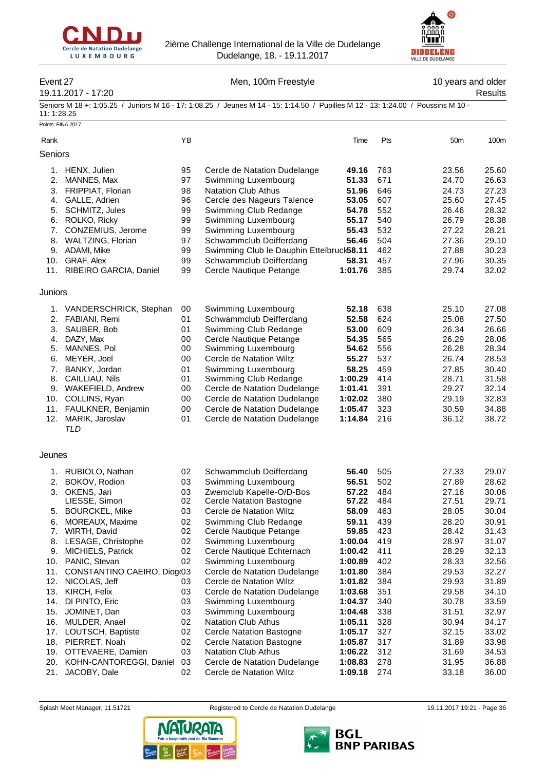



# Event 27 **Men, 100m Freestyle** 10 years and older

# 19.11.2017 - 17:20 Results

Points: FINA 2017

Seniors M 18 +: 1:05.25 / Juniors M 16 - 17: 1:08.25 / Jeunes M 14 - 15: 1:14.50 / Pupilles M 12 - 13: 1:24.00 / Poussins M 10 - 11: 1:28.25

| Rank     |                                     | YB       |                                                              | Time             | Pts        | 50 <sub>m</sub> | 100m           |
|----------|-------------------------------------|----------|--------------------------------------------------------------|------------------|------------|-----------------|----------------|
| Seniors  |                                     |          |                                                              |                  |            |                 |                |
| 1.       | HENX, Julien                        | 95       | Cercle de Natation Dudelange                                 | 49.16            | 763        | 23.56           | 25.60          |
| 2.       | MANNES, Max                         | 97       | Swimming Luxembourg                                          | 51.33            | 671        | 24.70           | 26.63          |
| 3.       | FRIPPIAT, Florian                   | 98       | <b>Natation Club Athus</b>                                   | 51.96            | 646        | 24.73           | 27.23          |
| 4.       | GALLE, Adrien                       | 96       | Cercle des Nageurs Talence                                   | 53.05            | 607        | 25.60           | 27.45          |
| 5.       | SCHMITZ, Jules                      | 99       | Swimming Club Redange                                        | 54.78            | 552        | 26.46           | 28.32          |
| 6.       | ROLKO, Ricky                        | 99       | Swimming Luxembourg                                          | 55.17            | 540        | 26.79           | 28.38          |
| 7.       | CONZEMIUS, Jerome                   | 99       | Swimming Luxembourg                                          | 55.43            | 532        | 27.22           | 28.21          |
| 8.       | WALTZING, Florian                   | 97       | Schwammclub Deifferdang                                      | 56.46            | 504        | 27.36           | 29.10          |
| 9.       | ADAMI, Mike                         | 99       | Swimming Club le Dauphin Ettelbruck58.11                     |                  | 462        | 27.88           | 30.23          |
| 10.      | GRAF, Alex                          | 99       | Schwammclub Deifferdang                                      | 58.31            | 457        | 27.96           | 30.35          |
| 11.      | RIBEIRO GARCIA, Daniel              | 99       | Cercle Nautique Petange                                      | 1:01.76          | 385        | 29.74           | 32.02          |
| Juniors  |                                     |          |                                                              |                  |            |                 |                |
| 1.       | VANDERSCHRICK, Stephan              | 00       | Swimming Luxembourg                                          | 52.18            | 638        | 25.10           | 27.08          |
| 2.       | FABIANI, Remi                       | 01       | Schwammclub Deifferdang                                      | 52.58            | 624        | 25.08           | 27.50          |
| 3.       | SAUBER, Bob                         | 01       | Swimming Club Redange                                        | 53.00            | 609        | 26.34           | 26.66          |
| 4.       | DAZY, Max                           | 00       | Cercle Nautique Petange                                      | 54.35            | 565        | 26.29           | 28.06          |
| 5.       | MANNES, Pol                         | 00       | Swimming Luxembourg                                          | 54.62            | 556        | 26.28           | 28.34          |
| 6.       | MEYER, Joel                         | 00       | Cercle de Natation Wiltz                                     | 55.27            | 537        | 26.74           | 28.53          |
| 7.<br>8. | BANKY, Jordan                       | 01<br>01 | Swimming Luxembourg                                          | 58.25<br>1:00.29 | 459<br>414 | 27.85<br>28.71  | 30.40<br>31.58 |
| 9.       | CAILLIAU, Nils<br>WAKEFIELD, Andrew | 00       | Swimming Club Redange<br>Cercle de Natation Dudelange        | 1:01.41          | 391        | 29.27           | 32.14          |
| 10.      | COLLINS, Ryan                       | 00       |                                                              | 1:02.02          | 380        | 29.19           | 32.83          |
| 11.      | FAULKNER, Benjamin                  | 00       | Cercle de Natation Dudelange<br>Cercle de Natation Dudelange | 1:05.47          | 323        | 30.59           | 34.88          |
| 12.      | MARIK, Jaroslav                     | 01       | Cercle de Natation Dudelange                                 | 1:14.84          | 216        | 36.12           | 38.72          |
|          | <b>TLD</b>                          |          |                                                              |                  |            |                 |                |
| Jeunes   |                                     |          |                                                              |                  |            |                 |                |
|          |                                     |          |                                                              |                  |            |                 |                |
|          | 1. RUBIOLO, Nathan                  | 02       | Schwammclub Deifferdang                                      | 56.40            | 505        | 27.33           | 29.07          |
| 2.       | BOKOV, Rodion                       | 03       | Swimming Luxembourg                                          | 56.51            | 502        | 27.89           | 28.62          |
| 3.       | OKENS, Jari<br>LIESSE, Simon        | 03<br>02 | Zwemclub Kapelle-O/D-Bos<br><b>Cercle Natation Bastogne</b>  | 57.22<br>57.22   | 484<br>484 | 27.16<br>27.51  | 30.06<br>29.71 |
| 5.       | <b>BOURCKEL, Mike</b>               | 03       | Cercle de Natation Wiltz                                     | 58.09            | 463        | 28.05           | 30.04          |
| 6.       | MOREAUX, Maxime                     | 02       | Swimming Club Redange                                        | 59.11            | 439        | 28.20           | 30.91          |
| 7.       | WIRTH, David                        | 02       | Cercle Nautique Petange                                      | 59.85            | 423        | 28.42           | 31.43          |
| 8.       | LESAGE, Christophe                  | 02       | Swimming Luxembourg                                          | 1:00.04          | 419        | 28.97           | 31.07          |
| 9.       | MICHIELS, Patrick                   | 02       | Cercle Nautique Echternach                                   | 1:00.42          | 411        | 28.29           | 32.13          |
| 10.      | PANIC, Stevan                       | 02       | Swimming Luxembourg                                          | 1:00.89          | 402        | 28.33           | 32.56          |
| 11.      | CONSTANTINO CAEIRO, Diog(03         |          | Cercle de Natation Dudelange                                 | 1:01.80          | 384        | 29.53           | 32.27          |
| 12.      | NICOLAS, Jeff                       | 03       | Cercle de Natation Wiltz                                     | 1:01.82          | 384        | 29.93           | 31.89          |
| 13.      | KIRCH, Felix                        | 03       | Cercle de Natation Dudelange                                 | 1:03.68          | 351        | 29.58           | 34.10          |
| 14.      | DI PINTO, Eric                      | 03       | Swimming Luxembourg                                          | 1:04.37          | 340        | 30.78           | 33.59          |
| 15.      | JOMINET, Dan                        | 03       | Swimming Luxembourg                                          | 1:04.48          | 338        | 31.51           | 32.97          |
| 16.      | MULDER, Anael                       | 02       | <b>Natation Club Athus</b>                                   | 1:05.11          | 328        | 30.94           | 34.17          |
| 17.      | LOUTSCH, Baptiste                   | 02       | <b>Cercle Natation Bastogne</b>                              | 1:05.17          | 327        | 32.15           | 33.02          |
| 18.      | PIERRET, Noah                       | 02       | <b>Cercle Natation Bastogne</b>                              | 1:05.87          | 317        | 31.89           | 33.98          |
| 19.      | OTTEVAERE, Damien                   | 03       | <b>Natation Club Athus</b>                                   | 1:06.22          | 312        | 31.69           | 34.53          |
| 20.      | KOHN-CANTOREGGI, Daniel             | 03       | Cercle de Natation Dudelange                                 | 1:08.83          | 278        | 31.95           | 36.88          |
| 21.      | JACOBY, Dale                        | 02       | Cercle de Natation Wiltz                                     | 1:09.18          | 274        | 33.18           | 36.00          |



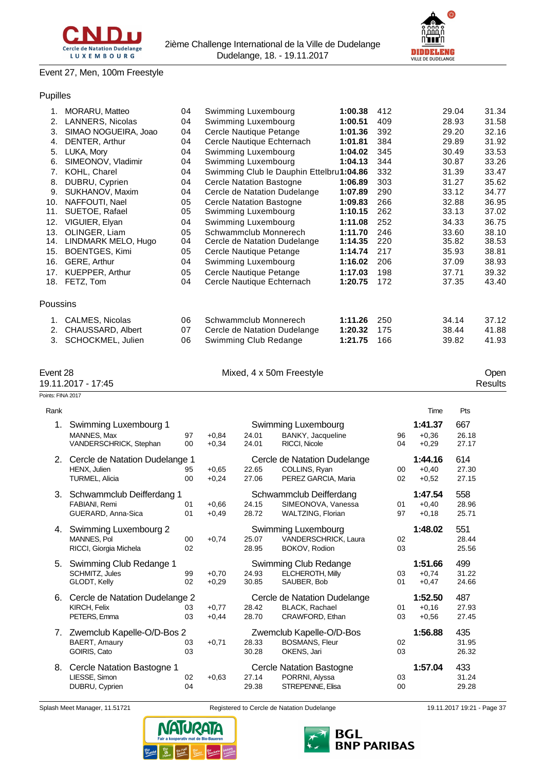



# Event 27, Men, 100m Freestyle

# Pupilles

| 1.              | MORARU, Matteo        | 04 | Swimming Luxembourg                      | 1:00.38 | 412 | 29.04 | 31.34 |
|-----------------|-----------------------|----|------------------------------------------|---------|-----|-------|-------|
| 2.              | LANNERS, Nicolas      | 04 | Swimming Luxembourg                      | 1:00.51 | 409 | 28.93 | 31.58 |
| 3.              | SIMAO NOGUEIRA, Joao  | 04 | Cercle Nautique Petange                  | 1:01.36 | 392 | 29.20 | 32.16 |
| 4.              | DENTER, Arthur        | 04 | Cercle Nautique Echternach               | 1:01.81 | 384 | 29.89 | 31.92 |
| 5.              | LUKA, Mory            | 04 | Swimming Luxembourg                      | 1:04.02 | 345 | 30.49 | 33.53 |
| 6.              | SIMEONOV, Vladimir    | 04 | Swimming Luxembourg                      | 1:04.13 | 344 | 30.87 | 33.26 |
| 7.              | KOHL, Charel          | 04 | Swimming Club le Dauphin Ettelbru1:04.86 |         | 332 | 31.39 | 33.47 |
| 8.              | DUBRU, Cyprien        | 04 | <b>Cercle Natation Bastogne</b>          | 1:06.89 | 303 | 31.27 | 35.62 |
| 9.              | SUKHANOV, Maxim       | 04 | Cercle de Natation Dudelange             | 1:07.89 | 290 | 33.12 | 34.77 |
| 10.             | NAFFOUTI, Nael        | 05 | <b>Cercle Natation Bastogne</b>          | 1:09.83 | 266 | 32.88 | 36.95 |
| 11.             | SUETOE, Rafael        | 05 | Swimming Luxembourg                      | 1:10.15 | 262 | 33.13 | 37.02 |
| 12.             | VIGUIER, Elyan        | 04 | Swimming Luxembourg                      | 1:11.08 | 252 | 34.33 | 36.75 |
| 13.             | OLINGER, Liam         | 05 | Schwammclub Monnerech                    | 1:11.70 | 246 | 33.60 | 38.10 |
| 14.             | LINDMARK MELO, Hugo   | 04 | Cercle de Natation Dudelange             | 1:14.35 | 220 | 35.82 | 38.53 |
| 15.             | <b>BOENTGES, Kimi</b> | 05 | Cercle Nautique Petange                  | 1:14.74 | 217 | 35.93 | 38.81 |
| 16.             | GERE, Arthur          | 04 | Swimming Luxembourg                      | 1:16.02 | 206 | 37.09 | 38.93 |
| 17.             | KUEPPER, Arthur       | 05 | Cercle Nautique Petange                  | 1:17.03 | 198 | 37.71 | 39.32 |
| 18.             | FETZ, Tom             | 04 | Cercle Nautique Echternach               | 1:20.75 | 172 | 37.35 | 43.40 |
|                 |                       |    |                                          |         |     |       |       |
| <b>Poussins</b> |                       |    |                                          |         |     |       |       |
| 1.              | CALMES, Nicolas       | 06 | Schwammclub Monnerech                    | 1:11.26 | 250 | 34.14 | 37.12 |
| 2.              | CHAUSSARD, Albert     | 07 | Cercle de Natation Dudelange             | 1:20.32 | 175 | 38.44 | 41.88 |
| 3.              | SCHOCKMEL, Julien     | 06 | Swimming Club Redange                    | 1:21.75 | 166 | 39.82 | 41.93 |
|                 |                       |    |                                          |         |     |       |       |

| 1L | ÷Γ<br>ı |  |
|----|---------|--|
|    | . .     |  |

Points: FINA 2017

Mixed, 4 x 50m Freestyle **Contact 28 Mixed, 4 x 50m Freestyle** Open

19.11.2017 - 17:45 Results

| Rank |                                                                         |                      |                    |                |                                                                          |              | Time                          | Pts                   |  |
|------|-------------------------------------------------------------------------|----------------------|--------------------|----------------|--------------------------------------------------------------------------|--------------|-------------------------------|-----------------------|--|
| 1.   | Swimming Luxembourg 1<br><b>MANNES, Max</b><br>VANDERSCHRICK, Stephan   | 97<br>00             | $+0.84$<br>$+0.34$ | 24.01<br>24.01 | Swimming Luxembourg<br>BANKY, Jacqueline<br>RICCI, Nicole                | 96<br>04     | 1:41.37<br>$+0.36$<br>$+0.29$ | 667<br>26.18<br>27.17 |  |
| 2.   | Cercle de Natation Dudelange 1<br>HENX, Julien<br><b>TURMEL, Alicia</b> | 95<br>0 <sub>0</sub> | $+0.65$<br>$+0,24$ | 22.65<br>27.06 | Cercle de Natation Dudelange<br>COLLINS, Ryan<br>PEREZ GARCIA, Maria     | $00\,$<br>02 | 1:44.16<br>$+0.40$<br>$+0,52$ | 614<br>27.30<br>27.15 |  |
| 3.   | Schwammclub Deifferdang 1<br>FABIANI, Remi<br>GUERARD, Anna-Sica        | 01<br>01             | $+0.66$<br>$+0.49$ | 24.15<br>28.72 | Schwammclub Deifferdang<br>SIMEONOVA, Vanessa<br>WALTZING, Florian       | 01<br>97     | 1:47.54<br>$+0,40$<br>$+0.18$ | 558<br>28.96<br>25.71 |  |
| 4.   | Swimming Luxembourg 2<br><b>MANNES, Pol</b><br>RICCI, Giorgia Michela   | $00 \,$<br>02        | $+0,74$            | 25.07<br>28.95 | Swimming Luxembourg<br>VANDERSCHRICK, Laura<br>BOKOV, Rodion             | 02<br>03     | 1:48.02                       | 551<br>28.44<br>25.56 |  |
| 5.   | Swimming Club Redange 1<br>SCHMITZ, Jules<br>GLODT, Kelly               | 99<br>02             | $+0.70$<br>$+0.29$ | 24.93<br>30.85 | Swimming Club Redange<br><b>ELCHEROTH, Milly</b><br>SAUBER, Bob          | 03<br>01     | 1:51.66<br>$+0.74$<br>$+0,47$ | 499<br>31.22<br>24.66 |  |
| 6.   | Cercle de Natation Dudelange 2<br>KIRCH, Felix<br>PETERS, Emma          | 03<br>03             | $+0.77$<br>$+0.44$ | 28.42<br>28.70 | Cercle de Natation Dudelange<br><b>BLACK, Rachael</b><br>CRAWFORD, Ethan | 01<br>03     | 1:52.50<br>$+0.16$<br>$+0.56$ | 487<br>27.93<br>27.45 |  |
| 7.   | Zwemclub Kapelle-O/D-Bos 2<br><b>BAERT, Amaury</b><br>GOIRIS, Cato      | 03<br>03             | $+0,71$            | 28.33<br>30.28 | Zwemclub Kapelle-O/D-Bos<br><b>BOSMANS, Fleur</b><br>OKENS, Jari         | 02<br>03     | 1:56.88                       | 435<br>31.95<br>26.32 |  |
| 8.   | Cercle Natation Bastogne 1<br>LIESSE, Simon<br>DUBRU, Cyprien           | 02<br>04             | $+0.63$            | 27.14<br>29.38 | <b>Cercle Natation Bastogne</b><br>PORRNI, Alyssa<br>STREPENNE, Elisa    | 03<br>00     | 1:57.04                       | 433<br>31.24<br>29.28 |  |
|      |                                                                         |                      |                    |                |                                                                          |              |                               |                       |  |